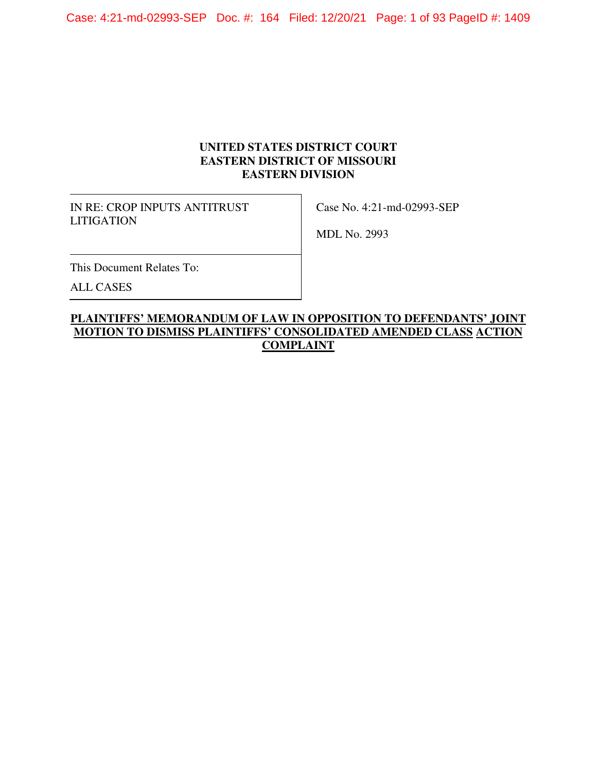Case: 4:21-md-02993-SEP Doc. #: 164 Filed: 12/20/21 Page: 1 of 93 PageID #: 1409

## **UNITED STATES DISTRICT COURT EASTERN DISTRICT OF MISSOURI EASTERN DIVISION**

IN RE: CROP INPUTS ANTITRUST LITIGATION

Case No. 4:21-md-02993-SEP

MDL No. 2993

This Document Relates To:

ALL CASES

# **PLAINTIFFS' MEMORANDUM OF LAW IN OPPOSITION TO DEFENDANTS' JOINT MOTION TO DISMISS PLAINTIFFS' CONSOLIDATED AMENDED CLASS ACTION COMPLAINT**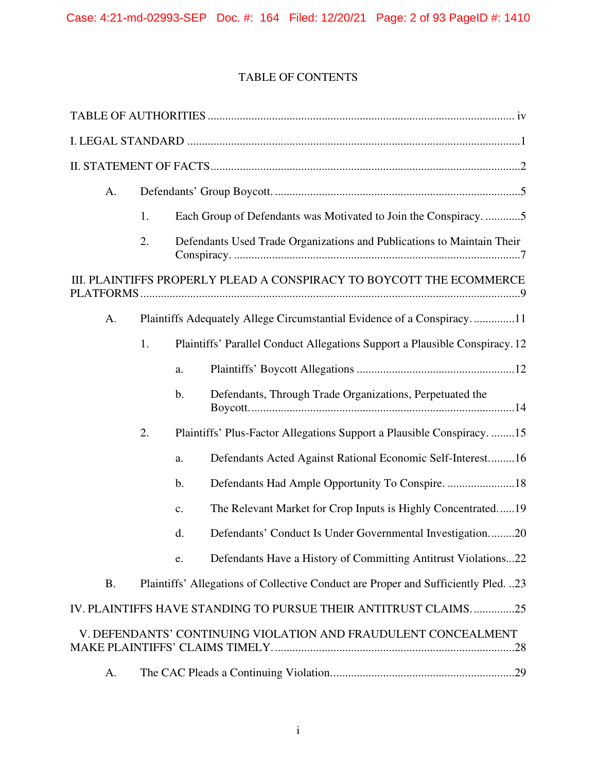# TABLE OF CONTENTS

| A.        |    |                |                                                                                    |
|-----------|----|----------------|------------------------------------------------------------------------------------|
|           | 1. |                | Each Group of Defendants was Motivated to Join the Conspiracy5                     |
|           | 2. |                | Defendants Used Trade Organizations and Publications to Maintain Their             |
|           |    |                | III. PLAINTIFFS PROPERLY PLEAD A CONSPIRACY TO BOYCOTT THE ECOMMERCE               |
| A.        |    |                | Plaintiffs Adequately Allege Circumstantial Evidence of a Conspiracy11             |
|           | 1. |                | Plaintiffs' Parallel Conduct Allegations Support a Plausible Conspiracy. 12        |
|           |    | a.             |                                                                                    |
|           |    | b.             | Defendants, Through Trade Organizations, Perpetuated the                           |
|           | 2. |                | Plaintiffs' Plus-Factor Allegations Support a Plausible Conspiracy. 15             |
|           |    | a.             | Defendants Acted Against Rational Economic Self-Interest 16                        |
|           |    | b.             | Defendants Had Ample Opportunity To Conspire. 18                                   |
|           |    | $\mathbf{c}$ . | The Relevant Market for Crop Inputs is Highly Concentrated19                       |
|           |    | d.             | Defendants' Conduct Is Under Governmental Investigation20                          |
|           |    | e.             | Defendants Have a History of Committing Antitrust Violations22                     |
| <b>B.</b> |    |                | Plaintiffs' Allegations of Collective Conduct are Proper and Sufficiently Pled. 23 |
|           |    |                | IV. PLAINTIFFS HAVE STANDING TO PURSUE THEIR ANTITRUST CLAIMS25                    |
|           |    |                | V. DEFENDANTS' CONTINUING VIOLATION AND FRAUDULENT CONCEALMENT                     |
| А.        |    |                |                                                                                    |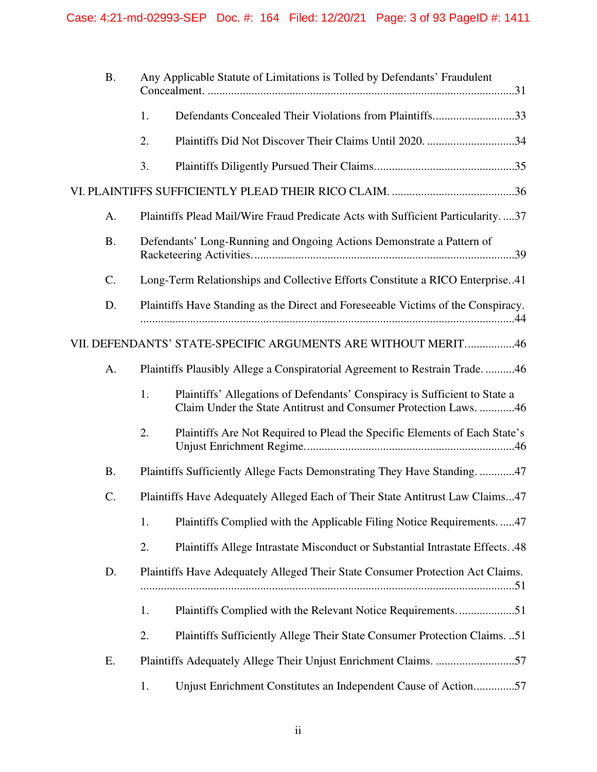| <b>B.</b> |    | Any Applicable Statute of Limitations is Tolled by Defendants' Fraudulent                                                                      |
|-----------|----|------------------------------------------------------------------------------------------------------------------------------------------------|
|           | 1. | Defendants Concealed Their Violations from Plaintiffs33                                                                                        |
|           | 2. | Plaintiffs Did Not Discover Their Claims Until 2020. 34                                                                                        |
|           | 3. |                                                                                                                                                |
|           |    |                                                                                                                                                |
| A.        |    | Plaintiffs Plead Mail/Wire Fraud Predicate Acts with Sufficient Particularity37                                                                |
| <b>B.</b> |    | Defendants' Long-Running and Ongoing Actions Demonstrate a Pattern of                                                                          |
| C.        |    | Long-Term Relationships and Collective Efforts Constitute a RICO Enterprise41                                                                  |
| D.        |    | Plaintiffs Have Standing as the Direct and Foreseeable Victims of the Conspiracy.                                                              |
|           |    | VII. DEFENDANTS' STATE-SPECIFIC ARGUMENTS ARE WITHOUT MERIT46                                                                                  |
| A.        |    | Plaintiffs Plausibly Allege a Conspiratorial Agreement to Restrain Trade46                                                                     |
|           | 1. | Plaintiffs' Allegations of Defendants' Conspiracy is Sufficient to State a<br>Claim Under the State Antitrust and Consumer Protection Laws. 46 |
|           | 2. | Plaintiffs Are Not Required to Plead the Specific Elements of Each State's                                                                     |
| <b>B.</b> |    | Plaintiffs Sufficiently Allege Facts Demonstrating They Have Standing. 47                                                                      |
| $C$ .     |    | Plaintiffs Have Adequately Alleged Each of Their State Antitrust Law Claims47                                                                  |
|           | 1. | Plaintiffs Complied with the Applicable Filing Notice Requirements47                                                                           |
|           | 2. | Plaintiffs Allege Intrastate Misconduct or Substantial Intrastate Effects. .48                                                                 |
| D.        |    | Plaintiffs Have Adequately Alleged Their State Consumer Protection Act Claims.                                                                 |
|           | 1. | Plaintiffs Complied with the Relevant Notice Requirements51                                                                                    |
|           | 2. | Plaintiffs Sufficiently Allege Their State Consumer Protection Claims. 51                                                                      |
| Ε.        |    | Plaintiffs Adequately Allege Their Unjust Enrichment Claims. 57                                                                                |
|           | 1. | Unjust Enrichment Constitutes an Independent Cause of Action57                                                                                 |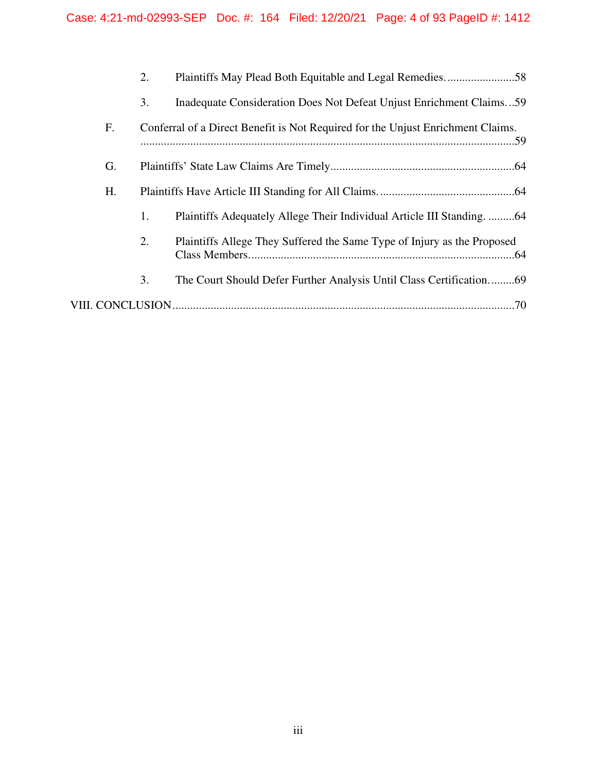|    | 2. | Plaintiffs May Plead Both Equitable and Legal Remedies58                        |
|----|----|---------------------------------------------------------------------------------|
|    | 3. | Inadequate Consideration Does Not Defeat Unjust Enrichment Claims59             |
| F. |    | Conferral of a Direct Benefit is Not Required for the Unjust Enrichment Claims. |
| G. |    |                                                                                 |
| H. |    |                                                                                 |
|    | 1. | Plaintiffs Adequately Allege Their Individual Article III Standing. 64          |
|    | 2. | Plaintiffs Allege They Suffered the Same Type of Injury as the Proposed         |
|    | 3. | The Court Should Defer Further Analysis Until Class Certification69             |
|    |    |                                                                                 |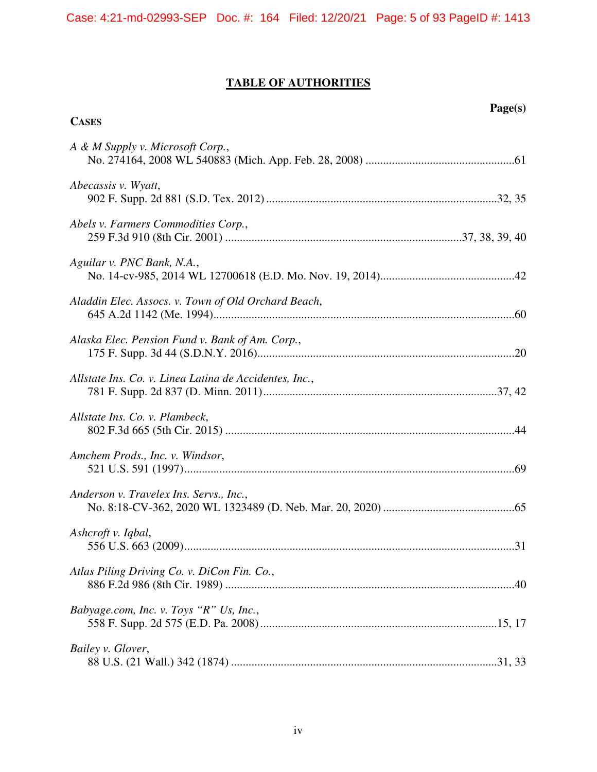# **TABLE OF AUTHORITIES**

**Page(s)** 

| <b>CASES</b>                                           |
|--------------------------------------------------------|
| A & M Supply v. Microsoft Corp.,                       |
| Abecassis v. Wyatt,                                    |
| Abels v. Farmers Commodities Corp.,                    |
| Aguilar v. PNC Bank, N.A.,                             |
| Aladdin Elec. Assocs. v. Town of Old Orchard Beach,    |
| Alaska Elec. Pension Fund v. Bank of Am. Corp.,        |
| Allstate Ins. Co. v. Linea Latina de Accidentes, Inc., |
| Allstate Ins. Co. v. Plambeck,                         |
| Amchem Prods., Inc. v. Windsor,                        |
| Anderson v. Travelex Ins. Servs., Inc.,                |
| Ashcroft v. Iqbal,                                     |
| Atlas Piling Driving Co. v. DiCon Fin. Co.,            |
| Babyage.com, Inc. v. Toys "R" Us, Inc.,                |
| Bailey v. Glover,                                      |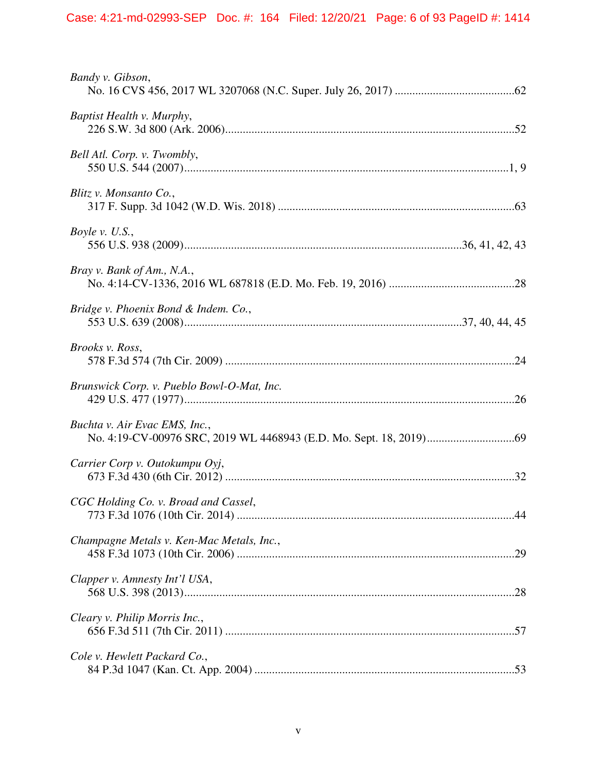| Bandy v. Gibson,                           |
|--------------------------------------------|
| Baptist Health v. Murphy,                  |
| Bell Atl. Corp. v. Twombly,                |
| Blitz v. Monsanto Co.,                     |
| Boyle v. $U.S.,$                           |
| Bray v. Bank of Am., N.A.,                 |
| Bridge v. Phoenix Bond & Indem. Co.,       |
| Brooks v. Ross,                            |
| Brunswick Corp. v. Pueblo Bowl-O-Mat, Inc. |
| Buchta v. Air Evac EMS, Inc.,              |
| Carrier Corp v. Outokumpu Oyj,             |
| CGC Holding Co. v. Broad and Cassel,       |
| Champagne Metals v. Ken-Mac Metals, Inc.,  |
| Clapper v. Amnesty Int'l USA,              |
| Cleary v. Philip Morris Inc.,              |
| Cole v. Hewlett Packard Co.,               |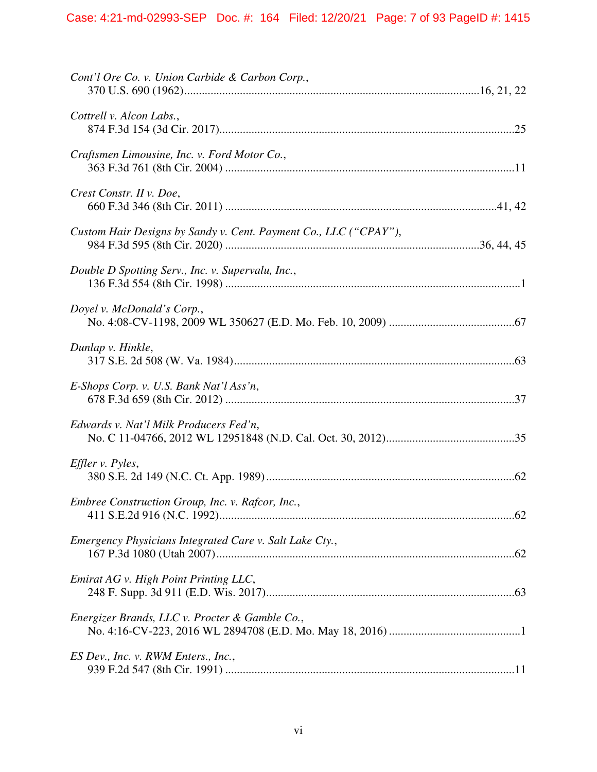| Cont'l Ore Co. v. Union Carbide & Carbon Corp.,                  |  |
|------------------------------------------------------------------|--|
| Cottrell v. Alcon Labs.,                                         |  |
| Craftsmen Limousine, Inc. v. Ford Motor Co.,                     |  |
| Crest Constr. II v. Doe,                                         |  |
| Custom Hair Designs by Sandy v. Cent. Payment Co., LLC ("CPAY"), |  |
| Double D Spotting Serv., Inc. v. Supervalu, Inc.,                |  |
| Doyel v. McDonald's Corp.,                                       |  |
| Dunlap v. Hinkle,                                                |  |
| E-Shops Corp. v. U.S. Bank Nat'l Ass'n,                          |  |
| Edwards v. Nat'l Milk Producers Fed'n,                           |  |
| Effler v. Pyles,                                                 |  |
| Embree Construction Group, Inc. v. Rafcor, Inc.,                 |  |
| Emergency Physicians Integrated Care v. Salt Lake Cty.,          |  |
| Emirat AG v. High Point Printing LLC,                            |  |
| Energizer Brands, LLC v. Procter & Gamble Co.,                   |  |
| ES Dev., Inc. v. RWM Enters., Inc.,                              |  |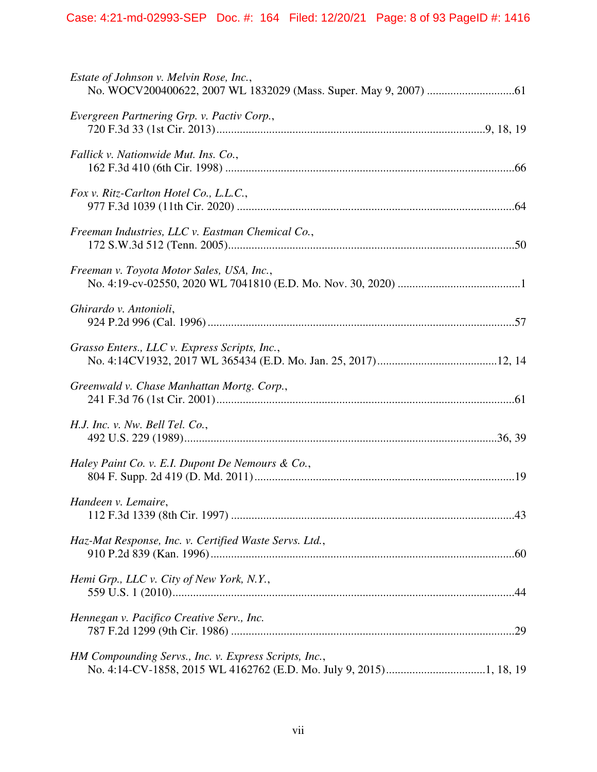| Estate of Johnson v. Melvin Rose, Inc.,                |
|--------------------------------------------------------|
| Evergreen Partnering Grp. v. Pactiv Corp.,             |
| Fallick v. Nationwide Mut. Ins. Co.,                   |
| Fox v. Ritz-Carlton Hotel Co., L.L.C.,                 |
| Freeman Industries, LLC v. Eastman Chemical Co.,       |
| Freeman v. Toyota Motor Sales, USA, Inc.,              |
| Ghirardo v. Antonioli,                                 |
| Grasso Enters., LLC v. Express Scripts, Inc.,          |
| Greenwald v. Chase Manhattan Mortg. Corp.,             |
| H.J. Inc. v. Nw. Bell Tel. Co.,                        |
| Haley Paint Co. v. E.I. Dupont De Nemours & Co.,       |
| Handeen v. Lemaire,                                    |
| Haz-Mat Response, Inc. v. Certified Waste Servs. Ltd., |
| Hemi Grp., LLC v. City of New York, N.Y.,              |
| Hennegan v. Pacifico Creative Serv., Inc.              |
| HM Compounding Servs., Inc. v. Express Scripts, Inc.,  |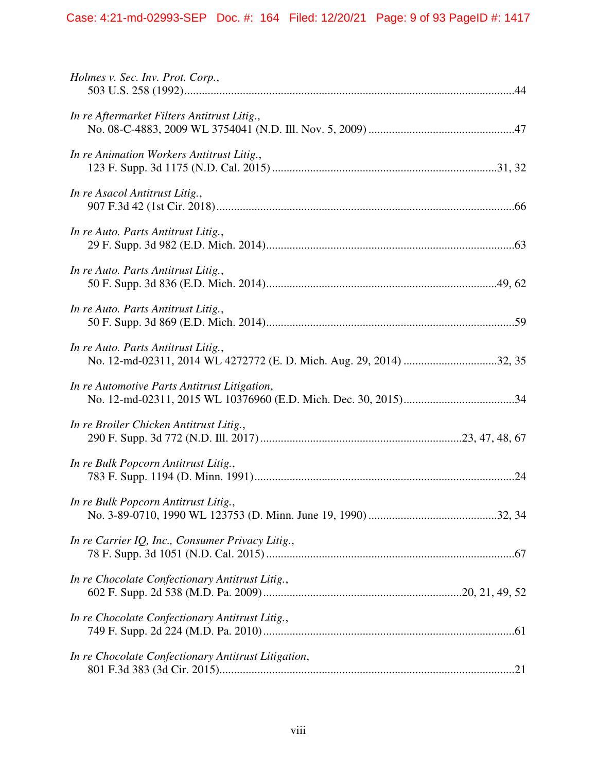| Holmes v. Sec. Inv. Prot. Corp.,                                                                           |
|------------------------------------------------------------------------------------------------------------|
| In re Aftermarket Filters Antitrust Litig.,                                                                |
| In re Animation Workers Antitrust Litig.,                                                                  |
| In re Asacol Antitrust Litig.,                                                                             |
| In re Auto. Parts Antitrust Litig.,                                                                        |
| In re Auto. Parts Antitrust Litig.,                                                                        |
| In re Auto. Parts Antitrust Litig.,                                                                        |
| In re Auto. Parts Antitrust Litig.,<br>No. 12-md-02311, 2014 WL 4272772 (E. D. Mich. Aug. 29, 2014) 32, 35 |
| In re Automotive Parts Antitrust Litigation,                                                               |
| In re Broiler Chicken Antitrust Litig.,                                                                    |
| In re Bulk Popcorn Antitrust Litig.,                                                                       |
| In re Bulk Popcorn Antitrust Litig.,                                                                       |
| In re Carrier IQ, Inc., Consumer Privacy Litig.,                                                           |
| In re Chocolate Confectionary Antitrust Litig.,                                                            |
| In re Chocolate Confectionary Antitrust Litig.,                                                            |
| In re Chocolate Confectionary Antitrust Litigation,                                                        |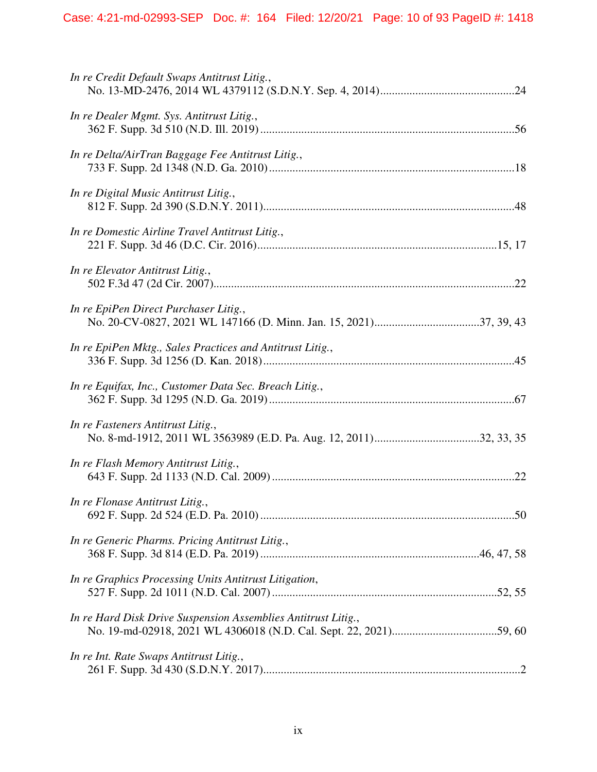| In re Credit Default Swaps Antitrust Litig.,                  |  |
|---------------------------------------------------------------|--|
| In re Dealer Mgmt. Sys. Antitrust Litig.,                     |  |
| In re Delta/AirTran Baggage Fee Antitrust Litig.,             |  |
| In re Digital Music Antitrust Litig.,                         |  |
| In re Domestic Airline Travel Antitrust Litig.,               |  |
| In re Elevator Antitrust Litig.,                              |  |
| In re EpiPen Direct Purchaser Litig.,                         |  |
| In re EpiPen Mktg., Sales Practices and Antitrust Litig.,     |  |
| In re Equifax, Inc., Customer Data Sec. Breach Litig.,        |  |
| In re Fasteners Antitrust Litig.,                             |  |
| In re Flash Memory Antitrust Litig.,                          |  |
| In re Flonase Antitrust Litig.,                               |  |
| In re Generic Pharms. Pricing Antitrust Litig.,               |  |
| In re Graphics Processing Units Antitrust Litigation,         |  |
| In re Hard Disk Drive Suspension Assemblies Antitrust Litig., |  |
| In re Int. Rate Swaps Antitrust Litig.,                       |  |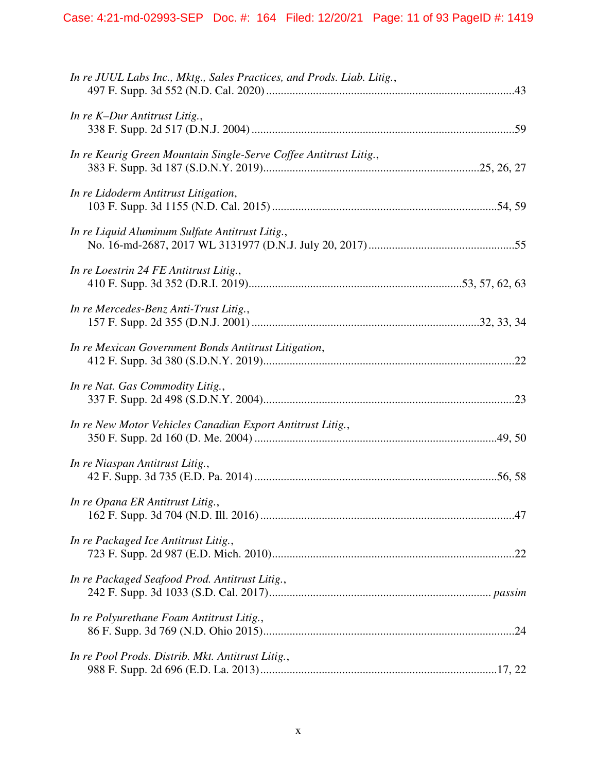| In re JUUL Labs Inc., Mktg., Sales Practices, and Prods. Liab. Litig., |  |
|------------------------------------------------------------------------|--|
| In re K-Dur Antitrust Litig.,                                          |  |
| In re Keurig Green Mountain Single-Serve Coffee Antitrust Litig.,      |  |
| In re Lidoderm Antitrust Litigation,                                   |  |
| In re Liquid Aluminum Sulfate Antitrust Litig.,                        |  |
| In re Loestrin 24 FE Antitrust Litig.,                                 |  |
| In re Mercedes-Benz Anti-Trust Litig.,                                 |  |
| In re Mexican Government Bonds Antitrust Litigation,                   |  |
| In re Nat. Gas Commodity Litig.,                                       |  |
| In re New Motor Vehicles Canadian Export Antitrust Litig.,             |  |
| In re Niaspan Antitrust Litig.,                                        |  |
| In re Opana ER Antitrust Litig.,                                       |  |
| In re Packaged Ice Antitrust Litig.,                                   |  |
| In re Packaged Seafood Prod. Antitrust Litig.,                         |  |
| In re Polyurethane Foam Antitrust Litig.,                              |  |
| In re Pool Prods. Distrib. Mkt. Antitrust Litig.,                      |  |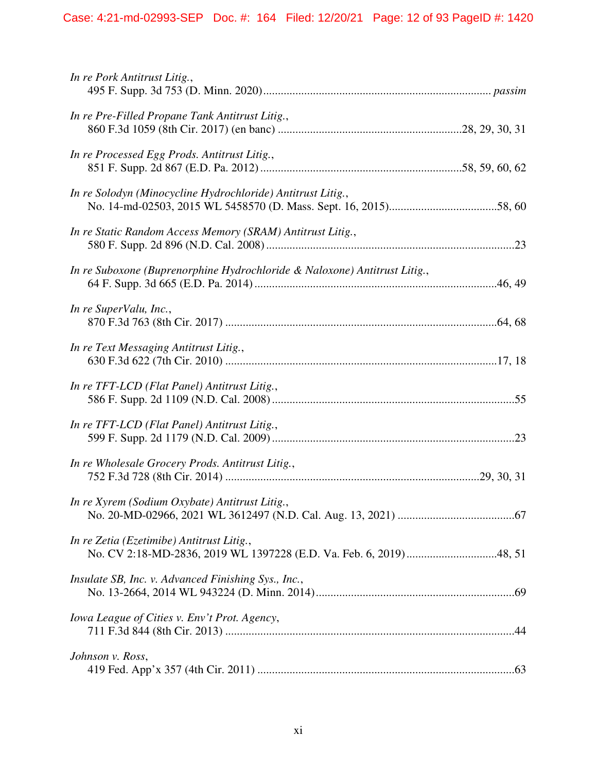| In re Pork Antitrust Litig.,                                              |  |
|---------------------------------------------------------------------------|--|
| In re Pre-Filled Propane Tank Antitrust Litig.,                           |  |
| In re Processed Egg Prods. Antitrust Litig.,                              |  |
| In re Solodyn (Minocycline Hydrochloride) Antitrust Litig.,               |  |
| In re Static Random Access Memory (SRAM) Antitrust Litig.,                |  |
| In re Suboxone (Buprenorphine Hydrochloride & Naloxone) Antitrust Litig., |  |
| In re SuperValu, Inc.,                                                    |  |
| In re Text Messaging Antitrust Litig.,                                    |  |
| In re TFT-LCD (Flat Panel) Antitrust Litig.,                              |  |
| In re TFT-LCD (Flat Panel) Antitrust Litig.,                              |  |
| In re Wholesale Grocery Prods. Antitrust Litig.,                          |  |
| In re Xyrem (Sodium Oxybate) Antitrust Litig.,                            |  |
| In re Zetia (Ezetimibe) Antitrust Litig.,                                 |  |
| Insulate SB, Inc. v. Advanced Finishing Sys., Inc.,                       |  |
| Iowa League of Cities v. Env't Prot. Agency,                              |  |
| Johnson v. Ross,                                                          |  |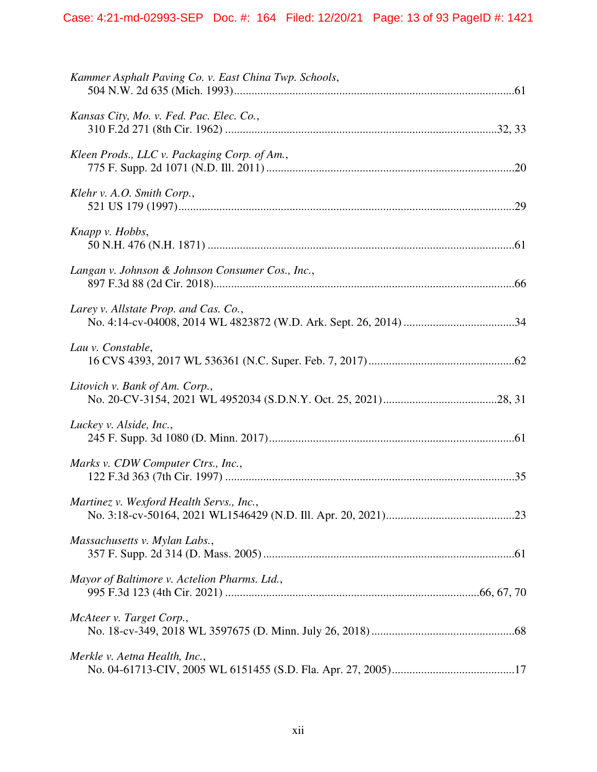| Kammer Asphalt Paving Co. v. East China Twp. Schools, |  |
|-------------------------------------------------------|--|
| Kansas City, Mo. v. Fed. Pac. Elec. Co.,              |  |
| Kleen Prods., LLC v. Packaging Corp. of Am.,          |  |
| Klehr v. A.O. Smith Corp.,                            |  |
| Knapp v. Hobbs,                                       |  |
| Langan v. Johnson & Johnson Consumer Cos., Inc.,      |  |
| Larey v. Allstate Prop. and Cas. Co.,                 |  |
| Lau v. Constable,                                     |  |
| Litovich v. Bank of Am. Corp.,                        |  |
| Luckey v. Alside, Inc.,                               |  |
| Marks v. CDW Computer Ctrs., Inc.,                    |  |
| Martinez v. Wexford Health Servs., Inc.,              |  |
| Massachusetts v. Mylan Labs.,                         |  |
| Mayor of Baltimore v. Actelion Pharms. Ltd.,          |  |
| McAteer v. Target Corp.,                              |  |
| Merkle v. Aetna Health, Inc.,                         |  |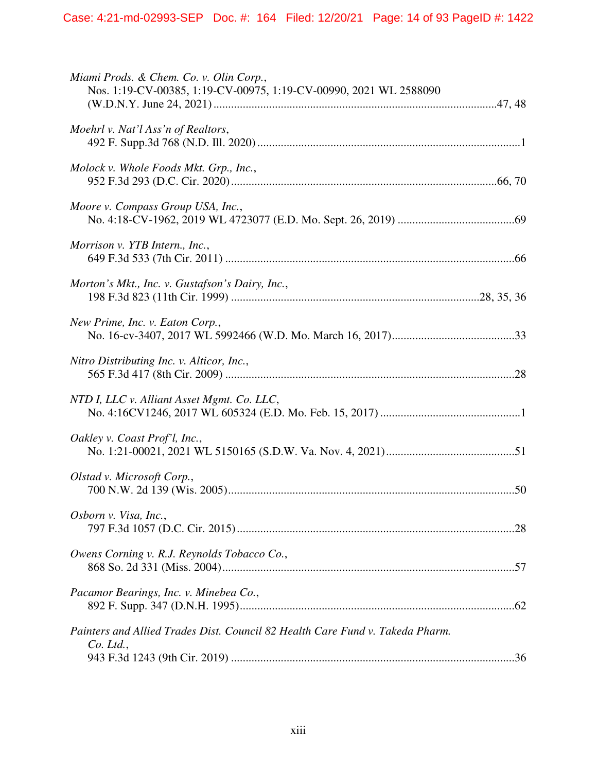| Miami Prods. & Chem. Co. v. Olin Corp.,<br>Nos. 1:19-CV-00385, 1:19-CV-00975, 1:19-CV-00990, 2021 WL 2588090 |  |
|--------------------------------------------------------------------------------------------------------------|--|
| Moehrl v. Nat'l Ass'n of Realtors,                                                                           |  |
| Molock v. Whole Foods Mkt. Grp., Inc.,                                                                       |  |
| Moore v. Compass Group USA, Inc.,                                                                            |  |
| Morrison v. YTB Intern., Inc.,                                                                               |  |
| Morton's Mkt., Inc. v. Gustafson's Dairy, Inc.,                                                              |  |
| New Prime, Inc. v. Eaton Corp.,                                                                              |  |
| Nitro Distributing Inc. v. Alticor, Inc.,                                                                    |  |
| NTD I, LLC v. Alliant Asset Mgmt. Co. LLC,                                                                   |  |
| Oakley v. Coast Prof'l, Inc.,                                                                                |  |
| Olstad v. Microsoft Corp.,                                                                                   |  |
| Osborn v. Visa, Inc.,                                                                                        |  |
| Owens Corning v. R.J. Reynolds Tobacco Co.,                                                                  |  |
| Pacamor Bearings, Inc. v. Minebea Co.,                                                                       |  |
| Painters and Allied Trades Dist. Council 82 Health Care Fund v. Takeda Pharm.<br>$Co.$ Ltd.,                 |  |
|                                                                                                              |  |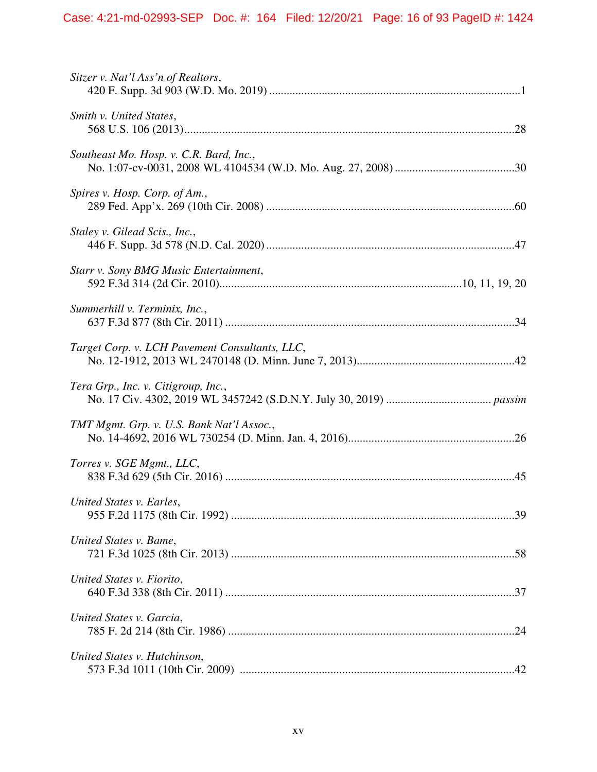| Sitzer v. Nat'l Ass'n of Realtors,             |  |
|------------------------------------------------|--|
| Smith v. United States,                        |  |
| Southeast Mo. Hosp. v. C.R. Bard, Inc.,        |  |
| Spires v. Hosp. Corp. of Am.,                  |  |
| Staley v. Gilead Scis., Inc.,                  |  |
| Starr v. Sony BMG Music Entertainment,         |  |
| Summerhill v. Terminix, Inc.,                  |  |
| Target Corp. v. LCH Pavement Consultants, LLC, |  |
| Tera Grp., Inc. v. Citigroup, Inc.,            |  |
| TMT Mgmt. Grp. v. U.S. Bank Nat'l Assoc.,      |  |
| Torres v. SGE Mgmt., LLC,                      |  |
| United States v. Earles,                       |  |
| United States v. Bame,                         |  |
| United States v. Fiorito,                      |  |
| United States v. Garcia,                       |  |
| United States v. Hutchinson,                   |  |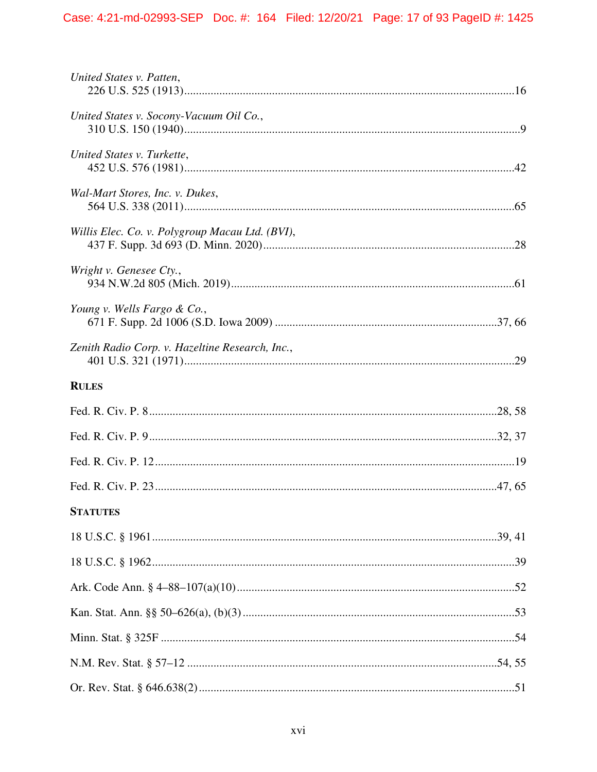| United States v. Patten,                        |
|-------------------------------------------------|
| United States v. Socony-Vacuum Oil Co.,         |
| United States v. Turkette,                      |
| Wal-Mart Stores, Inc. v. Dukes,                 |
| Willis Elec. Co. v. Polygroup Macau Ltd. (BVI), |
| Wright v. Genesee Cty.,                         |
| Young v. Wells Fargo & Co.,                     |
| Zenith Radio Corp. v. Hazeltine Research, Inc., |
| <b>RULES</b>                                    |
|                                                 |
|                                                 |
|                                                 |
|                                                 |
|                                                 |
| <b>STATUTES</b>                                 |
|                                                 |
|                                                 |
|                                                 |
|                                                 |
|                                                 |
|                                                 |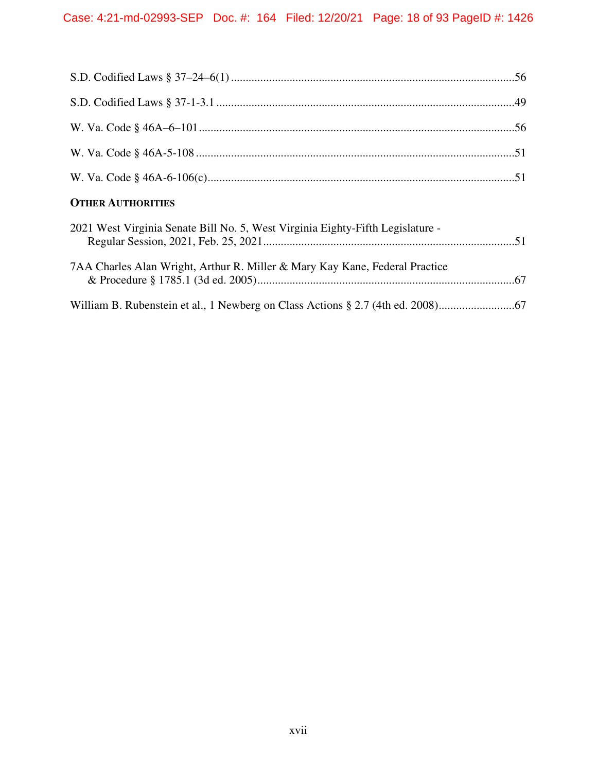| <b>OTHER AUTHORITIES</b>                                                       |
|--------------------------------------------------------------------------------|
| 2021 West Virginia Senate Bill No. 5, West Virginia Eighty-Fifth Legislature - |
| 7AA Charles Alan Wright, Arthur R. Miller & Mary Kay Kane, Federal Practice    |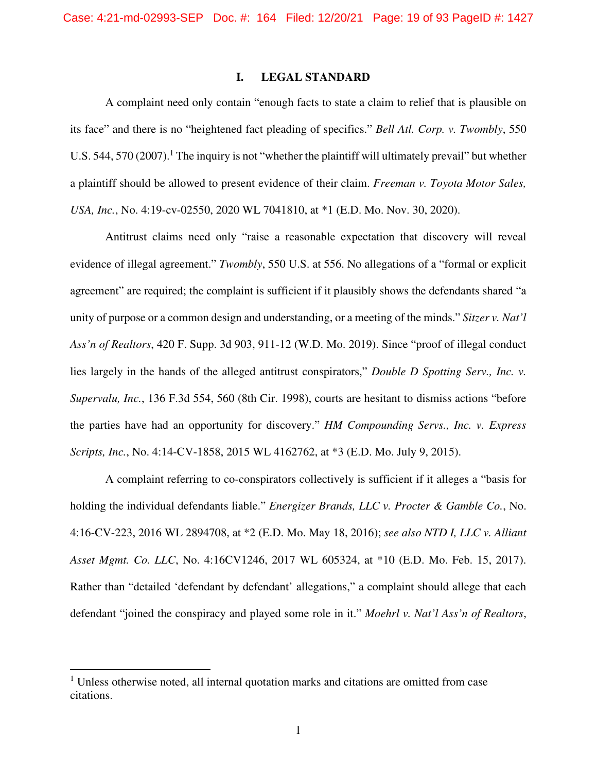### **I. LEGAL STANDARD**

A complaint need only contain "enough facts to state a claim to relief that is plausible on its face" and there is no "heightened fact pleading of specifics." *Bell Atl. Corp. v. Twombly*, 550 U.S. 544, 570 (2007).<sup>1</sup> The inquiry is not "whether the plaintiff will ultimately prevail" but whether a plaintiff should be allowed to present evidence of their claim. *Freeman v. Toyota Motor Sales, USA, Inc.*, No. 4:19-cv-02550, 2020 WL 7041810, at \*1 (E.D. Mo. Nov. 30, 2020).

Antitrust claims need only "raise a reasonable expectation that discovery will reveal evidence of illegal agreement." *Twombly*, 550 U.S. at 556. No allegations of a "formal or explicit agreement" are required; the complaint is sufficient if it plausibly shows the defendants shared "a unity of purpose or a common design and understanding, or a meeting of the minds." *Sitzer v. Nat'l Ass'n of Realtors*, 420 F. Supp. 3d 903, 911-12 (W.D. Mo. 2019). Since "proof of illegal conduct lies largely in the hands of the alleged antitrust conspirators," *Double D Spotting Serv., Inc. v. Supervalu, Inc.*, 136 F.3d 554, 560 (8th Cir. 1998), courts are hesitant to dismiss actions "before the parties have had an opportunity for discovery." *HM Compounding Servs., Inc. v. Express Scripts, Inc.*, No. 4:14-CV-1858, 2015 WL 4162762, at \*3 (E.D. Mo. July 9, 2015).

A complaint referring to co-conspirators collectively is sufficient if it alleges a "basis for holding the individual defendants liable." *Energizer Brands, LLC v. Procter & Gamble Co.*, No. 4:16-CV-223, 2016 WL 2894708, at \*2 (E.D. Mo. May 18, 2016); *see also NTD I, LLC v. Alliant Asset Mgmt. Co. LLC*, No. 4:16CV1246, 2017 WL 605324, at \*10 (E.D. Mo. Feb. 15, 2017). Rather than "detailed 'defendant by defendant' allegations," a complaint should allege that each defendant "joined the conspiracy and played some role in it." *Moehrl v. Nat'l Ass'n of Realtors*,

<sup>&</sup>lt;sup>1</sup> Unless otherwise noted, all internal quotation marks and citations are omitted from case citations.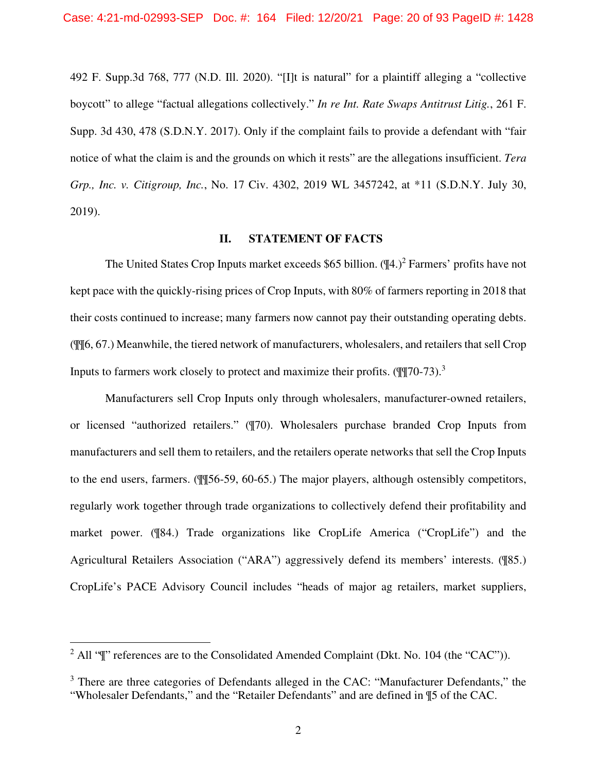492 F. Supp.3d 768, 777 (N.D. Ill. 2020). "[I]t is natural" for a plaintiff alleging a "collective boycott" to allege "factual allegations collectively." *In re Int. Rate Swaps Antitrust Litig.*, 261 F. Supp. 3d 430, 478 (S.D.N.Y. 2017). Only if the complaint fails to provide a defendant with "fair notice of what the claim is and the grounds on which it rests" are the allegations insufficient. *Tera Grp., Inc. v. Citigroup, Inc.*, No. 17 Civ. 4302, 2019 WL 3457242, at \*11 (S.D.N.Y. July 30, 2019).

### **II. STATEMENT OF FACTS**

The United States Crop Inputs market exceeds \$65 billion.  $(\mathbb{I}4.)^2$  Farmers' profits have not kept pace with the quickly-rising prices of Crop Inputs, with 80% of farmers reporting in 2018 that their costs continued to increase; many farmers now cannot pay their outstanding operating debts. (¶¶6, 67.) Meanwhile, the tiered network of manufacturers, wholesalers, and retailers that sell Crop Inputs to farmers work closely to protect and maximize their profits.  $(\mathbb{I} \mathbb{I} \mathbb{I} \mathbb{I} \mathbb{I} \mathbb{I} \mathbb{I} \mathbb{I} \mathbb{I} \mathbb{I} \mathbb{I} \mathbb{I} \mathbb{I} \mathbb{I} \mathbb{I} \mathbb{I} \mathbb{I} \mathbb{I} \mathbb{I} \mathbb{I} \mathbb{I} \mathbb{I} \mathbb{I} \mathbb{I} \mathbb{I}$ 

Manufacturers sell Crop Inputs only through wholesalers, manufacturer-owned retailers, or licensed "authorized retailers." (¶70). Wholesalers purchase branded Crop Inputs from manufacturers and sell them to retailers, and the retailers operate networks that sell the Crop Inputs to the end users, farmers. (¶¶56-59, 60-65.) The major players, although ostensibly competitors, regularly work together through trade organizations to collectively defend their profitability and market power. (¶84.) Trade organizations like CropLife America ("CropLife") and the Agricultural Retailers Association ("ARA") aggressively defend its members' interests. (¶85.) CropLife's PACE Advisory Council includes "heads of major ag retailers, market suppliers,

<sup>&</sup>lt;sup>2</sup> All " $\mathbb{I}$ " references are to the Consolidated Amended Complaint (Dkt. No. 104 (the "CAC")).

<sup>&</sup>lt;sup>3</sup> There are three categories of Defendants alleged in the CAC: "Manufacturer Defendants," the "Wholesaler Defendants," and the "Retailer Defendants" and are defined in ¶5 of the CAC.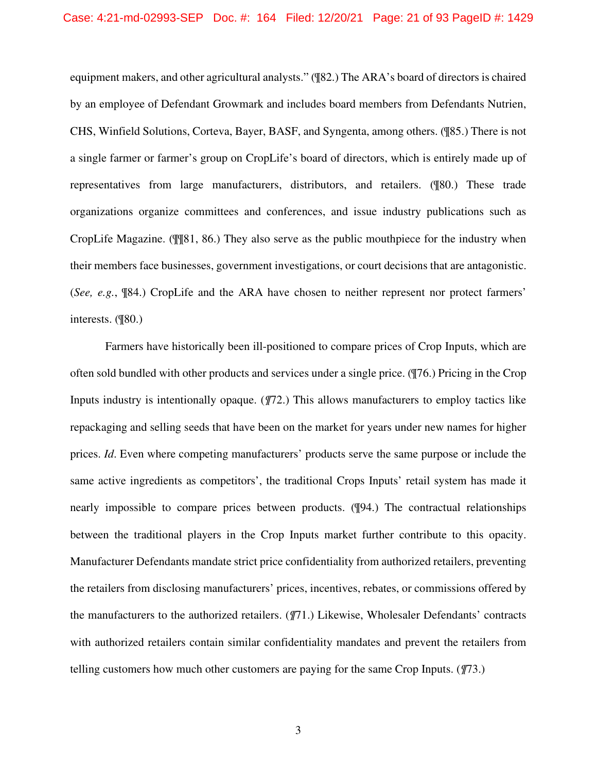equipment makers, and other agricultural analysts." (¶82.) The ARA's board of directors is chaired by an employee of Defendant Growmark and includes board members from Defendants Nutrien, CHS, Winfield Solutions, Corteva, Bayer, BASF, and Syngenta, among others. (¶85.) There is not a single farmer or farmer's group on CropLife's board of directors, which is entirely made up of representatives from large manufacturers, distributors, and retailers. (¶80.) These trade organizations organize committees and conferences, and issue industry publications such as CropLife Magazine. (¶¶81, 86.) They also serve as the public mouthpiece for the industry when their members face businesses, government investigations, or court decisions that are antagonistic. (*See, e.g.*, ¶84.) CropLife and the ARA have chosen to neither represent nor protect farmers' interests. (¶80.)

Farmers have historically been ill-positioned to compare prices of Crop Inputs, which are often sold bundled with other products and services under a single price. (¶76.) Pricing in the Crop Inputs industry is intentionally opaque. (*¶*72.) This allows manufacturers to employ tactics like repackaging and selling seeds that have been on the market for years under new names for higher prices. *Id*. Even where competing manufacturers' products serve the same purpose or include the same active ingredients as competitors', the traditional Crops Inputs' retail system has made it nearly impossible to compare prices between products. (¶94.) The contractual relationships between the traditional players in the Crop Inputs market further contribute to this opacity. Manufacturer Defendants mandate strict price confidentiality from authorized retailers, preventing the retailers from disclosing manufacturers' prices, incentives, rebates, or commissions offered by the manufacturers to the authorized retailers. (*¶*71.) Likewise, Wholesaler Defendants' contracts with authorized retailers contain similar confidentiality mandates and prevent the retailers from telling customers how much other customers are paying for the same Crop Inputs. (*¶*73.)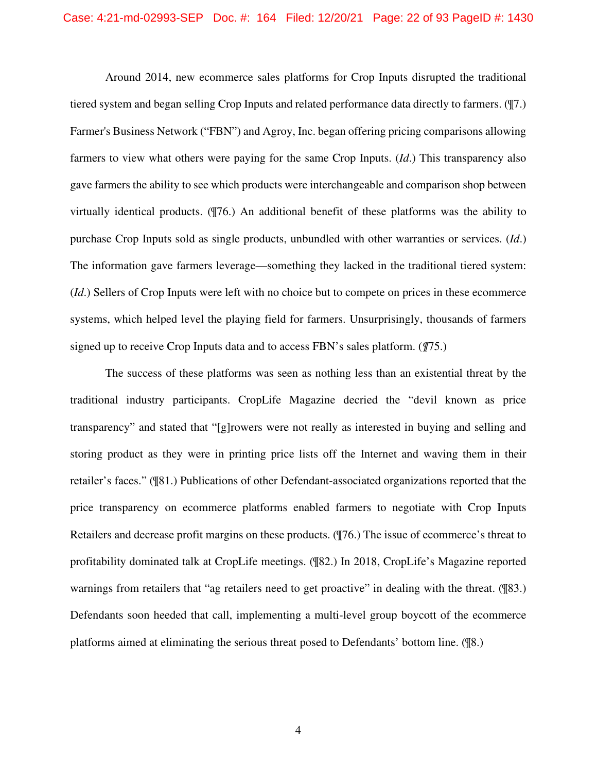Around 2014, new ecommerce sales platforms for Crop Inputs disrupted the traditional tiered system and began selling Crop Inputs and related performance data directly to farmers. (¶7.) Farmer's Business Network ("FBN") and Agroy, Inc. began offering pricing comparisons allowing farmers to view what others were paying for the same Crop Inputs. (*Id*.) This transparency also gave farmers the ability to see which products were interchangeable and comparison shop between virtually identical products. (¶76.) An additional benefit of these platforms was the ability to purchase Crop Inputs sold as single products, unbundled with other warranties or services. (*Id*.) The information gave farmers leverage—something they lacked in the traditional tiered system: (*Id*.) Sellers of Crop Inputs were left with no choice but to compete on prices in these ecommerce systems, which helped level the playing field for farmers. Unsurprisingly, thousands of farmers signed up to receive Crop Inputs data and to access FBN's sales platform. (*¶*75.)

The success of these platforms was seen as nothing less than an existential threat by the traditional industry participants. CropLife Magazine decried the "devil known as price transparency" and stated that "[g]rowers were not really as interested in buying and selling and storing product as they were in printing price lists off the Internet and waving them in their retailer's faces." (¶81.) Publications of other Defendant-associated organizations reported that the price transparency on ecommerce platforms enabled farmers to negotiate with Crop Inputs Retailers and decrease profit margins on these products. (¶76.) The issue of ecommerce's threat to profitability dominated talk at CropLife meetings. (¶82.) In 2018, CropLife's Magazine reported warnings from retailers that "ag retailers need to get proactive" in dealing with the threat. (¶83.) Defendants soon heeded that call, implementing a multi-level group boycott of the ecommerce platforms aimed at eliminating the serious threat posed to Defendants' bottom line. (¶8.)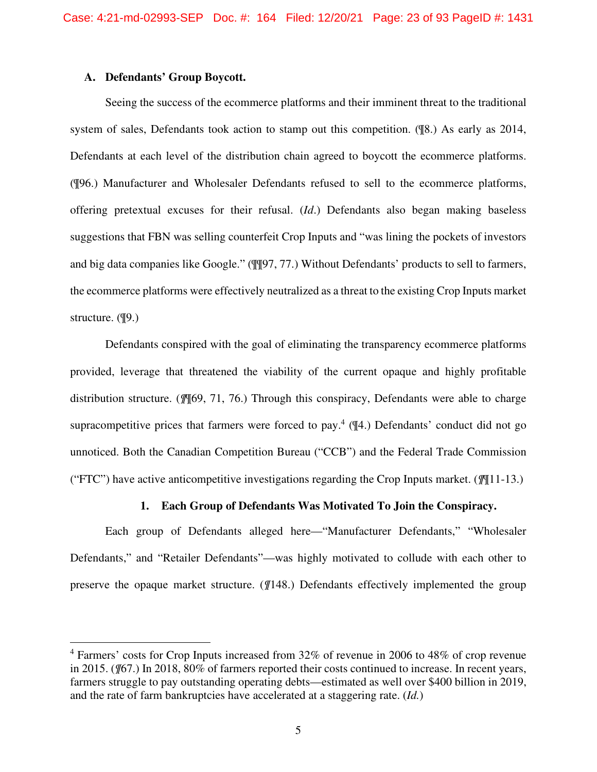### **A. Defendants' Group Boycott.**

Seeing the success of the ecommerce platforms and their imminent threat to the traditional system of sales, Defendants took action to stamp out this competition. (¶8.) As early as 2014, Defendants at each level of the distribution chain agreed to boycott the ecommerce platforms. (¶96.) Manufacturer and Wholesaler Defendants refused to sell to the ecommerce platforms, offering pretextual excuses for their refusal. (*Id*.) Defendants also began making baseless suggestions that FBN was selling counterfeit Crop Inputs and "was lining the pockets of investors and big data companies like Google." (¶¶97, 77.) Without Defendants' products to sell to farmers, the ecommerce platforms were effectively neutralized as a threat to the existing Crop Inputs market structure. (¶9.)

Defendants conspired with the goal of eliminating the transparency ecommerce platforms provided, leverage that threatened the viability of the current opaque and highly profitable distribution structure. (*¶*¶69, 71, 76.) Through this conspiracy, Defendants were able to charge supracompetitive prices that farmers were forced to pay.<sup>4</sup>  $($ <sup>4</sup> $($ 4.) Defendants' conduct did not go unnoticed. Both the Canadian Competition Bureau ("CCB") and the Federal Trade Commission ("FTC") have active anticompetitive investigations regarding the Crop Inputs market. (*¶*¶11-13.)

# **1. Each Group of Defendants Was Motivated To Join the Conspiracy.**

Each group of Defendants alleged here—"Manufacturer Defendants," "Wholesaler Defendants," and "Retailer Defendants"—was highly motivated to collude with each other to preserve the opaque market structure. (*¶*148.) Defendants effectively implemented the group

<sup>&</sup>lt;sup>4</sup> Farmers' costs for Crop Inputs increased from 32% of revenue in 2006 to 48% of crop revenue in 2015. (*¶*67.) In 2018, 80% of farmers reported their costs continued to increase. In recent years, farmers struggle to pay outstanding operating debts—estimated as well over \$400 billion in 2019, and the rate of farm bankruptcies have accelerated at a staggering rate. (*Id.*)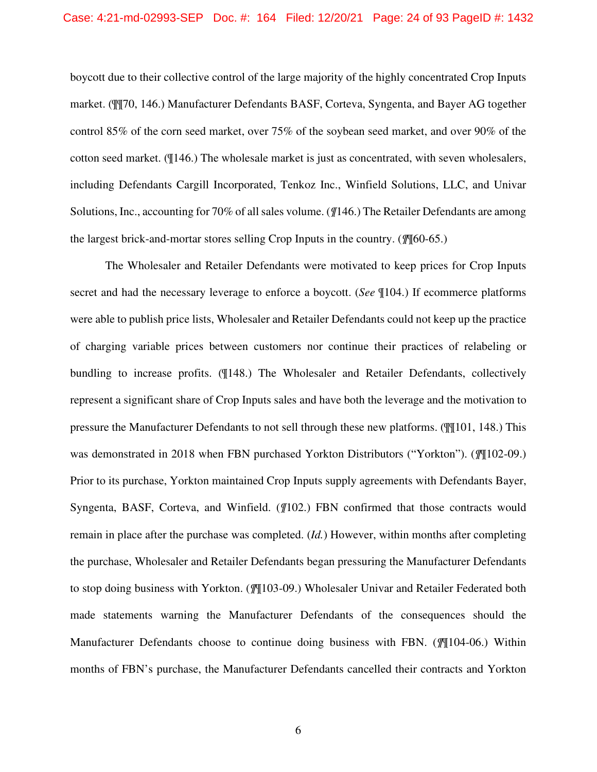#### Case: 4:21-md-02993-SEP Doc. #: 164 Filed: 12/20/21 Page: 24 of 93 PageID #: 1432

boycott due to their collective control of the large majority of the highly concentrated Crop Inputs market. (¶¶70, 146.) Manufacturer Defendants BASF, Corteva, Syngenta, and Bayer AG together control 85% of the corn seed market, over 75% of the soybean seed market, and over 90% of the cotton seed market. (¶146.) The wholesale market is just as concentrated, with seven wholesalers, including Defendants Cargill Incorporated, Tenkoz Inc., Winfield Solutions, LLC, and Univar Solutions, Inc., accounting for 70% of all sales volume. (*¶*146.) The Retailer Defendants are among the largest brick-and-mortar stores selling Crop Inputs in the country. (*¶*¶60-65.)

The Wholesaler and Retailer Defendants were motivated to keep prices for Crop Inputs secret and had the necessary leverage to enforce a boycott. (*See* ¶104.) If ecommerce platforms were able to publish price lists, Wholesaler and Retailer Defendants could not keep up the practice of charging variable prices between customers nor continue their practices of relabeling or bundling to increase profits. (¶148.) The Wholesaler and Retailer Defendants, collectively represent a significant share of Crop Inputs sales and have both the leverage and the motivation to pressure the Manufacturer Defendants to not sell through these new platforms. (¶¶101, 148.) This was demonstrated in 2018 when FBN purchased Yorkton Distributors ("Yorkton"). (*¶*¶102-09.) Prior to its purchase, Yorkton maintained Crop Inputs supply agreements with Defendants Bayer, Syngenta, BASF, Corteva, and Winfield. (*¶*102.) FBN confirmed that those contracts would remain in place after the purchase was completed. (*Id.*) However, within months after completing the purchase, Wholesaler and Retailer Defendants began pressuring the Manufacturer Defendants to stop doing business with Yorkton. (*¶*¶103-09.) Wholesaler Univar and Retailer Federated both made statements warning the Manufacturer Defendants of the consequences should the Manufacturer Defendants choose to continue doing business with FBN. (*¶*¶104-06.) Within months of FBN's purchase, the Manufacturer Defendants cancelled their contracts and Yorkton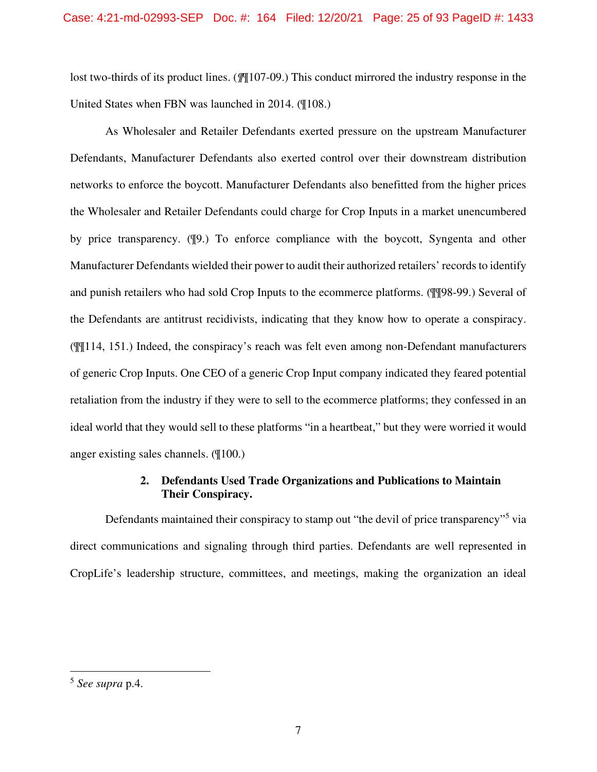lost two-thirds of its product lines. (*¶*¶107-09.) This conduct mirrored the industry response in the United States when FBN was launched in 2014. (¶108.)

As Wholesaler and Retailer Defendants exerted pressure on the upstream Manufacturer Defendants, Manufacturer Defendants also exerted control over their downstream distribution networks to enforce the boycott. Manufacturer Defendants also benefitted from the higher prices the Wholesaler and Retailer Defendants could charge for Crop Inputs in a market unencumbered by price transparency. (¶9.) To enforce compliance with the boycott, Syngenta and other Manufacturer Defendants wielded their power to audit their authorized retailers' records to identify and punish retailers who had sold Crop Inputs to the ecommerce platforms. (¶¶98-99.) Several of the Defendants are antitrust recidivists, indicating that they know how to operate a conspiracy. (¶¶114, 151.) Indeed, the conspiracy's reach was felt even among non-Defendant manufacturers of generic Crop Inputs. One CEO of a generic Crop Input company indicated they feared potential retaliation from the industry if they were to sell to the ecommerce platforms; they confessed in an ideal world that they would sell to these platforms "in a heartbeat," but they were worried it would anger existing sales channels. (¶100.)

# **2. Defendants Used Trade Organizations and Publications to Maintain Their Conspiracy.**

Defendants maintained their conspiracy to stamp out "the devil of price transparency"<sup>5</sup> via direct communications and signaling through third parties. Defendants are well represented in CropLife's leadership structure, committees, and meetings, making the organization an ideal

<sup>5</sup> *See supra* p.4.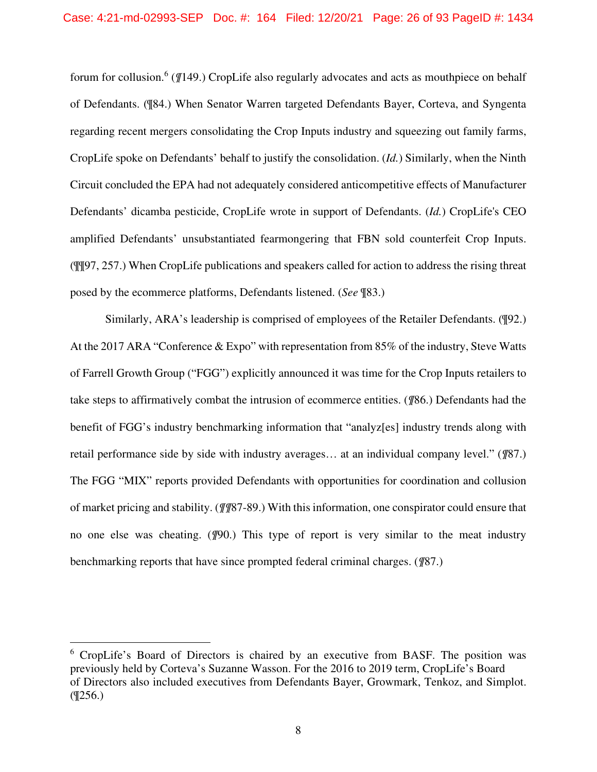forum for collusion.<sup>6</sup> (*[*[149.) CropLife also regularly advocates and acts as mouthpiece on behalf of Defendants. (¶84.) When Senator Warren targeted Defendants Bayer, Corteva, and Syngenta regarding recent mergers consolidating the Crop Inputs industry and squeezing out family farms, CropLife spoke on Defendants' behalf to justify the consolidation. (*Id.*) Similarly, when the Ninth Circuit concluded the EPA had not adequately considered anticompetitive effects of Manufacturer Defendants' dicamba pesticide, CropLife wrote in support of Defendants. (*Id.*) CropLife's CEO amplified Defendants' unsubstantiated fearmongering that FBN sold counterfeit Crop Inputs. (¶¶97, 257.) When CropLife publications and speakers called for action to address the rising threat posed by the ecommerce platforms, Defendants listened. (*See* ¶83.)

Similarly, ARA's leadership is comprised of employees of the Retailer Defendants. (¶92.) At the 2017 ARA "Conference & Expo" with representation from 85% of the industry, Steve Watts of Farrell Growth Group ("FGG") explicitly announced it was time for the Crop Inputs retailers to take steps to affirmatively combat the intrusion of ecommerce entities. (*¶*86.) Defendants had the benefit of FGG's industry benchmarking information that "analyz[es] industry trends along with retail performance side by side with industry averages… at an individual company level." (*¶*87.) The FGG "MIX" reports provided Defendants with opportunities for coordination and collusion of market pricing and stability. (*¶¶*87-89.) With this information, one conspirator could ensure that no one else was cheating. (*¶*90.) This type of report is very similar to the meat industry benchmarking reports that have since prompted federal criminal charges. (*¶*87.)

<sup>&</sup>lt;sup>6</sup> CropLife's Board of Directors is chaired by an executive from BASF. The position was previously held by Corteva's Suzanne Wasson. For the 2016 to 2019 term, CropLife's Board of Directors also included executives from Defendants Bayer, Growmark, Tenkoz, and Simplot.  $($  ( $\frac{256.}{ }$ )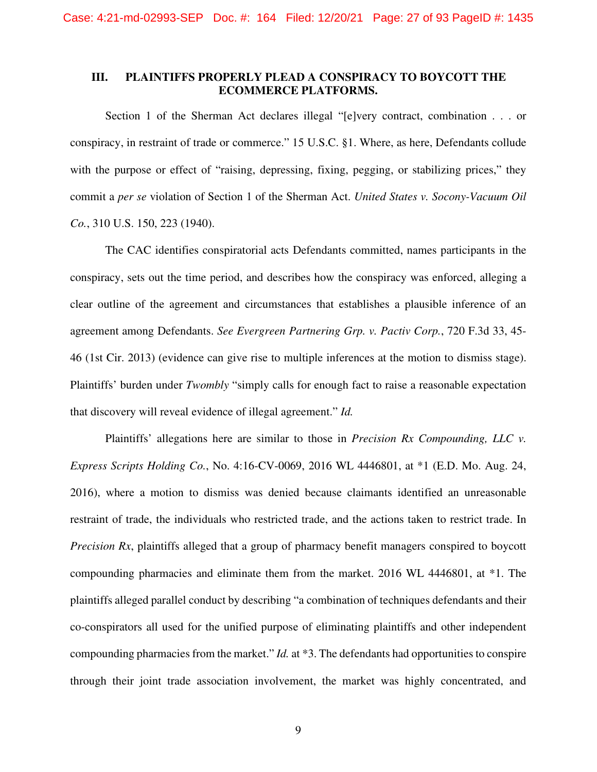## **III. PLAINTIFFS PROPERLY PLEAD A CONSPIRACY TO BOYCOTT THE ECOMMERCE PLATFORMS.**

Section 1 of the Sherman Act declares illegal "[e]very contract, combination . . . or conspiracy, in restraint of trade or commerce." 15 U.S.C. §1. Where, as here, Defendants collude with the purpose or effect of "raising, depressing, fixing, pegging, or stabilizing prices," they commit a *per se* violation of Section 1 of the Sherman Act. *United States v. Socony-Vacuum Oil Co.*, 310 U.S. 150, 223 (1940).

The CAC identifies conspiratorial acts Defendants committed, names participants in the conspiracy, sets out the time period, and describes how the conspiracy was enforced, alleging a clear outline of the agreement and circumstances that establishes a plausible inference of an agreement among Defendants. *See Evergreen Partnering Grp. v. Pactiv Corp.*, 720 F.3d 33, 45- 46 (1st Cir. 2013) (evidence can give rise to multiple inferences at the motion to dismiss stage). Plaintiffs' burden under *Twombly* "simply calls for enough fact to raise a reasonable expectation that discovery will reveal evidence of illegal agreement." *Id.*

Plaintiffs' allegations here are similar to those in *Precision Rx Compounding, LLC v. Express Scripts Holding Co.*, No. 4:16-CV-0069, 2016 WL 4446801, at \*1 (E.D. Mo. Aug. 24, 2016), where a motion to dismiss was denied because claimants identified an unreasonable restraint of trade, the individuals who restricted trade, and the actions taken to restrict trade. In *Precision Rx*, plaintiffs alleged that a group of pharmacy benefit managers conspired to boycott compounding pharmacies and eliminate them from the market. 2016 WL 4446801, at \*1. The plaintiffs alleged parallel conduct by describing "a combination of techniques defendants and their co-conspirators all used for the unified purpose of eliminating plaintiffs and other independent compounding pharmacies from the market." *Id.* at \*3. The defendants had opportunities to conspire through their joint trade association involvement, the market was highly concentrated, and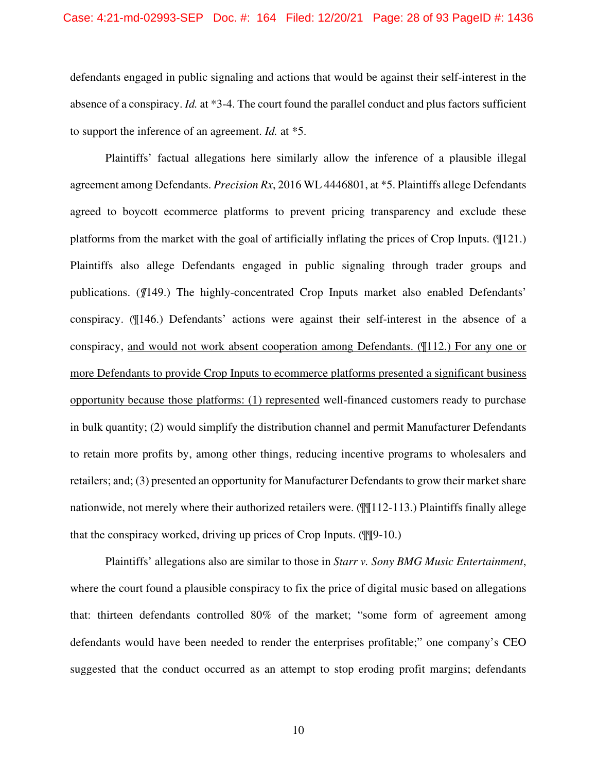defendants engaged in public signaling and actions that would be against their self-interest in the absence of a conspiracy. *Id.* at \*3-4. The court found the parallel conduct and plus factors sufficient to support the inference of an agreement. *Id.* at \*5.

Plaintiffs' factual allegations here similarly allow the inference of a plausible illegal agreement among Defendants. *Precision Rx*, 2016 WL 4446801, at \*5. Plaintiffs allege Defendants agreed to boycott ecommerce platforms to prevent pricing transparency and exclude these platforms from the market with the goal of artificially inflating the prices of Crop Inputs. (¶121.) Plaintiffs also allege Defendants engaged in public signaling through trader groups and publications. (*¶*149.) The highly-concentrated Crop Inputs market also enabled Defendants' conspiracy. (¶146.) Defendants' actions were against their self-interest in the absence of a conspiracy, and would not work absent cooperation among Defendants. (¶112.) For any one or more Defendants to provide Crop Inputs to ecommerce platforms presented a significant business opportunity because those platforms: (1) represented well-financed customers ready to purchase in bulk quantity; (2) would simplify the distribution channel and permit Manufacturer Defendants to retain more profits by, among other things, reducing incentive programs to wholesalers and retailers; and; (3) presented an opportunity for Manufacturer Defendants to grow their market share nationwide, not merely where their authorized retailers were. (¶¶112-113.) Plaintiffs finally allege that the conspiracy worked, driving up prices of Crop Inputs. (¶¶9-10.)

Plaintiffs' allegations also are similar to those in *Starr v. Sony BMG Music Entertainment*, where the court found a plausible conspiracy to fix the price of digital music based on allegations that: thirteen defendants controlled 80% of the market; "some form of agreement among defendants would have been needed to render the enterprises profitable;" one company's CEO suggested that the conduct occurred as an attempt to stop eroding profit margins; defendants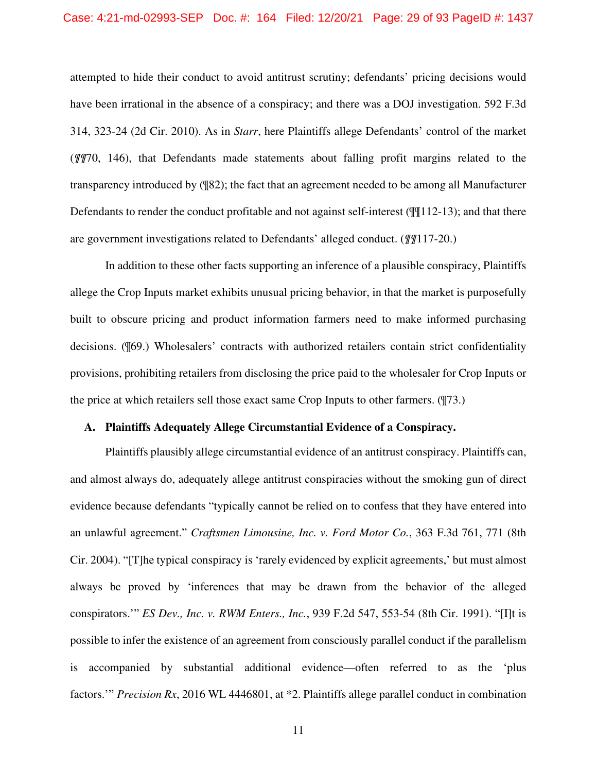#### Case: 4:21-md-02993-SEP Doc. #: 164 Filed: 12/20/21 Page: 29 of 93 PageID #: 1437

attempted to hide their conduct to avoid antitrust scrutiny; defendants' pricing decisions would have been irrational in the absence of a conspiracy; and there was a DOJ investigation. 592 F.3d 314, 323-24 (2d Cir. 2010). As in *Starr*, here Plaintiffs allege Defendants' control of the market (*¶¶*70, 146), that Defendants made statements about falling profit margins related to the transparency introduced by (¶82); the fact that an agreement needed to be among all Manufacturer Defendants to render the conduct profitable and not against self-interest ( $\mathbb{Q}[\mathbb{I}]$ 12-13); and that there are government investigations related to Defendants' alleged conduct. (*¶¶*117-20.)

In addition to these other facts supporting an inference of a plausible conspiracy, Plaintiffs allege the Crop Inputs market exhibits unusual pricing behavior, in that the market is purposefully built to obscure pricing and product information farmers need to make informed purchasing decisions. (¶69.) Wholesalers' contracts with authorized retailers contain strict confidentiality provisions, prohibiting retailers from disclosing the price paid to the wholesaler for Crop Inputs or the price at which retailers sell those exact same Crop Inputs to other farmers. (¶73.)

#### **A. Plaintiffs Adequately Allege Circumstantial Evidence of a Conspiracy.**

Plaintiffs plausibly allege circumstantial evidence of an antitrust conspiracy. Plaintiffs can, and almost always do, adequately allege antitrust conspiracies without the smoking gun of direct evidence because defendants "typically cannot be relied on to confess that they have entered into an unlawful agreement." *Craftsmen Limousine, Inc. v. Ford Motor Co.*, 363 F.3d 761, 771 (8th Cir. 2004). "[T]he typical conspiracy is 'rarely evidenced by explicit agreements,' but must almost always be proved by 'inferences that may be drawn from the behavior of the alleged conspirators.'" *ES Dev., Inc. v. RWM Enters., Inc.*, 939 F.2d 547, 553-54 (8th Cir. 1991). "[I]t is possible to infer the existence of an agreement from consciously parallel conduct if the parallelism is accompanied by substantial additional evidence—often referred to as the 'plus factors.'" *Precision Rx*, 2016 WL 4446801, at \*2. Plaintiffs allege parallel conduct in combination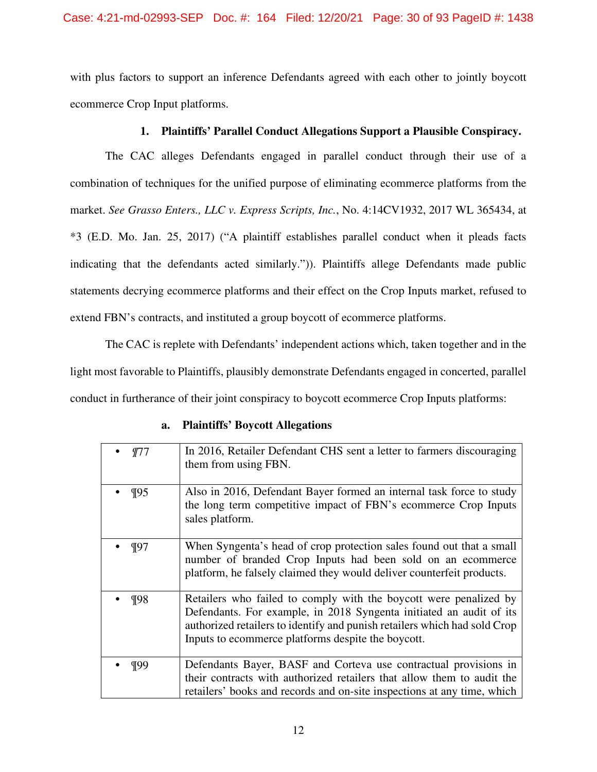with plus factors to support an inference Defendants agreed with each other to jointly boycott ecommerce Crop Input platforms.

# **1. Plaintiffs' Parallel Conduct Allegations Support a Plausible Conspiracy.**

The CAC alleges Defendants engaged in parallel conduct through their use of a combination of techniques for the unified purpose of eliminating ecommerce platforms from the market. *See Grasso Enters., LLC v. Express Scripts, Inc.*, No. 4:14CV1932, 2017 WL 365434, at \*3 (E.D. Mo. Jan. 25, 2017) ("A plaintiff establishes parallel conduct when it pleads facts indicating that the defendants acted similarly.")). Plaintiffs allege Defendants made public statements decrying ecommerce platforms and their effect on the Crop Inputs market, refused to extend FBN's contracts, and instituted a group boycott of ecommerce platforms.

The CAC is replete with Defendants' independent actions which, taken together and in the light most favorable to Plaintiffs, plausibly demonstrate Defendants engaged in concerted, parallel conduct in furtherance of their joint conspiracy to boycott ecommerce Crop Inputs platforms:

| a. |  |  | <b>Plaintiffs' Boycott Allegations</b> |
|----|--|--|----------------------------------------|
|----|--|--|----------------------------------------|

|         | In 2016, Retailer Defendant CHS sent a letter to farmers discouraging<br>them from using FBN.                                                                                                                                                                               |
|---------|-----------------------------------------------------------------------------------------------------------------------------------------------------------------------------------------------------------------------------------------------------------------------------|
| $\P95$  | Also in 2016, Defendant Bayer formed an internal task force to study<br>the long term competitive impact of FBN's ecommerce Crop Inputs<br>sales platform.                                                                                                                  |
| $\P97$  | When Syngenta's head of crop protection sales found out that a small<br>number of branded Crop Inputs had been sold on an ecommerce<br>platform, he falsely claimed they would deliver counterfeit products.                                                                |
| $\P$ 98 | Retailers who failed to comply with the boycott were penalized by<br>Defendants. For example, in 2018 Syngenta initiated an audit of its<br>authorized retailers to identify and punish retailers which had sold Crop<br>Inputs to ecommerce platforms despite the boycott. |
| $\P99$  | Defendants Bayer, BASF and Corteva use contractual provisions in<br>their contracts with authorized retailers that allow them to audit the<br>retailers' books and records and on-site inspections at any time, which                                                       |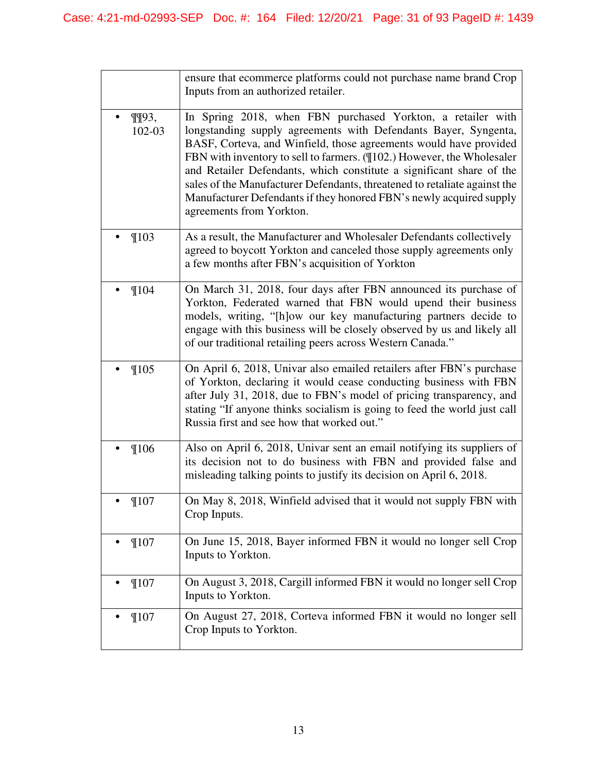|                           | ensure that ecommerce platforms could not purchase name brand Crop<br>Inputs from an authorized retailer.                                                                                                                                                                                                                                                                                                                                                                                                                             |
|---------------------------|---------------------------------------------------------------------------------------------------------------------------------------------------------------------------------------------------------------------------------------------------------------------------------------------------------------------------------------------------------------------------------------------------------------------------------------------------------------------------------------------------------------------------------------|
| $\P$ $\P$ $93,$<br>102-03 | In Spring 2018, when FBN purchased Yorkton, a retailer with<br>longstanding supply agreements with Defendants Bayer, Syngenta,<br>BASF, Corteva, and Winfield, those agreements would have provided<br>FBN with inventory to sell to farmers. (1102.) However, the Wholesaler<br>and Retailer Defendants, which constitute a significant share of the<br>sales of the Manufacturer Defendants, threatened to retaliate against the<br>Manufacturer Defendants if they honored FBN's newly acquired supply<br>agreements from Yorkton. |
| $\P$ 103                  | As a result, the Manufacturer and Wholesaler Defendants collectively<br>agreed to boycott Yorkton and canceled those supply agreements only<br>a few months after FBN's acquisition of Yorkton                                                                                                                                                                                                                                                                                                                                        |
| $\P$ 104                  | On March 31, 2018, four days after FBN announced its purchase of<br>Yorkton, Federated warned that FBN would upend their business<br>models, writing, "[h]ow our key manufacturing partners decide to<br>engage with this business will be closely observed by us and likely all<br>of our traditional retailing peers across Western Canada."                                                                                                                                                                                        |
| $\P$ 105                  | On April 6, 2018, Univar also emailed retailers after FBN's purchase<br>of Yorkton, declaring it would cease conducting business with FBN<br>after July 31, 2018, due to FBN's model of pricing transparency, and<br>stating "If anyone thinks socialism is going to feed the world just call<br>Russia first and see how that worked out."                                                                                                                                                                                           |
| $\P106$                   | Also on April 6, 2018, Univar sent an email notifying its suppliers of<br>its decision not to do business with FBN and provided false and<br>misleading talking points to justify its decision on April 6, 2018.                                                                                                                                                                                                                                                                                                                      |
| ¶107                      | On May 8, 2018, Winfield advised that it would not supply FBN with<br>Crop Inputs.                                                                                                                                                                                                                                                                                                                                                                                                                                                    |
| $\P$ 107                  | On June 15, 2018, Bayer informed FBN it would no longer sell Crop<br>Inputs to Yorkton.                                                                                                                                                                                                                                                                                                                                                                                                                                               |
| $\P$ 107                  | On August 3, 2018, Cargill informed FBN it would no longer sell Crop<br>Inputs to Yorkton.                                                                                                                                                                                                                                                                                                                                                                                                                                            |
| $\P$ 107                  | On August 27, 2018, Corteva informed FBN it would no longer sell<br>Crop Inputs to Yorkton.                                                                                                                                                                                                                                                                                                                                                                                                                                           |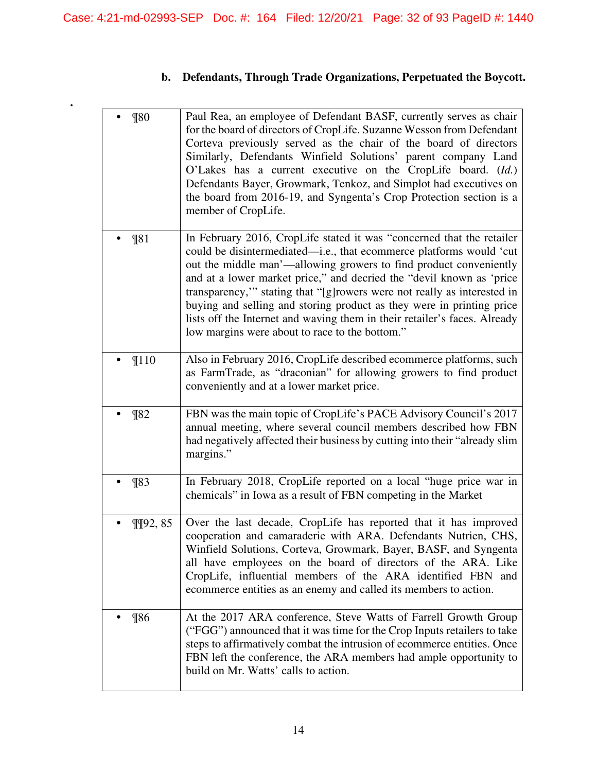**.** 

# **b. Defendants, Through Trade Organizations, Perpetuated the Boycott.**

| $\P80$             | Paul Rea, an employee of Defendant BASF, currently serves as chair<br>for the board of directors of CropLife. Suzanne Wesson from Defendant<br>Corteva previously served as the chair of the board of directors<br>Similarly, Defendants Winfield Solutions' parent company Land<br>O'Lakes has a current executive on the CropLife board. (Id.)<br>Defendants Bayer, Growmark, Tenkoz, and Simplot had executives on<br>the board from 2016-19, and Syngenta's Crop Protection section is a<br>member of CropLife.                                                           |
|--------------------|-------------------------------------------------------------------------------------------------------------------------------------------------------------------------------------------------------------------------------------------------------------------------------------------------------------------------------------------------------------------------------------------------------------------------------------------------------------------------------------------------------------------------------------------------------------------------------|
| $\P81$             | In February 2016, CropLife stated it was "concerned that the retailer<br>could be disintermediated—i.e., that ecommerce platforms would 'cut<br>out the middle man'—allowing growers to find product conveniently<br>and at a lower market price," and decried the "devil known as 'price<br>transparency," stating that "[g] rowers were not really as interested in<br>buying and selling and storing product as they were in printing price<br>lists off the Internet and waving them in their retailer's faces. Already<br>low margins were about to race to the bottom." |
| $\P110$            | Also in February 2016, CropLife described ecommerce platforms, such<br>as FarmTrade, as "draconian" for allowing growers to find product<br>conveniently and at a lower market price.                                                                                                                                                                                                                                                                                                                                                                                         |
| $\P$ 82            | FBN was the main topic of CropLife's PACE Advisory Council's 2017<br>annual meeting, where several council members described how FBN<br>had negatively affected their business by cutting into their "already slim<br>margins."                                                                                                                                                                                                                                                                                                                                               |
| $\P$ 83            | In February 2018, CropLife reported on a local "huge price war in<br>chemicals" in Iowa as a result of FBN competing in the Market                                                                                                                                                                                                                                                                                                                                                                                                                                            |
| $\P$ $\P$ $92, 85$ | Over the last decade, CropLife has reported that it has improved<br>cooperation and camaraderie with ARA. Defendants Nutrien, CHS,<br>Winfield Solutions, Corteva, Growmark, Bayer, BASF, and Syngenta<br>all have employees on the board of directors of the ARA. Like<br>CropLife, influential members of the ARA identified FBN and<br>ecommerce entities as an enemy and called its members to action.                                                                                                                                                                    |
| $\P$ 86            | At the 2017 ARA conference, Steve Watts of Farrell Growth Group<br>("FGG") announced that it was time for the Crop Inputs retailers to take<br>steps to affirmatively combat the intrusion of ecommerce entities. Once<br>FBN left the conference, the ARA members had ample opportunity to<br>build on Mr. Watts' calls to action.                                                                                                                                                                                                                                           |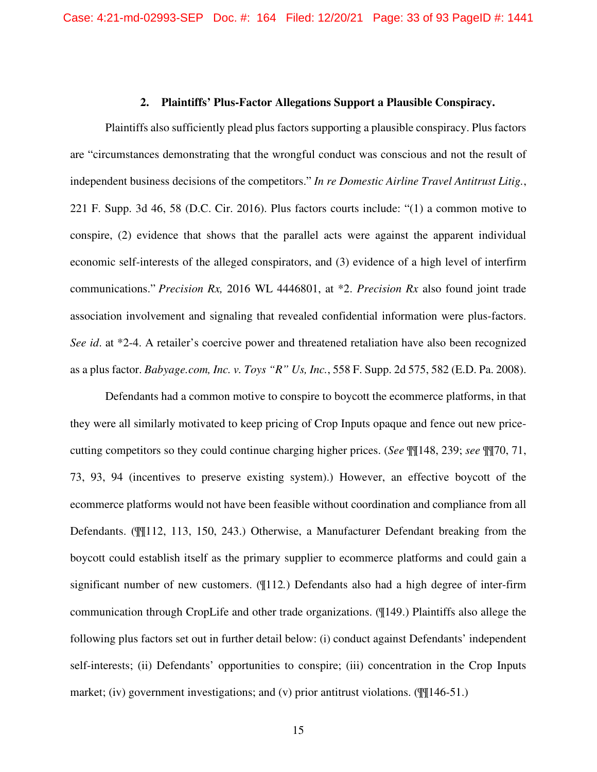### **2. Plaintiffs' Plus-Factor Allegations Support a Plausible Conspiracy.**

Plaintiffs also sufficiently plead plus factors supporting a plausible conspiracy. Plus factors are "circumstances demonstrating that the wrongful conduct was conscious and not the result of independent business decisions of the competitors." *In re Domestic Airline Travel Antitrust Litig.*, 221 F. Supp. 3d 46, 58 (D.C. Cir. 2016). Plus factors courts include: "(1) a common motive to conspire, (2) evidence that shows that the parallel acts were against the apparent individual economic self-interests of the alleged conspirators, and (3) evidence of a high level of interfirm communications." *Precision Rx,* 2016 WL 4446801, at \*2. *Precision Rx* also found joint trade association involvement and signaling that revealed confidential information were plus-factors. *See id*. at \*2-4. A retailer's coercive power and threatened retaliation have also been recognized as a plus factor. *Babyage.com, Inc. v. Toys "R" Us, Inc.*, 558 F. Supp. 2d 575, 582 (E.D. Pa. 2008).

Defendants had a common motive to conspire to boycott the ecommerce platforms, in that they were all similarly motivated to keep pricing of Crop Inputs opaque and fence out new pricecutting competitors so they could continue charging higher prices. (*See* ¶¶148, 239; *see* ¶¶70, 71, 73, 93, 94 (incentives to preserve existing system).) However, an effective boycott of the ecommerce platforms would not have been feasible without coordination and compliance from all Defendants. (¶¶112, 113, 150, 243.) Otherwise, a Manufacturer Defendant breaking from the boycott could establish itself as the primary supplier to ecommerce platforms and could gain a significant number of new customers. (¶112*.*) Defendants also had a high degree of inter-firm communication through CropLife and other trade organizations. (¶149.) Plaintiffs also allege the following plus factors set out in further detail below: (i) conduct against Defendants' independent self-interests; (ii) Defendants' opportunities to conspire; (iii) concentration in the Crop Inputs market; (iv) government investigations; and (v) prior antitrust violations. ( $\P$ [146-51.)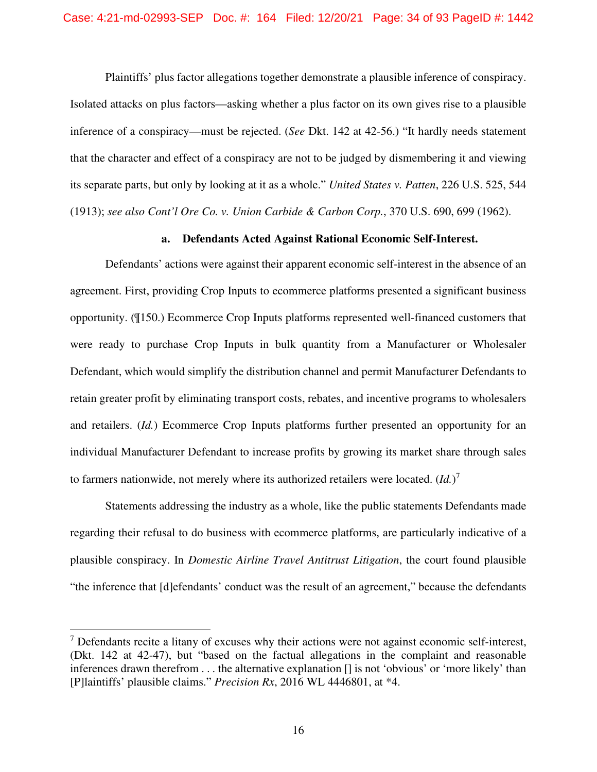Plaintiffs' plus factor allegations together demonstrate a plausible inference of conspiracy. Isolated attacks on plus factors—asking whether a plus factor on its own gives rise to a plausible inference of a conspiracy—must be rejected. (*See* Dkt. 142 at 42-56.) "It hardly needs statement that the character and effect of a conspiracy are not to be judged by dismembering it and viewing its separate parts, but only by looking at it as a whole." *United States v. Patten*, 226 U.S. 525, 544 (1913); *see also Cont'l Ore Co. v. Union Carbide & Carbon Corp.*, 370 U.S. 690, 699 (1962).

### **a. Defendants Acted Against Rational Economic Self-Interest.**

Defendants' actions were against their apparent economic self-interest in the absence of an agreement. First, providing Crop Inputs to ecommerce platforms presented a significant business opportunity. (¶150.) Ecommerce Crop Inputs platforms represented well-financed customers that were ready to purchase Crop Inputs in bulk quantity from a Manufacturer or Wholesaler Defendant, which would simplify the distribution channel and permit Manufacturer Defendants to retain greater profit by eliminating transport costs, rebates, and incentive programs to wholesalers and retailers. (*Id.*) Ecommerce Crop Inputs platforms further presented an opportunity for an individual Manufacturer Defendant to increase profits by growing its market share through sales to farmers nationwide, not merely where its authorized retailers were located.  $(Id.)^7$ 

Statements addressing the industry as a whole, like the public statements Defendants made regarding their refusal to do business with ecommerce platforms, are particularly indicative of a plausible conspiracy. In *Domestic Airline Travel Antitrust Litigation*, the court found plausible "the inference that [d]efendants' conduct was the result of an agreement," because the defendants

 $<sup>7</sup>$  Defendants recite a litany of excuses why their actions were not against economic self-interest,</sup> (Dkt. 142 at 42-47), but "based on the factual allegations in the complaint and reasonable inferences drawn therefrom . . . the alternative explanation [] is not 'obvious' or 'more likely' than [P]laintiffs' plausible claims." *Precision Rx*, 2016 WL 4446801, at \*4.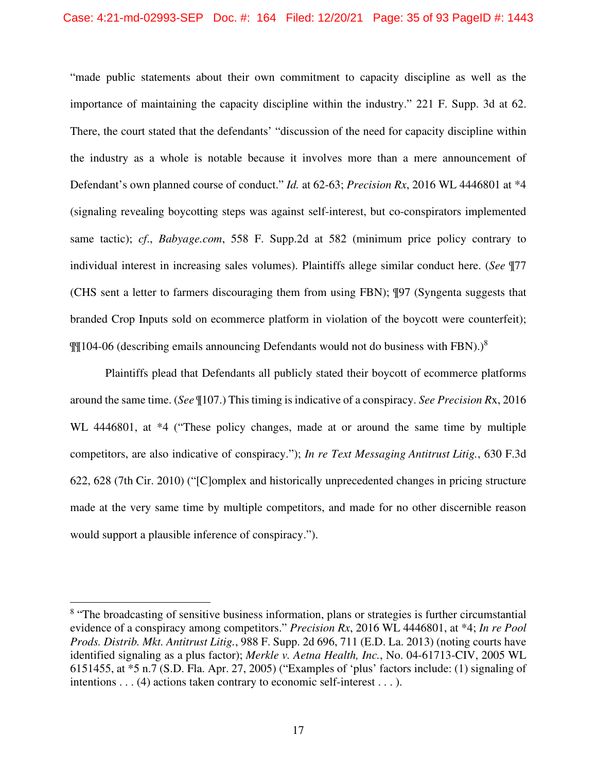"made public statements about their own commitment to capacity discipline as well as the importance of maintaining the capacity discipline within the industry." 221 F. Supp. 3d at 62. There, the court stated that the defendants' "discussion of the need for capacity discipline within the industry as a whole is notable because it involves more than a mere announcement of Defendant's own planned course of conduct." *Id.* at 62-63; *Precision Rx*, 2016 WL 4446801 at \*4 (signaling revealing boycotting steps was against self-interest, but co-conspirators implemented same tactic); *cf*., *Babyage.com*, 558 F. Supp.2d at 582 (minimum price policy contrary to individual interest in increasing sales volumes). Plaintiffs allege similar conduct here. (*See* ¶77 (CHS sent a letter to farmers discouraging them from using FBN); ¶97 (Syngenta suggests that branded Crop Inputs sold on ecommerce platform in violation of the boycott were counterfeit);  $\P$ [104-06 (describing emails announcing Defendants would not do business with FBN).)<sup>8</sup>

Plaintiffs plead that Defendants all publicly stated their boycott of ecommerce platforms around the same time. (*See* ¶107.) This timing is indicative of a conspiracy. *See Precision R*x, 2016 WL 4446801, at  $*4$  ("These policy changes, made at or around the same time by multiple competitors, are also indicative of conspiracy."); *In re Text Messaging Antitrust Litig.*, 630 F.3d 622, 628 (7th Cir. 2010) ("[C]omplex and historically unprecedented changes in pricing structure made at the very same time by multiple competitors, and made for no other discernible reason would support a plausible inference of conspiracy.").

<sup>&</sup>lt;sup>8</sup> "The broadcasting of sensitive business information, plans or strategies is further circumstantial evidence of a conspiracy among competitors." *Precision Rx*, 2016 WL 4446801, at \*4; *In re Pool Prods. Distrib. Mkt. Antitrust Litig.*, 988 F. Supp. 2d 696, 711 (E.D. La. 2013) (noting courts have identified signaling as a plus factor); *Merkle v. Aetna Health, Inc.*, No. 04-61713-CIV, 2005 WL 6151455, at \*5 n.7 (S.D. Fla. Apr. 27, 2005) ("Examples of 'plus' factors include: (1) signaling of intentions . . . (4) actions taken contrary to economic self-interest . . . ).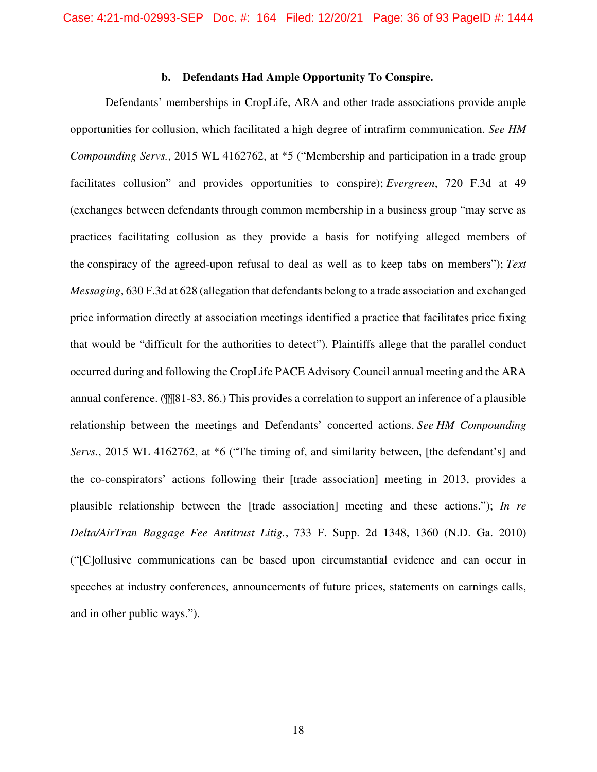### **b. Defendants Had Ample Opportunity To Conspire.**

Defendants' memberships in CropLife, ARA and other trade associations provide ample opportunities for collusion, which facilitated a high degree of intrafirm communication. *See HM Compounding Servs.*, 2015 WL 4162762, at \*5 ("Membership and participation in a trade group facilitates collusion" and provides opportunities to conspire); *Evergreen*, 720 F.3d at 49 (exchanges between defendants through common membership in a business group "may serve as practices facilitating collusion as they provide a basis for notifying alleged members of the conspiracy of the agreed-upon refusal to deal as well as to keep tabs on members"); *Text Messaging*, 630 F.3d at 628 (allegation that defendants belong to a trade association and exchanged price information directly at association meetings identified a practice that facilitates price fixing that would be "difficult for the authorities to detect"). Plaintiffs allege that the parallel conduct occurred during and following the CropLife PACE Advisory Council annual meeting and the ARA annual conference. (¶¶81-83, 86.) This provides a correlation to support an inference of a plausible relationship between the meetings and Defendants' concerted actions. *See HM Compounding Servs.*, 2015 WL 4162762, at \*6 ("The timing of, and similarity between, [the defendant's] and the co-conspirators' actions following their [trade association] meeting in 2013, provides a plausible relationship between the [trade association] meeting and these actions."); *In re Delta/AirTran Baggage Fee Antitrust Litig.*, 733 F. Supp. 2d 1348, 1360 (N.D. Ga. 2010) ("[C]ollusive communications can be based upon circumstantial evidence and can occur in speeches at industry conferences, announcements of future prices, statements on earnings calls, and in other public ways.").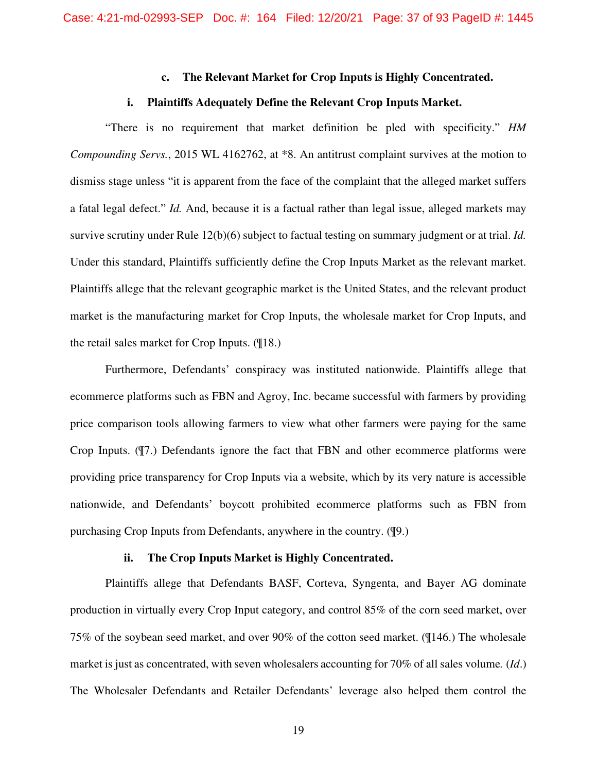### **c. The Relevant Market for Crop Inputs is Highly Concentrated.**

### **i. Plaintiffs Adequately Define the Relevant Crop Inputs Market.**

"There is no requirement that market definition be pled with specificity." *HM Compounding Servs.*, 2015 WL 4162762, at \*8. An antitrust complaint survives at the motion to dismiss stage unless "it is apparent from the face of the complaint that the alleged market suffers a fatal legal defect." *Id.* And, because it is a factual rather than legal issue, alleged markets may survive scrutiny under Rule 12(b)(6) subject to factual testing on summary judgment or at trial. *Id.* Under this standard, Plaintiffs sufficiently define the Crop Inputs Market as the relevant market. Plaintiffs allege that the relevant geographic market is the United States, and the relevant product market is the manufacturing market for Crop Inputs, the wholesale market for Crop Inputs, and the retail sales market for Crop Inputs. (¶18.)

Furthermore, Defendants' conspiracy was instituted nationwide. Plaintiffs allege that ecommerce platforms such as FBN and Agroy, Inc. became successful with farmers by providing price comparison tools allowing farmers to view what other farmers were paying for the same Crop Inputs. (¶7.) Defendants ignore the fact that FBN and other ecommerce platforms were providing price transparency for Crop Inputs via a website, which by its very nature is accessible nationwide, and Defendants' boycott prohibited ecommerce platforms such as FBN from purchasing Crop Inputs from Defendants, anywhere in the country. (¶9.)

## **ii. The Crop Inputs Market is Highly Concentrated.**

Plaintiffs allege that Defendants BASF, Corteva, Syngenta, and Bayer AG dominate production in virtually every Crop Input category, and control 85% of the corn seed market, over 75% of the soybean seed market, and over 90% of the cotton seed market. (¶146.) The wholesale market is just as concentrated, with seven wholesalers accounting for 70% of all sales volume*.* (*Id*.) The Wholesaler Defendants and Retailer Defendants' leverage also helped them control the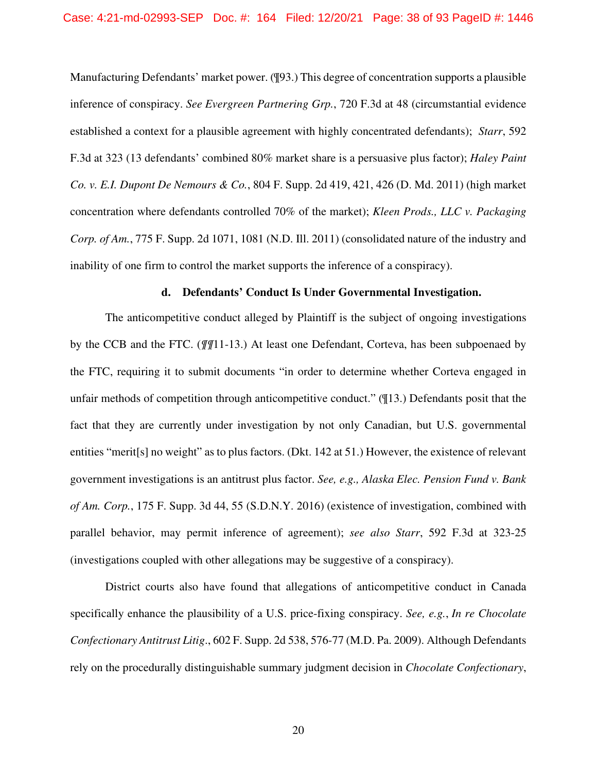Manufacturing Defendants' market power. (¶93.) This degree of concentration supports a plausible inference of conspiracy. *See Evergreen Partnering Grp.*, 720 F.3d at 48 (circumstantial evidence established a context for a plausible agreement with highly concentrated defendants); *Starr*, 592 F.3d at 323 (13 defendants' combined 80% market share is a persuasive plus factor); *Haley Paint Co. v. E.I. Dupont De Nemours & Co.*, 804 F. Supp. 2d 419, 421, 426 (D. Md. 2011) (high market concentration where defendants controlled 70% of the market); *Kleen Prods., LLC v. Packaging Corp. of Am.*, 775 F. Supp. 2d 1071, 1081 (N.D. Ill. 2011) (consolidated nature of the industry and inability of one firm to control the market supports the inference of a conspiracy).

### **d. Defendants' Conduct Is Under Governmental Investigation.**

The anticompetitive conduct alleged by Plaintiff is the subject of ongoing investigations by the CCB and the FTC. (*¶¶*11-13.) At least one Defendant, Corteva, has been subpoenaed by the FTC, requiring it to submit documents "in order to determine whether Corteva engaged in unfair methods of competition through anticompetitive conduct." (¶13.) Defendants posit that the fact that they are currently under investigation by not only Canadian, but U.S. governmental entities "merit[s] no weight" as to plus factors. (Dkt. 142 at 51.) However, the existence of relevant government investigations is an antitrust plus factor. *See, e.g., Alaska Elec. Pension Fund v. Bank of Am. Corp.*, 175 F. Supp. 3d 44, 55 (S.D.N.Y. 2016) (existence of investigation, combined with parallel behavior, may permit inference of agreement); *see also Starr*, 592 F.3d at 323-25 (investigations coupled with other allegations may be suggestive of a conspiracy).

District courts also have found that allegations of anticompetitive conduct in Canada specifically enhance the plausibility of a U.S. price-fixing conspiracy. *See, e.g.*, *In re Chocolate Confectionary Antitrust Litig*., 602 F. Supp. 2d 538, 576-77 (M.D. Pa. 2009). Although Defendants rely on the procedurally distinguishable summary judgment decision in *Chocolate Confectionary*,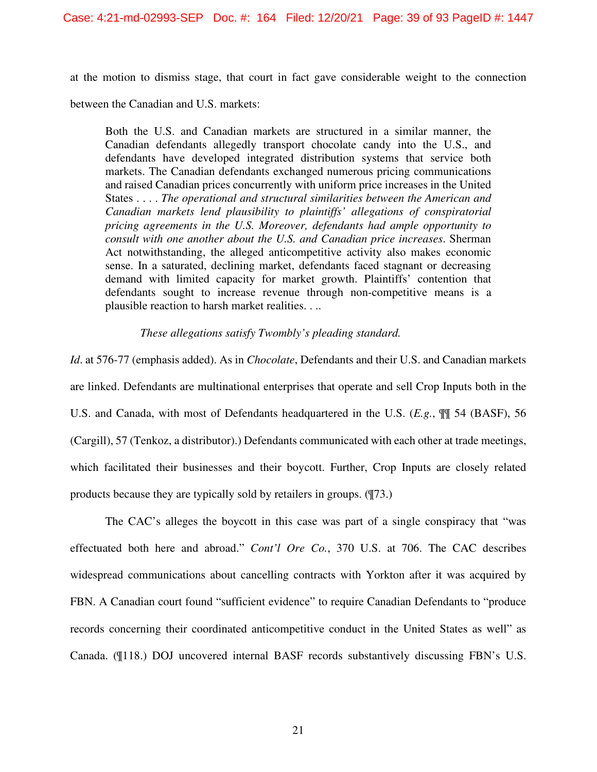at the motion to dismiss stage, that court in fact gave considerable weight to the connection

between the Canadian and U.S. markets:

Both the U.S. and Canadian markets are structured in a similar manner, the Canadian defendants allegedly transport chocolate candy into the U.S., and defendants have developed integrated distribution systems that service both markets. The Canadian defendants exchanged numerous pricing communications and raised Canadian prices concurrently with uniform price increases in the United States . . . . *The operational and structural similarities between the American and Canadian markets lend plausibility to plaintiffs' allegations of conspiratorial pricing agreements in the U.S. Moreover, defendants had ample opportunity to consult with one another about the U.S. and Canadian price increases*. Sherman Act notwithstanding, the alleged anticompetitive activity also makes economic sense. In a saturated, declining market, defendants faced stagnant or decreasing demand with limited capacity for market growth. Plaintiffs' contention that defendants sought to increase revenue through non-competitive means is a plausible reaction to harsh market realities. . ..

### *These allegations satisfy Twombly's pleading standard.*

*Id*. at 576-77 (emphasis added). As in *Chocolate*, Defendants and their U.S. and Canadian markets are linked. Defendants are multinational enterprises that operate and sell Crop Inputs both in the U.S. and Canada, with most of Defendants headquartered in the U.S. (*E.g.*, ¶¶ 54 (BASF), 56 (Cargill), 57 (Tenkoz, a distributor).) Defendants communicated with each other at trade meetings, which facilitated their businesses and their boycott. Further, Crop Inputs are closely related products because they are typically sold by retailers in groups. (¶73.)

The CAC's alleges the boycott in this case was part of a single conspiracy that "was effectuated both here and abroad." *Cont'l Ore Co.*, 370 U.S. at 706. The CAC describes widespread communications about cancelling contracts with Yorkton after it was acquired by FBN. A Canadian court found "sufficient evidence" to require Canadian Defendants to "produce records concerning their coordinated anticompetitive conduct in the United States as well" as Canada. (¶118.) DOJ uncovered internal BASF records substantively discussing FBN's U.S.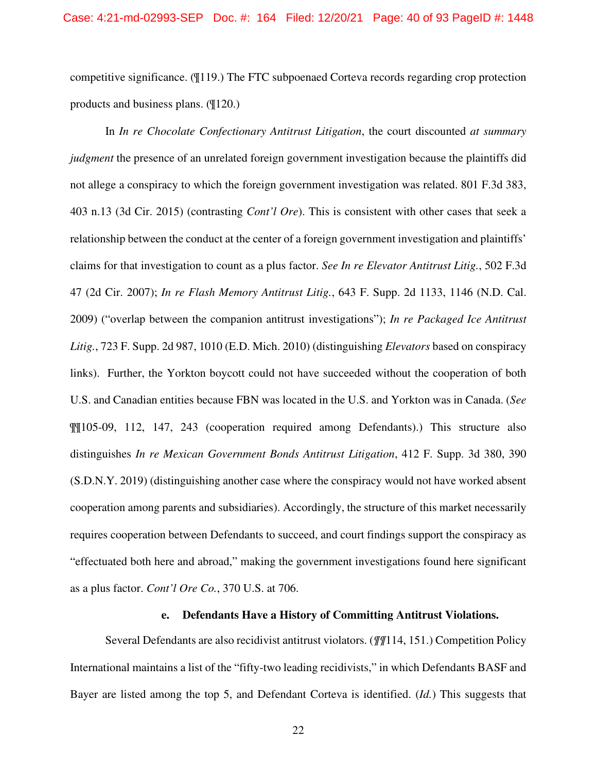competitive significance. (¶119.) The FTC subpoenaed Corteva records regarding crop protection products and business plans. (¶120.)

In *In re Chocolate Confectionary Antitrust Litigation*, the court discounted *at summary judgment* the presence of an unrelated foreign government investigation because the plaintiffs did not allege a conspiracy to which the foreign government investigation was related. 801 F.3d 383, 403 n.13 (3d Cir. 2015) (contrasting *Cont'l Ore*). This is consistent with other cases that seek a relationship between the conduct at the center of a foreign government investigation and plaintiffs' claims for that investigation to count as a plus factor. *See In re Elevator Antitrust Litig.*, 502 F.3d 47 (2d Cir. 2007); *In re Flash Memory Antitrust Litig.*, 643 F. Supp. 2d 1133, 1146 (N.D. Cal. 2009) ("overlap between the companion antitrust investigations"); *In re Packaged Ice Antitrust Litig.*, 723 F. Supp. 2d 987, 1010 (E.D. Mich. 2010) (distinguishing *Elevators* based on conspiracy links). Further, the Yorkton boycott could not have succeeded without the cooperation of both U.S. and Canadian entities because FBN was located in the U.S. and Yorkton was in Canada. (*See* ¶¶105-09, 112, 147, 243 (cooperation required among Defendants).) This structure also distinguishes *In re Mexican Government Bonds Antitrust Litigation*, 412 F. Supp. 3d 380, 390 (S.D.N.Y. 2019) (distinguishing another case where the conspiracy would not have worked absent cooperation among parents and subsidiaries). Accordingly, the structure of this market necessarily requires cooperation between Defendants to succeed, and court findings support the conspiracy as "effectuated both here and abroad," making the government investigations found here significant as a plus factor. *Cont'l Ore Co.*, 370 U.S. at 706.

## **e. Defendants Have a History of Committing Antitrust Violations.**

Several Defendants are also recidivist antitrust violators. (*¶¶*114, 151.) Competition Policy International maintains a list of the "fifty-two leading recidivists," in which Defendants BASF and Bayer are listed among the top 5, and Defendant Corteva is identified. (*Id.*) This suggests that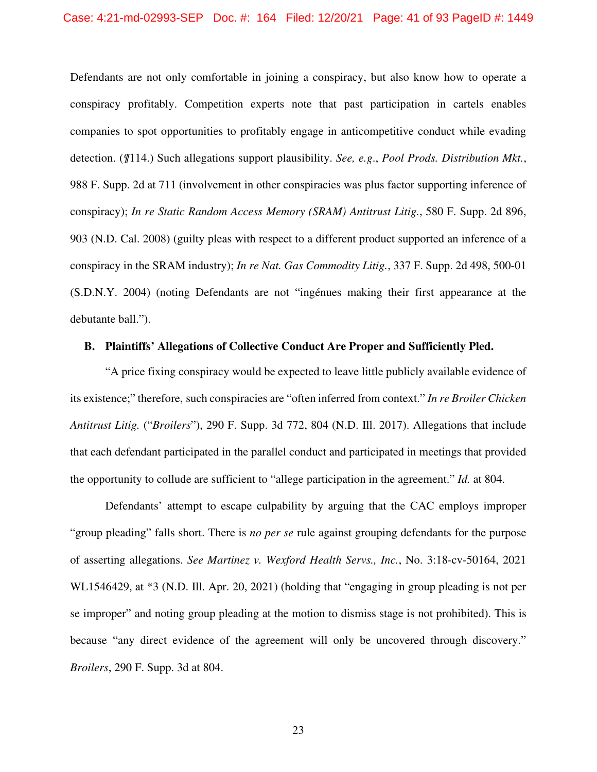#### Case: 4:21-md-02993-SEP Doc. #: 164 Filed: 12/20/21 Page: 41 of 93 PageID #: 1449

Defendants are not only comfortable in joining a conspiracy, but also know how to operate a conspiracy profitably. Competition experts note that past participation in cartels enables companies to spot opportunities to profitably engage in anticompetitive conduct while evading detection. (*¶*114.) Such allegations support plausibility. *See, e.g*., *Pool Prods. Distribution Mkt.*, 988 F. Supp. 2d at 711 (involvement in other conspiracies was plus factor supporting inference of conspiracy); *In re Static Random Access Memory (SRAM) Antitrust Litig.*, 580 F. Supp. 2d 896, 903 (N.D. Cal. 2008) (guilty pleas with respect to a different product supported an inference of a conspiracy in the SRAM industry); *In re Nat. Gas Commodity Litig.*, 337 F. Supp. 2d 498, 500-01 (S.D.N.Y. 2004) (noting Defendants are not "ingénues making their first appearance at the debutante ball.").

## **B. Plaintiffs' Allegations of Collective Conduct Are Proper and Sufficiently Pled.**

"A price fixing conspiracy would be expected to leave little publicly available evidence of its existence;" therefore, such conspiracies are "often inferred from context." *In re Broiler Chicken Antitrust Litig.* ("*Broilers*"), 290 F. Supp. 3d 772, 804 (N.D. Ill. 2017). Allegations that include that each defendant participated in the parallel conduct and participated in meetings that provided the opportunity to collude are sufficient to "allege participation in the agreement." *Id.* at 804.

Defendants' attempt to escape culpability by arguing that the CAC employs improper "group pleading" falls short. There is *no per se* rule against grouping defendants for the purpose of asserting allegations. *See Martinez v. Wexford Health Servs., Inc.*, No. 3:18-cv-50164, 2021 WL1546429, at  $*3$  (N.D. Ill. Apr. 20, 2021) (holding that "engaging in group pleading is not per se improper" and noting group pleading at the motion to dismiss stage is not prohibited). This is because "any direct evidence of the agreement will only be uncovered through discovery." *Broilers*, 290 F. Supp. 3d at 804.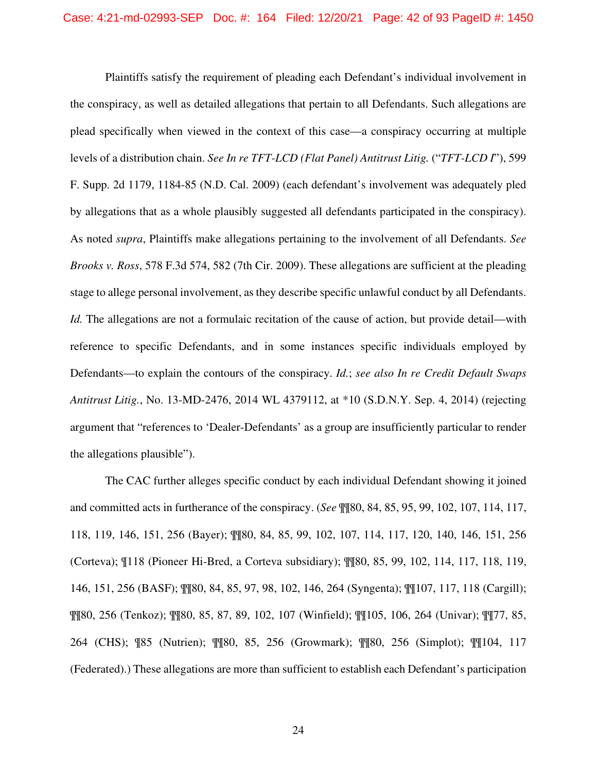Plaintiffs satisfy the requirement of pleading each Defendant's individual involvement in the conspiracy, as well as detailed allegations that pertain to all Defendants. Such allegations are plead specifically when viewed in the context of this case—a conspiracy occurring at multiple levels of a distribution chain. *See In re TFT-LCD (Flat Panel) Antitrust Litig.* ("*TFT-LCD I*"), 599 F. Supp. 2d 1179, 1184-85 (N.D. Cal. 2009) (each defendant's involvement was adequately pled by allegations that as a whole plausibly suggested all defendants participated in the conspiracy). As noted *supra*, Plaintiffs make allegations pertaining to the involvement of all Defendants. *See Brooks v. Ross*, 578 F.3d 574, 582 (7th Cir. 2009). These allegations are sufficient at the pleading stage to allege personal involvement, as they describe specific unlawful conduct by all Defendants. *Id.* The allegations are not a formulaic recitation of the cause of action, but provide detail—with reference to specific Defendants, and in some instances specific individuals employed by Defendants—to explain the contours of the conspiracy. *Id.*; *see also In re Credit Default Swaps Antitrust Litig.*, No. 13-MD-2476, 2014 WL 4379112, at \*10 (S.D.N.Y. Sep. 4, 2014) (rejecting argument that "references to 'Dealer-Defendants' as a group are insufficiently particular to render the allegations plausible").

The CAC further alleges specific conduct by each individual Defendant showing it joined and committed acts in furtherance of the conspiracy. (*See* ¶¶80, 84, 85, 95, 99, 102, 107, 114, 117, 118, 119, 146, 151, 256 (Bayer); ¶¶80, 84, 85, 99, 102, 107, 114, 117, 120, 140, 146, 151, 256 (Corteva); ¶118 (Pioneer Hi-Bred, a Corteva subsidiary); ¶¶80, 85, 99, 102, 114, 117, 118, 119, 146, 151, 256 (BASF); ¶¶80, 84, 85, 97, 98, 102, 146, 264 (Syngenta); ¶¶107, 117, 118 (Cargill); ¶¶80, 256 (Tenkoz); ¶¶80, 85, 87, 89, 102, 107 (Winfield); ¶¶105, 106, 264 (Univar); ¶¶77, 85, 264 (CHS); ¶85 (Nutrien); ¶¶80, 85, 256 (Growmark); ¶¶80, 256 (Simplot); ¶¶104, 117 (Federated).) These allegations are more than sufficient to establish each Defendant's participation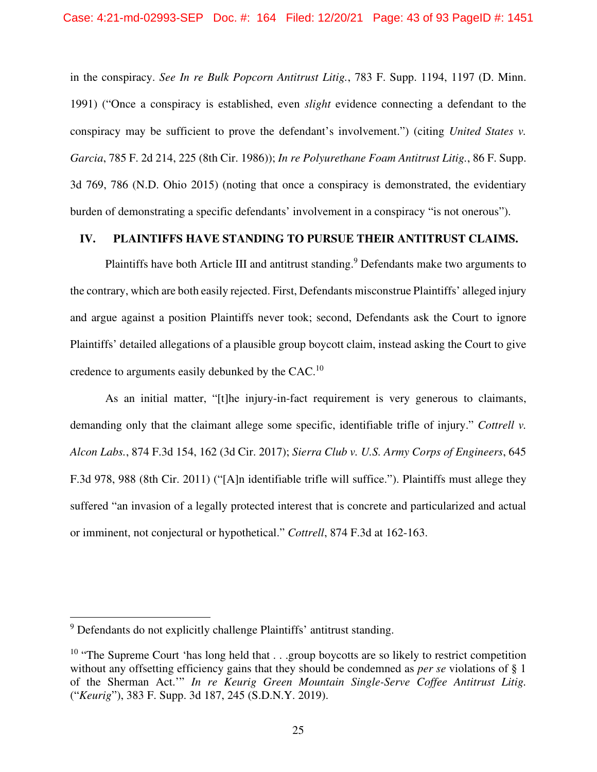in the conspiracy. *See In re Bulk Popcorn Antitrust Litig.*, 783 F. Supp. 1194, 1197 (D. Minn. 1991) ("Once a conspiracy is established, even *slight* evidence connecting a defendant to the conspiracy may be sufficient to prove the defendant's involvement.") (citing *United States v. Garcia*, 785 F. 2d 214, 225 (8th Cir. 1986)); *In re Polyurethane Foam Antitrust Litig.*, 86 F. Supp. 3d 769, 786 (N.D. Ohio 2015) (noting that once a conspiracy is demonstrated, the evidentiary burden of demonstrating a specific defendants' involvement in a conspiracy "is not onerous").

# **IV. PLAINTIFFS HAVE STANDING TO PURSUE THEIR ANTITRUST CLAIMS.**

Plaintiffs have both Article III and antitrust standing.<sup>9</sup> Defendants make two arguments to the contrary, which are both easily rejected. First, Defendants misconstrue Plaintiffs' alleged injury and argue against a position Plaintiffs never took; second, Defendants ask the Court to ignore Plaintiffs' detailed allegations of a plausible group boycott claim, instead asking the Court to give credence to arguments easily debunked by the CAC. $^{10}$ 

As an initial matter, "[t]he injury-in-fact requirement is very generous to claimants, demanding only that the claimant allege some specific, identifiable trifle of injury." *Cottrell v. Alcon Labs.*, 874 F.3d 154, 162 (3d Cir. 2017); *Sierra Club v. U.S. Army Corps of Engineers*, 645 F.3d 978, 988 (8th Cir. 2011) ("[A]n identifiable trifle will suffice."). Plaintiffs must allege they suffered "an invasion of a legally protected interest that is concrete and particularized and actual or imminent, not conjectural or hypothetical." *Cottrell*, 874 F.3d at 162-163.

<sup>&</sup>lt;sup>9</sup> Defendants do not explicitly challenge Plaintiffs' antitrust standing.

<sup>&</sup>lt;sup>10</sup> "The Supreme Court 'has long held that  $\ldots$  group boycotts are so likely to restrict competition without any offsetting efficiency gains that they should be condemned as *per se* violations of § 1 of the Sherman Act.'" *In re Keurig Green Mountain Single-Serve Coffee Antitrust Litig.*  ("*Keurig*"), 383 F. Supp. 3d 187, 245 (S.D.N.Y. 2019).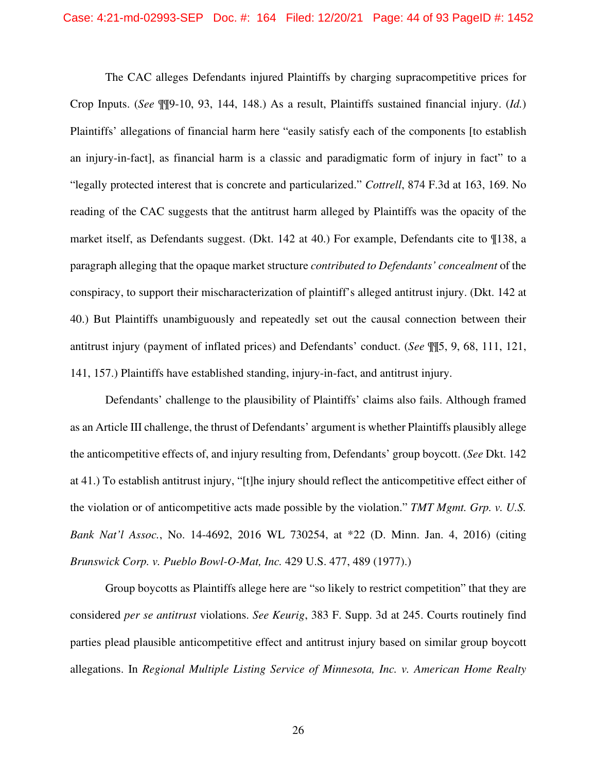The CAC alleges Defendants injured Plaintiffs by charging supracompetitive prices for Crop Inputs. (*See* ¶¶9-10, 93, 144, 148.) As a result, Plaintiffs sustained financial injury. (*Id.*) Plaintiffs' allegations of financial harm here "easily satisfy each of the components [to establish an injury-in-fact], as financial harm is a classic and paradigmatic form of injury in fact" to a "legally protected interest that is concrete and particularized." *Cottrell*, 874 F.3d at 163, 169. No reading of the CAC suggests that the antitrust harm alleged by Plaintiffs was the opacity of the market itself, as Defendants suggest. (Dkt. 142 at 40.) For example, Defendants cite to ¶138, a paragraph alleging that the opaque market structure *contributed to Defendants' concealment* of the conspiracy, to support their mischaracterization of plaintiff's alleged antitrust injury. (Dkt. 142 at 40.) But Plaintiffs unambiguously and repeatedly set out the causal connection between their antitrust injury (payment of inflated prices) and Defendants' conduct. (*See* ¶¶5, 9, 68, 111, 121, 141, 157.) Plaintiffs have established standing, injury-in-fact, and antitrust injury.

Defendants' challenge to the plausibility of Plaintiffs' claims also fails. Although framed as an Article III challenge, the thrust of Defendants' argument is whether Plaintiffs plausibly allege the anticompetitive effects of, and injury resulting from, Defendants' group boycott. (*See* Dkt. 142 at 41.) To establish antitrust injury, "[t]he injury should reflect the anticompetitive effect either of the violation or of anticompetitive acts made possible by the violation." *TMT Mgmt. Grp. v. U.S. Bank Nat'l Assoc.*, No. 14-4692, 2016 WL 730254, at \*22 (D. Minn. Jan. 4, 2016) (citing *Brunswick Corp. v. Pueblo Bowl-O-Mat, Inc.* 429 U.S. 477, 489 (1977).)

Group boycotts as Plaintiffs allege here are "so likely to restrict competition" that they are considered *per se antitrust* violations. *See Keurig*, 383 F. Supp. 3d at 245. Courts routinely find parties plead plausible anticompetitive effect and antitrust injury based on similar group boycott allegations. In *Regional Multiple Listing Service of Minnesota, Inc. v. American Home Realty*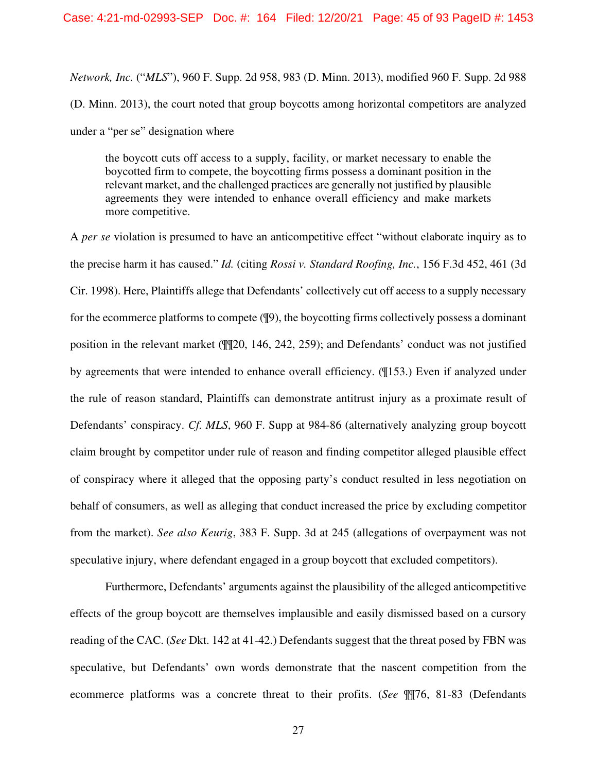*Network, Inc.* ("*MLS*"), 960 F. Supp. 2d 958, 983 (D. Minn. 2013), modified 960 F. Supp. 2d 988 (D. Minn. 2013), the court noted that group boycotts among horizontal competitors are analyzed under a "per se" designation where

the boycott cuts off access to a supply, facility, or market necessary to enable the boycotted firm to compete, the boycotting firms possess a dominant position in the relevant market, and the challenged practices are generally not justified by plausible agreements they were intended to enhance overall efficiency and make markets more competitive.

A *per se* violation is presumed to have an anticompetitive effect "without elaborate inquiry as to the precise harm it has caused." *Id.* (citing *Rossi v. Standard Roofing, Inc.*, 156 F.3d 452, 461 (3d Cir. 1998). Here, Plaintiffs allege that Defendants' collectively cut off access to a supply necessary for the ecommerce platforms to compete (¶9), the boycotting firms collectively possess a dominant position in the relevant market (¶¶20, 146, 242, 259); and Defendants' conduct was not justified by agreements that were intended to enhance overall efficiency. (¶153.) Even if analyzed under the rule of reason standard, Plaintiffs can demonstrate antitrust injury as a proximate result of Defendants' conspiracy. *Cf. MLS*, 960 F. Supp at 984-86 (alternatively analyzing group boycott claim brought by competitor under rule of reason and finding competitor alleged plausible effect of conspiracy where it alleged that the opposing party's conduct resulted in less negotiation on behalf of consumers, as well as alleging that conduct increased the price by excluding competitor from the market). *See also Keurig*, 383 F. Supp. 3d at 245 (allegations of overpayment was not speculative injury, where defendant engaged in a group boycott that excluded competitors).

Furthermore, Defendants' arguments against the plausibility of the alleged anticompetitive effects of the group boycott are themselves implausible and easily dismissed based on a cursory reading of the CAC. (*See* Dkt. 142 at 41-42.) Defendants suggest that the threat posed by FBN was speculative, but Defendants' own words demonstrate that the nascent competition from the ecommerce platforms was a concrete threat to their profits. (*See* ¶¶76, 81-83 (Defendants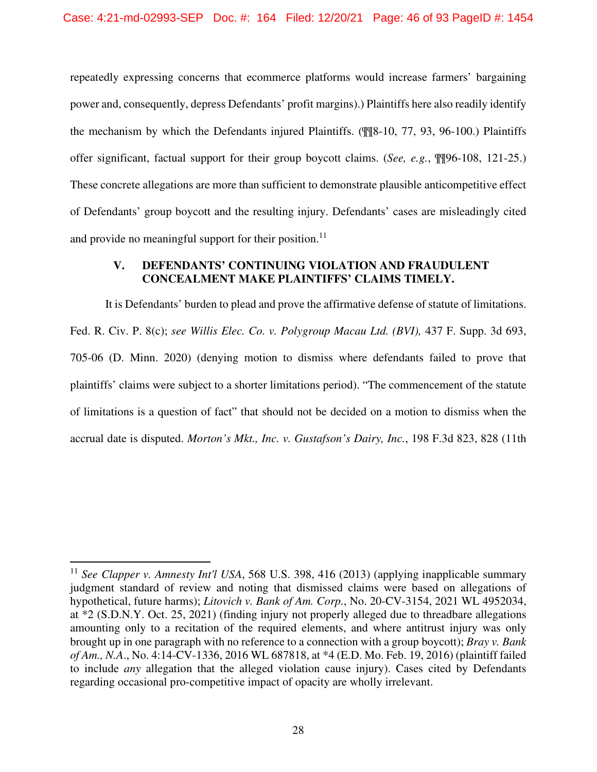repeatedly expressing concerns that ecommerce platforms would increase farmers' bargaining power and, consequently, depress Defendants' profit margins).) Plaintiffs here also readily identify the mechanism by which the Defendants injured Plaintiffs. (¶¶8-10, 77, 93, 96-100.) Plaintiffs offer significant, factual support for their group boycott claims. (*See, e.g.*, ¶¶96-108, 121-25.) These concrete allegations are more than sufficient to demonstrate plausible anticompetitive effect of Defendants' group boycott and the resulting injury. Defendants' cases are misleadingly cited and provide no meaningful support for their position. $^{11}$ 

## **V. DEFENDANTS' CONTINUING VIOLATION AND FRAUDULENT CONCEALMENT MAKE PLAINTIFFS' CLAIMS TIMELY.**

It is Defendants' burden to plead and prove the affirmative defense of statute of limitations. Fed. R. Civ. P. 8(c); *see Willis Elec. Co. v. Polygroup Macau Ltd. (BVI),* 437 F. Supp. 3d 693, 705-06 (D. Minn. 2020) (denying motion to dismiss where defendants failed to prove that plaintiffs' claims were subject to a shorter limitations period). "The commencement of the statute of limitations is a question of fact" that should not be decided on a motion to dismiss when the accrual date is disputed. *Morton's Mkt., Inc. v. Gustafson's Dairy, Inc.*, 198 F.3d 823, 828 (11th

<sup>&</sup>lt;sup>11</sup> See Clapper v. Amnesty Int'l USA, 568 U.S. 398, 416 (2013) (applying inapplicable summary judgment standard of review and noting that dismissed claims were based on allegations of hypothetical, future harms); *Litovich v. Bank of Am. Corp.*, No. 20-CV-3154, 2021 WL 4952034, at \*2 (S.D.N.Y. Oct. 25, 2021) (finding injury not properly alleged due to threadbare allegations amounting only to a recitation of the required elements, and where antitrust injury was only brought up in one paragraph with no reference to a connection with a group boycott); *Bray v. Bank of Am., N.A*., No. 4:14-CV-1336, 2016 WL 687818, at \*4 (E.D. Mo. Feb. 19, 2016) (plaintiff failed to include *any* allegation that the alleged violation cause injury). Cases cited by Defendants regarding occasional pro-competitive impact of opacity are wholly irrelevant.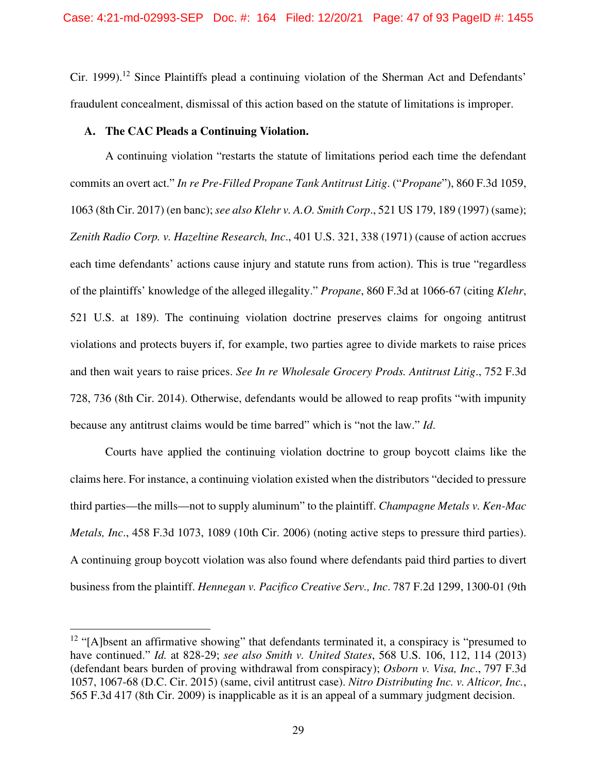Cir. 1999).<sup>12</sup> Since Plaintiffs plead a continuing violation of the Sherman Act and Defendants' fraudulent concealment, dismissal of this action based on the statute of limitations is improper.

## **A. The CAC Pleads a Continuing Violation.**

A continuing violation "restarts the statute of limitations period each time the defendant commits an overt act." *In re Pre-Filled Propane Tank Antitrust Litig*. ("*Propane*"), 860 F.3d 1059, 1063 (8th Cir. 2017) (en banc); *see also Klehr v. A.O. Smith Corp*., 521 US 179, 189 (1997) (same); *Zenith Radio Corp. v. Hazeltine Research, Inc*., 401 U.S. 321, 338 (1971) (cause of action accrues each time defendants' actions cause injury and statute runs from action). This is true "regardless of the plaintiffs' knowledge of the alleged illegality." *Propane*, 860 F.3d at 1066-67 (citing *Klehr*, 521 U.S. at 189). The continuing violation doctrine preserves claims for ongoing antitrust violations and protects buyers if, for example, two parties agree to divide markets to raise prices and then wait years to raise prices. *See In re Wholesale Grocery Prods. Antitrust Litig*., 752 F.3d 728, 736 (8th Cir. 2014). Otherwise, defendants would be allowed to reap profits "with impunity because any antitrust claims would be time barred" which is "not the law." *Id*.

Courts have applied the continuing violation doctrine to group boycott claims like the claims here. For instance, a continuing violation existed when the distributors "decided to pressure third parties—the mills—not to supply aluminum" to the plaintiff. *Champagne Metals v. Ken-Mac Metals, Inc*., 458 F.3d 1073, 1089 (10th Cir. 2006) (noting active steps to pressure third parties). A continuing group boycott violation was also found where defendants paid third parties to divert business from the plaintiff. *Hennegan v. Pacifico Creative Serv., Inc*. 787 F.2d 1299, 1300-01 (9th

<sup>&</sup>lt;sup>12</sup> "[A]bsent an affirmative showing" that defendants terminated it, a conspiracy is "presumed to have continued." *Id.* at 828-29; *see also Smith v. United States*, 568 U.S. 106, 112, 114 (2013) (defendant bears burden of proving withdrawal from conspiracy); *Osborn v. Visa, Inc*., 797 F.3d 1057, 1067-68 (D.C. Cir. 2015) (same, civil antitrust case). *Nitro Distributing Inc. v. Alticor, Inc.*, 565 F.3d 417 (8th Cir. 2009) is inapplicable as it is an appeal of a summary judgment decision.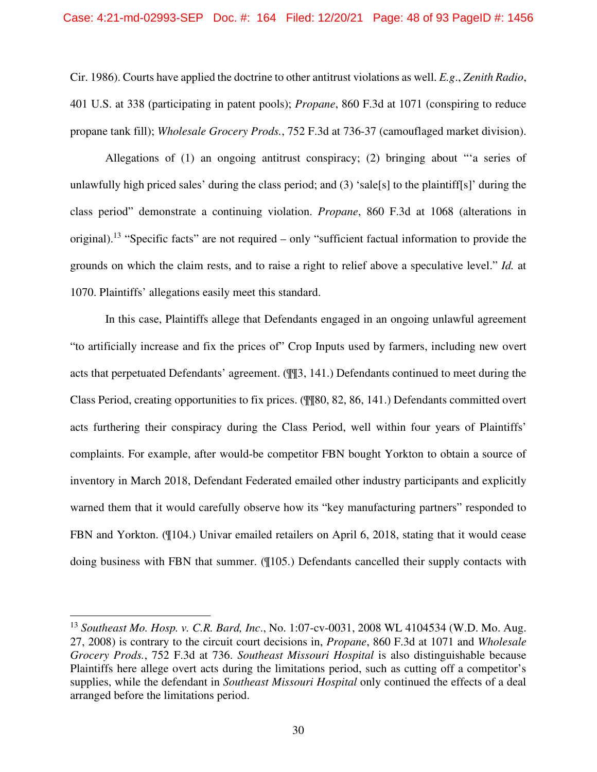Cir. 1986). Courts have applied the doctrine to other antitrust violations as well. *E.g*., *Zenith Radio*, 401 U.S. at 338 (participating in patent pools); *Propane*, 860 F.3d at 1071 (conspiring to reduce propane tank fill); *Wholesale Grocery Prods.*, 752 F.3d at 736-37 (camouflaged market division).

Allegations of (1) an ongoing antitrust conspiracy; (2) bringing about "'a series of unlawfully high priced sales' during the class period; and (3) 'sale[s] to the plaintiff[s]' during the class period" demonstrate a continuing violation. *Propane*, 860 F.3d at 1068 (alterations in original).<sup>13</sup> "Specific facts" are not required – only "sufficient factual information to provide the grounds on which the claim rests, and to raise a right to relief above a speculative level." *Id.* at 1070. Plaintiffs' allegations easily meet this standard.

In this case, Plaintiffs allege that Defendants engaged in an ongoing unlawful agreement "to artificially increase and fix the prices of" Crop Inputs used by farmers, including new overt acts that perpetuated Defendants' agreement. (¶¶3, 141.) Defendants continued to meet during the Class Period, creating opportunities to fix prices. (¶¶80, 82, 86, 141.) Defendants committed overt acts furthering their conspiracy during the Class Period, well within four years of Plaintiffs' complaints. For example, after would-be competitor FBN bought Yorkton to obtain a source of inventory in March 2018, Defendant Federated emailed other industry participants and explicitly warned them that it would carefully observe how its "key manufacturing partners" responded to FBN and Yorkton. (¶104.) Univar emailed retailers on April 6, 2018, stating that it would cease doing business with FBN that summer. (¶105.) Defendants cancelled their supply contacts with

<sup>13</sup> *Southeast Mo. Hosp. v. C.R. Bard, Inc*., No. 1:07-cv-0031, 2008 WL 4104534 (W.D. Mo. Aug. 27, 2008) is contrary to the circuit court decisions in, *Propane*, 860 F.3d at 1071 and *Wholesale Grocery Prods.*, 752 F.3d at 736. *Southeast Missouri Hospital* is also distinguishable because Plaintiffs here allege overt acts during the limitations period, such as cutting off a competitor's supplies, while the defendant in *Southeast Missouri Hospital* only continued the effects of a deal arranged before the limitations period.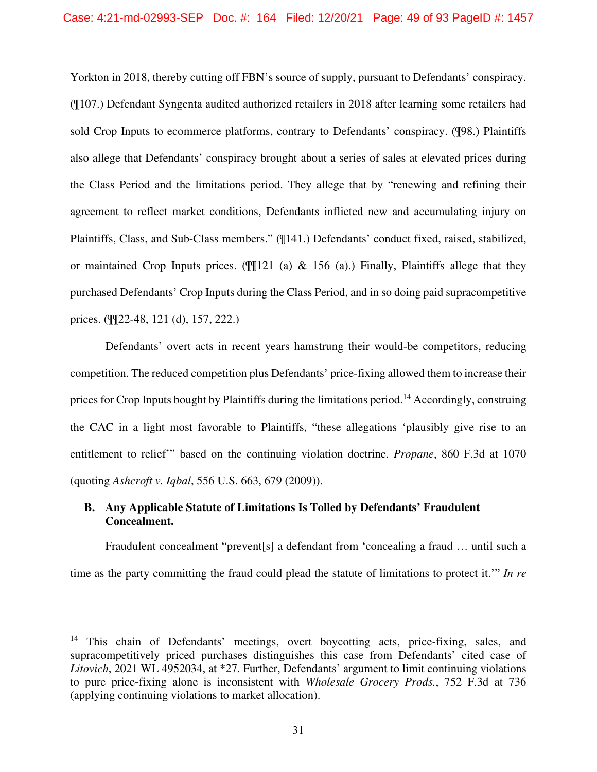Yorkton in 2018, thereby cutting off FBN's source of supply, pursuant to Defendants' conspiracy. (¶107.) Defendant Syngenta audited authorized retailers in 2018 after learning some retailers had sold Crop Inputs to ecommerce platforms, contrary to Defendants' conspiracy. (¶98.) Plaintiffs also allege that Defendants' conspiracy brought about a series of sales at elevated prices during the Class Period and the limitations period. They allege that by "renewing and refining their agreement to reflect market conditions, Defendants inflicted new and accumulating injury on Plaintiffs, Class, and Sub-Class members." (¶141.) Defendants' conduct fixed, raised, stabilized, or maintained Crop Inputs prices. ( $\sqrt{21}$  (a) & 156 (a).) Finally, Plaintiffs allege that they purchased Defendants' Crop Inputs during the Class Period, and in so doing paid supracompetitive prices. (¶¶22-48, 121 (d), 157, 222.)

Defendants' overt acts in recent years hamstrung their would-be competitors, reducing competition. The reduced competition plus Defendants' price-fixing allowed them to increase their prices for Crop Inputs bought by Plaintiffs during the limitations period.<sup>14</sup> Accordingly, construing the CAC in a light most favorable to Plaintiffs, "these allegations 'plausibly give rise to an entitlement to relief'" based on the continuing violation doctrine. *Propane*, 860 F.3d at 1070 (quoting *Ashcroft v. Iqbal*, 556 U.S. 663, 679 (2009)).

# **B. Any Applicable Statute of Limitations Is Tolled by Defendants' Fraudulent Concealment.**

Fraudulent concealment "prevent[s] a defendant from 'concealing a fraud … until such a time as the party committing the fraud could plead the statute of limitations to protect it.'" *In re* 

<sup>&</sup>lt;sup>14</sup> This chain of Defendants' meetings, overt boycotting acts, price-fixing, sales, and supracompetitively priced purchases distinguishes this case from Defendants' cited case of *Litovich*, 2021 WL 4952034, at \*27. Further, Defendants' argument to limit continuing violations to pure price-fixing alone is inconsistent with *Wholesale Grocery Prods.*, 752 F.3d at 736 (applying continuing violations to market allocation).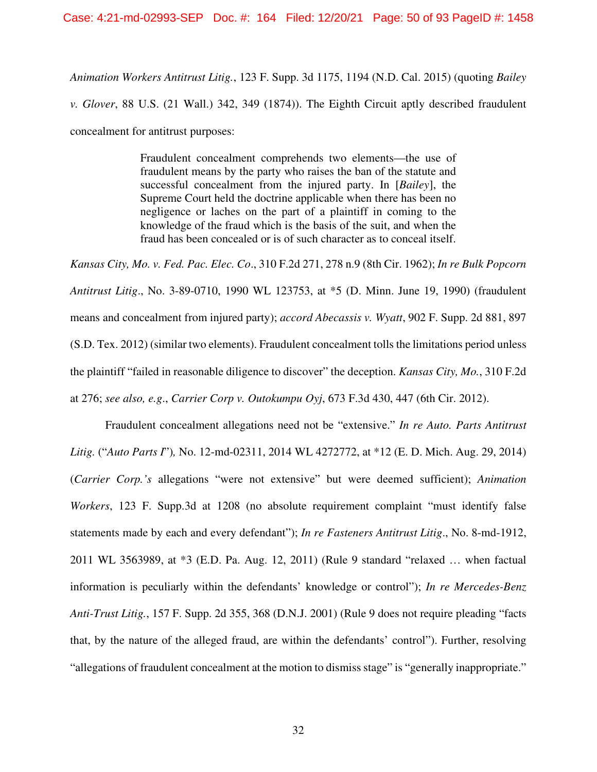*Animation Workers Antitrust Litig.*, 123 F. Supp. 3d 1175, 1194 (N.D. Cal. 2015) (quoting *Bailey v. Glover*, 88 U.S. (21 Wall.) 342, 349 (1874)). The Eighth Circuit aptly described fraudulent concealment for antitrust purposes:

> Fraudulent concealment comprehends two elements—the use of fraudulent means by the party who raises the ban of the statute and successful concealment from the injured party. In [*Bailey*], the Supreme Court held the doctrine applicable when there has been no negligence or laches on the part of a plaintiff in coming to the knowledge of the fraud which is the basis of the suit, and when the fraud has been concealed or is of such character as to conceal itself.

*Kansas City, Mo. v. Fed. Pac. Elec. Co*., 310 F.2d 271, 278 n.9 (8th Cir. 1962); *In re Bulk Popcorn Antitrust Litig*., No. 3-89-0710, 1990 WL 123753, at \*5 (D. Minn. June 19, 1990) (fraudulent means and concealment from injured party); *accord Abecassis v. Wyatt*, 902 F. Supp. 2d 881, 897 (S.D. Tex. 2012) (similar two elements). Fraudulent concealment tolls the limitations period unless the plaintiff "failed in reasonable diligence to discover" the deception. *Kansas City, Mo.*, 310 F.2d at 276; *see also, e.g*., *Carrier Corp v. Outokumpu Oyj*, 673 F.3d 430, 447 (6th Cir. 2012).

Fraudulent concealment allegations need not be "extensive." *In re Auto. Parts Antitrust Litig.* ("*Auto Parts I*")*,* No. 12-md-02311, 2014 WL 4272772, at \*12 (E. D. Mich. Aug. 29, 2014) (*Carrier Corp.'s* allegations "were not extensive" but were deemed sufficient); *Animation Workers*, 123 F. Supp.3d at 1208 (no absolute requirement complaint "must identify false statements made by each and every defendant"); *In re Fasteners Antitrust Litig*., No. 8-md-1912, 2011 WL 3563989, at \*3 (E.D. Pa. Aug. 12, 2011) (Rule 9 standard "relaxed … when factual information is peculiarly within the defendants' knowledge or control"); *In re Mercedes-Benz Anti-Trust Litig.*, 157 F. Supp. 2d 355, 368 (D.N.J. 2001) (Rule 9 does not require pleading "facts that, by the nature of the alleged fraud, are within the defendants' control"). Further, resolving "allegations of fraudulent concealment at the motion to dismiss stage" is "generally inappropriate."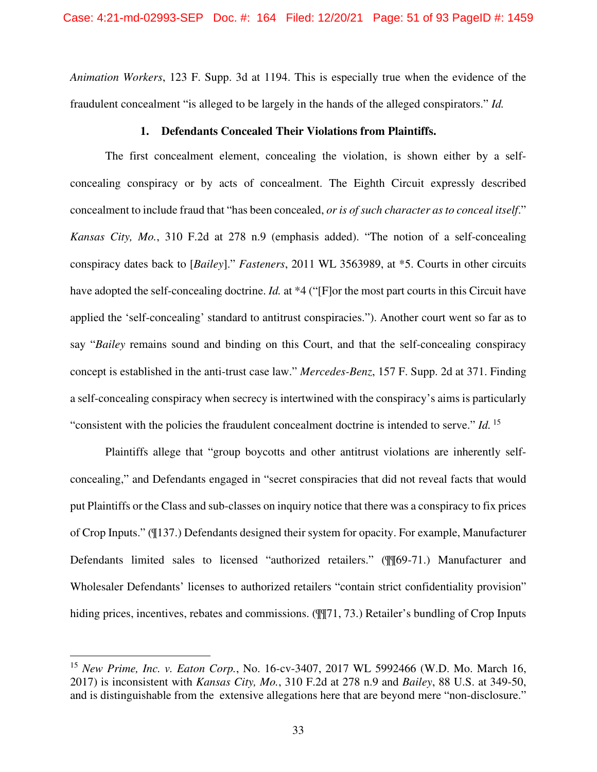*Animation Workers*, 123 F. Supp. 3d at 1194. This is especially true when the evidence of the fraudulent concealment "is alleged to be largely in the hands of the alleged conspirators." *Id.*

## **1. Defendants Concealed Their Violations from Plaintiffs.**

The first concealment element, concealing the violation, is shown either by a selfconcealing conspiracy or by acts of concealment. The Eighth Circuit expressly described concealment to include fraud that "has been concealed, *or is of such character as to conceal itself*." *Kansas City, Mo.*, 310 F.2d at 278 n.9 (emphasis added). "The notion of a self-concealing conspiracy dates back to [*Bailey*]." *Fasteners*, 2011 WL 3563989, at \*5. Courts in other circuits have adopted the self-concealing doctrine. *Id.* at \*4 ("[F]or the most part courts in this Circuit have applied the 'self-concealing' standard to antitrust conspiracies."). Another court went so far as to say "*Bailey* remains sound and binding on this Court, and that the self-concealing conspiracy concept is established in the anti-trust case law." *Mercedes-Benz*, 157 F. Supp. 2d at 371. Finding a self-concealing conspiracy when secrecy is intertwined with the conspiracy's aims is particularly "consistent with the policies the fraudulent concealment doctrine is intended to serve." *Id.*<sup>15</sup>

Plaintiffs allege that "group boycotts and other antitrust violations are inherently selfconcealing," and Defendants engaged in "secret conspiracies that did not reveal facts that would put Plaintiffs or the Class and sub-classes on inquiry notice that there was a conspiracy to fix prices of Crop Inputs." (¶137.) Defendants designed their system for opacity. For example, Manufacturer Defendants limited sales to licensed "authorized retailers." (¶¶69-71.) Manufacturer and Wholesaler Defendants' licenses to authorized retailers "contain strict confidentiality provision" hiding prices, incentives, rebates and commissions. ( $\sqrt{q}$ 71, 73.) Retailer's bundling of Crop Inputs

<sup>15</sup> *New Prime, Inc. v. Eaton Corp.*, No. 16-cv-3407, 2017 WL 5992466 (W.D. Mo. March 16, 2017) is inconsistent with *Kansas City, Mo.*, 310 F.2d at 278 n.9 and *Bailey*, 88 U.S. at 349-50, and is distinguishable from the extensive allegations here that are beyond mere "non-disclosure."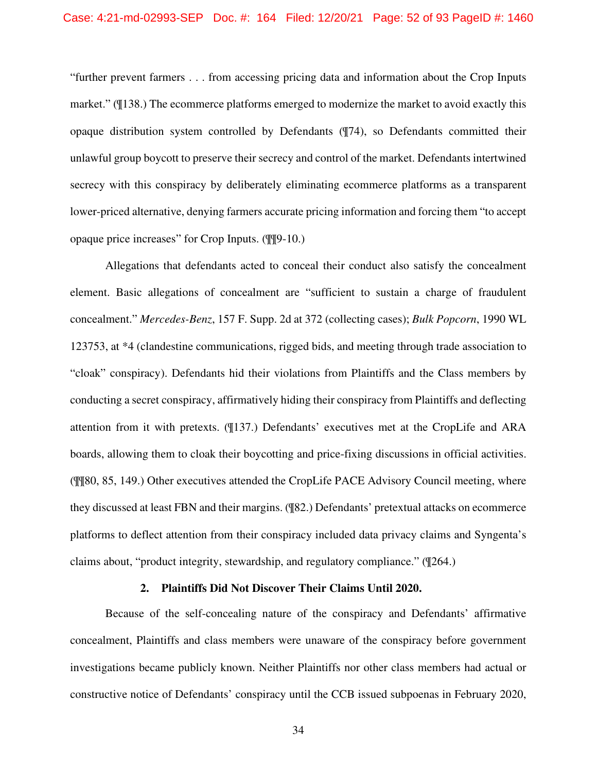#### Case: 4:21-md-02993-SEP Doc. #: 164 Filed: 12/20/21 Page: 52 of 93 PageID #: 1460

"further prevent farmers . . . from accessing pricing data and information about the Crop Inputs market." (¶138.) The ecommerce platforms emerged to modernize the market to avoid exactly this opaque distribution system controlled by Defendants (¶74), so Defendants committed their unlawful group boycott to preserve their secrecy and control of the market. Defendants intertwined secrecy with this conspiracy by deliberately eliminating ecommerce platforms as a transparent lower-priced alternative, denying farmers accurate pricing information and forcing them "to accept opaque price increases" for Crop Inputs. (¶¶9-10.)

Allegations that defendants acted to conceal their conduct also satisfy the concealment element. Basic allegations of concealment are "sufficient to sustain a charge of fraudulent concealment." *Mercedes-Benz*, 157 F. Supp. 2d at 372 (collecting cases); *Bulk Popcorn*, 1990 WL 123753, at \*4 (clandestine communications, rigged bids, and meeting through trade association to "cloak" conspiracy). Defendants hid their violations from Plaintiffs and the Class members by conducting a secret conspiracy, affirmatively hiding their conspiracy from Plaintiffs and deflecting attention from it with pretexts. (¶137.) Defendants' executives met at the CropLife and ARA boards, allowing them to cloak their boycotting and price-fixing discussions in official activities. (¶¶80, 85, 149.) Other executives attended the CropLife PACE Advisory Council meeting, where they discussed at least FBN and their margins. (¶82.) Defendants' pretextual attacks on ecommerce platforms to deflect attention from their conspiracy included data privacy claims and Syngenta's claims about, "product integrity, stewardship, and regulatory compliance." (¶264.)

### **2. Plaintiffs Did Not Discover Their Claims Until 2020.**

Because of the self-concealing nature of the conspiracy and Defendants' affirmative concealment, Plaintiffs and class members were unaware of the conspiracy before government investigations became publicly known. Neither Plaintiffs nor other class members had actual or constructive notice of Defendants' conspiracy until the CCB issued subpoenas in February 2020,

34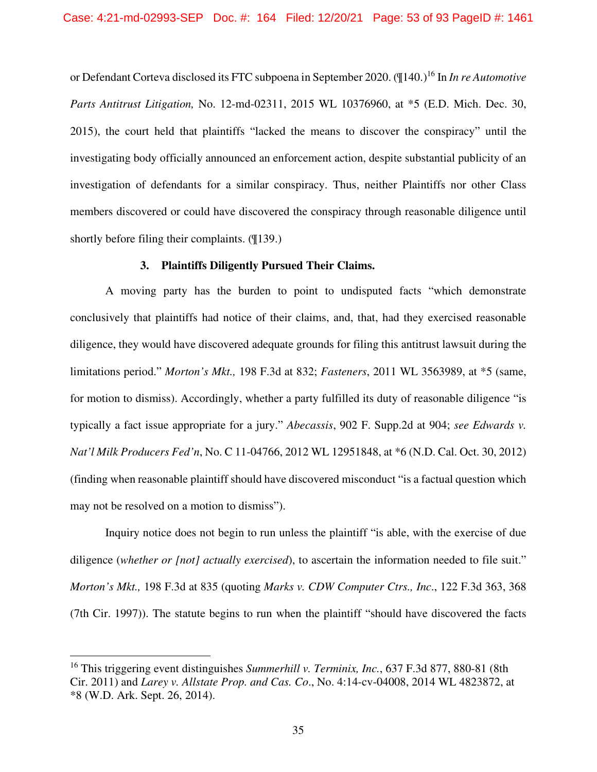or Defendant Corteva disclosed its FTC subpoena in September 2020. (¶140.)<sup>16</sup> In *In re Automotive Parts Antitrust Litigation,* No. 12-md-02311, 2015 WL 10376960, at \*5 (E.D. Mich. Dec. 30, 2015), the court held that plaintiffs "lacked the means to discover the conspiracy" until the investigating body officially announced an enforcement action, despite substantial publicity of an investigation of defendants for a similar conspiracy. Thus, neither Plaintiffs nor other Class members discovered or could have discovered the conspiracy through reasonable diligence until shortly before filing their complaints. (¶139.)

## **3. Plaintiffs Diligently Pursued Their Claims.**

A moving party has the burden to point to undisputed facts "which demonstrate conclusively that plaintiffs had notice of their claims, and, that, had they exercised reasonable diligence, they would have discovered adequate grounds for filing this antitrust lawsuit during the limitations period." *Morton's Mkt.,* 198 F.3d at 832; *Fasteners*, 2011 WL 3563989, at \*5 (same, for motion to dismiss). Accordingly, whether a party fulfilled its duty of reasonable diligence "is typically a fact issue appropriate for a jury." *Abecassis*, 902 F. Supp.2d at 904; *see Edwards v. Nat'l Milk Producers Fed'n*, No. C 11-04766, 2012 WL 12951848, at \*6 (N.D. Cal. Oct. 30, 2012) (finding when reasonable plaintiff should have discovered misconduct "is a factual question which may not be resolved on a motion to dismiss").

Inquiry notice does not begin to run unless the plaintiff "is able, with the exercise of due diligence (*whether or [not] actually exercised*), to ascertain the information needed to file suit." *Morton's Mkt.,* 198 F.3d at 835 (quoting *Marks v. CDW Computer Ctrs., Inc*., 122 F.3d 363, 368 (7th Cir. 1997)). The statute begins to run when the plaintiff "should have discovered the facts

<sup>16</sup> This triggering event distinguishes *Summerhill v. Terminix, Inc.*, 637 F.3d 877, 880-81 (8th Cir. 2011) and *Larey v. Allstate Prop. and Cas. Co*., No. 4:14-cv-04008, 2014 WL 4823872, at \*8 (W.D. Ark. Sept. 26, 2014).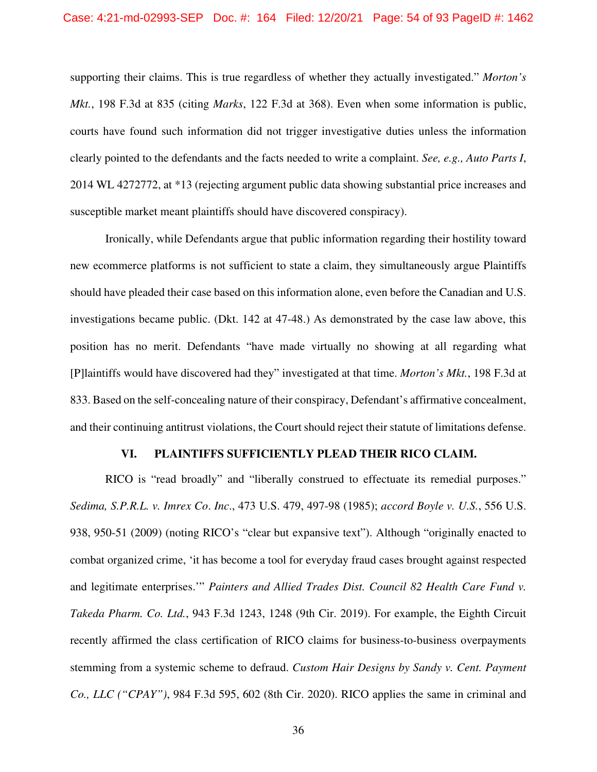supporting their claims. This is true regardless of whether they actually investigated." *Morton's Mkt.*, 198 F.3d at 835 (citing *Marks*, 122 F.3d at 368). Even when some information is public, courts have found such information did not trigger investigative duties unless the information clearly pointed to the defendants and the facts needed to write a complaint. *See, e.g., Auto Parts I*, 2014 WL 4272772, at \*13 (rejecting argument public data showing substantial price increases and susceptible market meant plaintiffs should have discovered conspiracy).

Ironically, while Defendants argue that public information regarding their hostility toward new ecommerce platforms is not sufficient to state a claim, they simultaneously argue Plaintiffs should have pleaded their case based on this information alone, even before the Canadian and U.S. investigations became public. (Dkt. 142 at 47-48.) As demonstrated by the case law above, this position has no merit. Defendants "have made virtually no showing at all regarding what [P]laintiffs would have discovered had they" investigated at that time. *Morton's Mkt.*, 198 F.3d at 833. Based on the self-concealing nature of their conspiracy, Defendant's affirmative concealment, and their continuing antitrust violations, the Court should reject their statute of limitations defense.

#### **VI. PLAINTIFFS SUFFICIENTLY PLEAD THEIR RICO CLAIM.**

RICO is "read broadly" and "liberally construed to effectuate its remedial purposes." *Sedima, S.P.R.L. v. Imrex Co*. *Inc*., 473 U.S. 479, 497-98 (1985); *accord Boyle v. U.S.*, 556 U.S. 938, 950-51 (2009) (noting RICO's "clear but expansive text"). Although "originally enacted to combat organized crime, 'it has become a tool for everyday fraud cases brought against respected and legitimate enterprises.'" *Painters and Allied Trades Dist. Council 82 Health Care Fund v. Takeda Pharm. Co. Ltd.*, 943 F.3d 1243, 1248 (9th Cir. 2019). For example, the Eighth Circuit recently affirmed the class certification of RICO claims for business-to-business overpayments stemming from a systemic scheme to defraud. *Custom Hair Designs by Sandy v. Cent. Payment Co., LLC ("CPAY")*, 984 F.3d 595, 602 (8th Cir. 2020). RICO applies the same in criminal and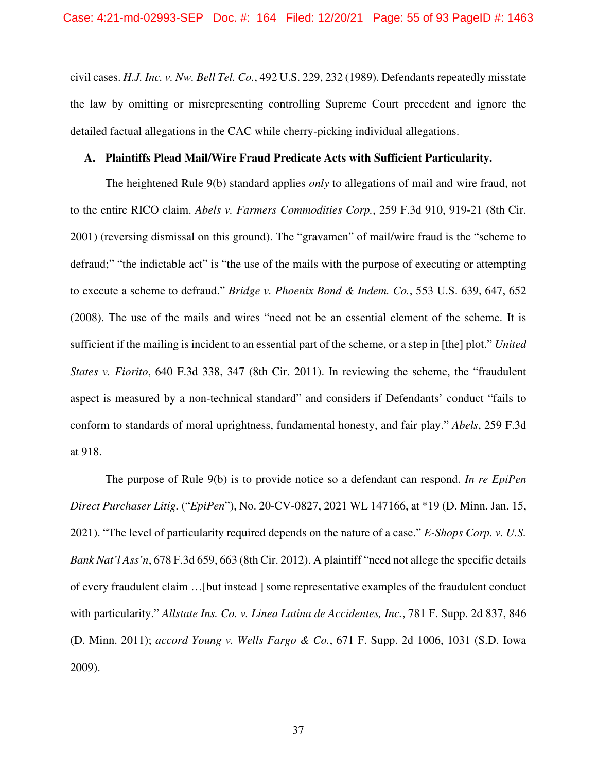civil cases. *H.J. Inc. v. Nw. Bell Tel. Co.*, 492 U.S. 229, 232 (1989). Defendants repeatedly misstate the law by omitting or misrepresenting controlling Supreme Court precedent and ignore the detailed factual allegations in the CAC while cherry-picking individual allegations.

## **A. Plaintiffs Plead Mail/Wire Fraud Predicate Acts with Sufficient Particularity.**

The heightened Rule 9(b) standard applies *only* to allegations of mail and wire fraud, not to the entire RICO claim. *Abels v. Farmers Commodities Corp.*, 259 F.3d 910, 919-21 (8th Cir. 2001) (reversing dismissal on this ground). The "gravamen" of mail/wire fraud is the "scheme to defraud;" "the indictable act" is "the use of the mails with the purpose of executing or attempting to execute a scheme to defraud." *Bridge v. Phoenix Bond & Indem. Co.*, 553 U.S. 639, 647, 652 (2008). The use of the mails and wires "need not be an essential element of the scheme. It is sufficient if the mailing is incident to an essential part of the scheme, or a step in [the] plot." *United States v. Fiorito*, 640 F.3d 338, 347 (8th Cir. 2011). In reviewing the scheme, the "fraudulent aspect is measured by a non-technical standard" and considers if Defendants' conduct "fails to conform to standards of moral uprightness, fundamental honesty, and fair play." *Abels*, 259 F.3d at 918.

The purpose of Rule 9(b) is to provide notice so a defendant can respond. *In re EpiPen Direct Purchaser Litig.* ("*EpiPen*"), No. 20-CV-0827, 2021 WL 147166, at \*19 (D. Minn. Jan. 15, 2021). "The level of particularity required depends on the nature of a case." *E-Shops Corp. v. U.S. Bank Nat'l Ass'n*, 678 F.3d 659, 663 (8th Cir. 2012). A plaintiff "need not allege the specific details of every fraudulent claim …[but instead ] some representative examples of the fraudulent conduct with particularity." *Allstate Ins. Co. v. Linea Latina de Accidentes, Inc.*, 781 F. Supp. 2d 837, 846 (D. Minn. 2011); *accord Young v. Wells Fargo & Co.*, 671 F. Supp. 2d 1006, 1031 (S.D. Iowa 2009).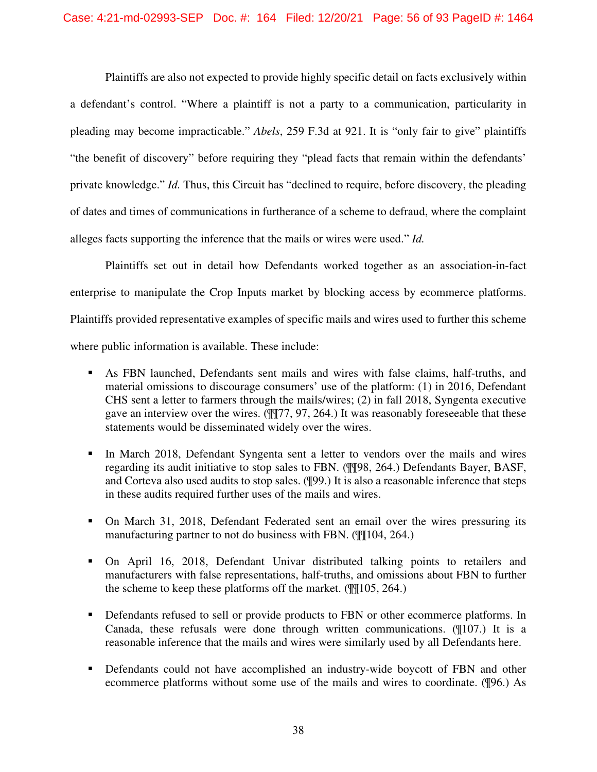Plaintiffs are also not expected to provide highly specific detail on facts exclusively within a defendant's control. "Where a plaintiff is not a party to a communication, particularity in pleading may become impracticable." *Abels*, 259 F.3d at 921. It is "only fair to give" plaintiffs "the benefit of discovery" before requiring they "plead facts that remain within the defendants' private knowledge." *Id.* Thus, this Circuit has "declined to require, before discovery, the pleading of dates and times of communications in furtherance of a scheme to defraud, where the complaint alleges facts supporting the inference that the mails or wires were used." *Id.*

Plaintiffs set out in detail how Defendants worked together as an association-in-fact enterprise to manipulate the Crop Inputs market by blocking access by ecommerce platforms. Plaintiffs provided representative examples of specific mails and wires used to further this scheme where public information is available. These include:

- As FBN launched, Defendants sent mails and wires with false claims, half-truths, and material omissions to discourage consumers' use of the platform: (1) in 2016, Defendant CHS sent a letter to farmers through the mails/wires; (2) in fall 2018, Syngenta executive gave an interview over the wires. (¶¶77, 97, 264.) It was reasonably foreseeable that these statements would be disseminated widely over the wires.
- In March 2018, Defendant Syngenta sent a letter to vendors over the mails and wires regarding its audit initiative to stop sales to FBN. (¶¶98, 264.) Defendants Bayer, BASF, and Corteva also used audits to stop sales. (¶99.) It is also a reasonable inference that steps in these audits required further uses of the mails and wires.
- On March 31, 2018, Defendant Federated sent an email over the wires pressuring its manufacturing partner to not do business with FBN. ( $\mathbb{q}\mathbb{q}$ 104, 264.)
- On April 16, 2018, Defendant Univar distributed talking points to retailers and manufacturers with false representations, half-truths, and omissions about FBN to further the scheme to keep these platforms off the market. (¶¶105, 264.)
- Defendants refused to sell or provide products to FBN or other ecommerce platforms. In Canada, these refusals were done through written communications. (¶107.) It is a reasonable inference that the mails and wires were similarly used by all Defendants here.
- Defendants could not have accomplished an industry-wide boycott of FBN and other ecommerce platforms without some use of the mails and wires to coordinate. (¶96.) As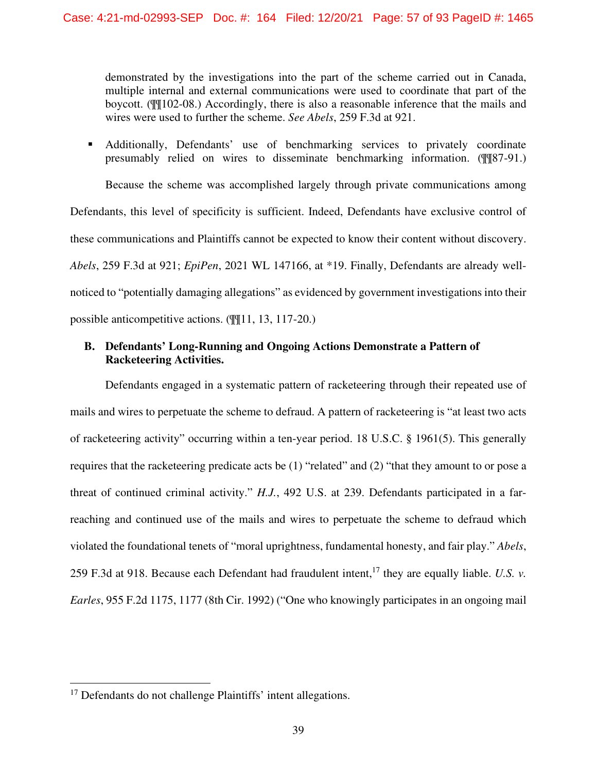demonstrated by the investigations into the part of the scheme carried out in Canada, multiple internal and external communications were used to coordinate that part of the boycott. (¶¶102-08.) Accordingly, there is also a reasonable inference that the mails and wires were used to further the scheme. *See Abels*, 259 F.3d at 921.

 Additionally, Defendants' use of benchmarking services to privately coordinate presumably relied on wires to disseminate benchmarking information. (¶¶87-91.)

Because the scheme was accomplished largely through private communications among Defendants, this level of specificity is sufficient. Indeed, Defendants have exclusive control of these communications and Plaintiffs cannot be expected to know their content without discovery. *Abels*, 259 F.3d at 921; *EpiPen*, 2021 WL 147166, at \*19. Finally, Defendants are already wellnoticed to "potentially damaging allegations" as evidenced by government investigations into their possible anticompetitive actions. (¶¶11, 13, 117-20.)

# **B. Defendants' Long-Running and Ongoing Actions Demonstrate a Pattern of Racketeering Activities.**

Defendants engaged in a systematic pattern of racketeering through their repeated use of mails and wires to perpetuate the scheme to defraud. A pattern of racketeering is "at least two acts of racketeering activity" occurring within a ten-year period. 18 U.S.C. § 1961(5). This generally requires that the racketeering predicate acts be (1) "related" and (2) "that they amount to or pose a threat of continued criminal activity." *H.J.*, 492 U.S. at 239. Defendants participated in a farreaching and continued use of the mails and wires to perpetuate the scheme to defraud which violated the foundational tenets of "moral uprightness, fundamental honesty, and fair play." *Abels*, 259 F.3d at 918. Because each Defendant had fraudulent intent, <sup>17</sup> they are equally liable. *U.S. v. Earles*, 955 F.2d 1175, 1177 (8th Cir. 1992) ("One who knowingly participates in an ongoing mail

<sup>&</sup>lt;sup>17</sup> Defendants do not challenge Plaintiffs' intent allegations.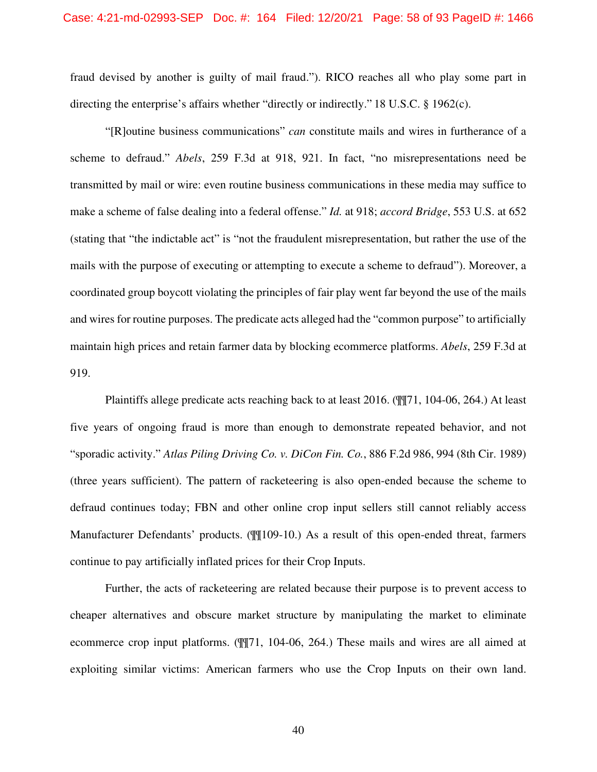fraud devised by another is guilty of mail fraud."). RICO reaches all who play some part in directing the enterprise's affairs whether "directly or indirectly." 18 U.S.C. § 1962(c).

"[R]outine business communications" *can* constitute mails and wires in furtherance of a scheme to defraud." *Abels*, 259 F.3d at 918, 921. In fact, "no misrepresentations need be transmitted by mail or wire: even routine business communications in these media may suffice to make a scheme of false dealing into a federal offense." *Id.* at 918; *accord Bridge*, 553 U.S. at 652 (stating that "the indictable act" is "not the fraudulent misrepresentation, but rather the use of the mails with the purpose of executing or attempting to execute a scheme to defraud"). Moreover, a coordinated group boycott violating the principles of fair play went far beyond the use of the mails and wires for routine purposes. The predicate acts alleged had the "common purpose" to artificially maintain high prices and retain farmer data by blocking ecommerce platforms. *Abels*, 259 F.3d at 919.

Plaintiffs allege predicate acts reaching back to at least 2016. (¶¶71, 104-06, 264.) At least five years of ongoing fraud is more than enough to demonstrate repeated behavior, and not "sporadic activity." *Atlas Piling Driving Co. v. DiCon Fin. Co.*, 886 F.2d 986, 994 (8th Cir. 1989) (three years sufficient). The pattern of racketeering is also open-ended because the scheme to defraud continues today; FBN and other online crop input sellers still cannot reliably access Manufacturer Defendants' products. ( $\frac{1000 - 10}{109 - 10}$ ) As a result of this open-ended threat, farmers continue to pay artificially inflated prices for their Crop Inputs.

Further, the acts of racketeering are related because their purpose is to prevent access to cheaper alternatives and obscure market structure by manipulating the market to eliminate ecommerce crop input platforms. (¶¶71, 104-06, 264.) These mails and wires are all aimed at exploiting similar victims: American farmers who use the Crop Inputs on their own land.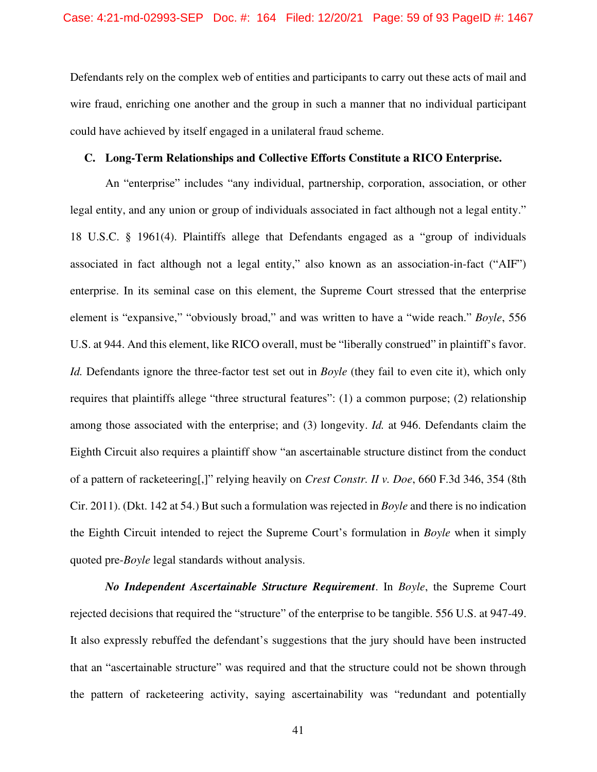Defendants rely on the complex web of entities and participants to carry out these acts of mail and wire fraud, enriching one another and the group in such a manner that no individual participant could have achieved by itself engaged in a unilateral fraud scheme.

## **C. Long-Term Relationships and Collective Efforts Constitute a RICO Enterprise.**

An "enterprise" includes "any individual, partnership, corporation, association, or other legal entity, and any union or group of individuals associated in fact although not a legal entity." 18 U.S.C. § 1961(4). Plaintiffs allege that Defendants engaged as a "group of individuals associated in fact although not a legal entity," also known as an association-in-fact ("AIF") enterprise. In its seminal case on this element, the Supreme Court stressed that the enterprise element is "expansive," "obviously broad," and was written to have a "wide reach." *Boyle*, 556 U.S. at 944. And this element, like RICO overall, must be "liberally construed" in plaintiff's favor. *Id.* Defendants ignore the three-factor test set out in *Boyle* (they fail to even cite it), which only requires that plaintiffs allege "three structural features": (1) a common purpose; (2) relationship among those associated with the enterprise; and (3) longevity. *Id.* at 946. Defendants claim the Eighth Circuit also requires a plaintiff show "an ascertainable structure distinct from the conduct of a pattern of racketeering[,]" relying heavily on *Crest Constr. II v. Doe*, 660 F.3d 346, 354 (8th Cir. 2011). (Dkt. 142 at 54.) But such a formulation was rejected in *Boyle* and there is no indication the Eighth Circuit intended to reject the Supreme Court's formulation in *Boyle* when it simply quoted pre-*Boyle* legal standards without analysis.

*No Independent Ascertainable Structure Requirement*. In *Boyle*, the Supreme Court rejected decisions that required the "structure" of the enterprise to be tangible. 556 U.S. at 947-49. It also expressly rebuffed the defendant's suggestions that the jury should have been instructed that an "ascertainable structure" was required and that the structure could not be shown through the pattern of racketeering activity, saying ascertainability was "redundant and potentially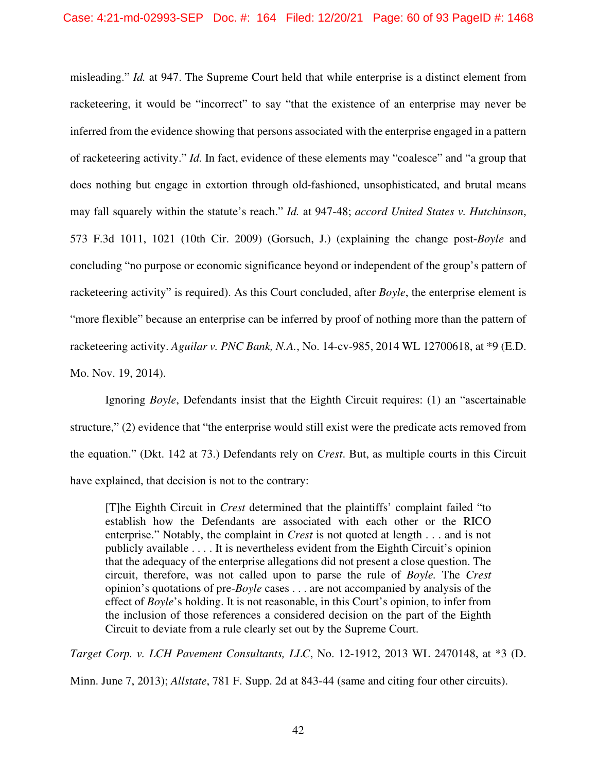misleading." *Id.* at 947. The Supreme Court held that while enterprise is a distinct element from racketeering, it would be "incorrect" to say "that the existence of an enterprise may never be inferred from the evidence showing that persons associated with the enterprise engaged in a pattern of racketeering activity." *Id.* In fact, evidence of these elements may "coalesce" and "a group that does nothing but engage in extortion through old-fashioned, unsophisticated, and brutal means may fall squarely within the statute's reach." *Id.* at 947-48; *accord United States v. Hutchinson*, 573 F.3d 1011, 1021 (10th Cir. 2009) (Gorsuch, J.) (explaining the change post-*Boyle* and concluding "no purpose or economic significance beyond or independent of the group's pattern of racketeering activity" is required). As this Court concluded, after *Boyle*, the enterprise element is "more flexible" because an enterprise can be inferred by proof of nothing more than the pattern of racketeering activity. *Aguilar v. PNC Bank, N.A.*, No. 14-cv-985, 2014 WL 12700618, at \*9 (E.D. Mo. Nov. 19, 2014).

Ignoring *Boyle*, Defendants insist that the Eighth Circuit requires: (1) an "ascertainable structure," (2) evidence that "the enterprise would still exist were the predicate acts removed from the equation." (Dkt. 142 at 73.) Defendants rely on *Crest*. But, as multiple courts in this Circuit have explained, that decision is not to the contrary:

[T]he Eighth Circuit in *Crest* determined that the plaintiffs' complaint failed "to establish how the Defendants are associated with each other or the RICO enterprise." Notably, the complaint in *Crest* is not quoted at length . . . and is not publicly available . . . . It is nevertheless evident from the Eighth Circuit's opinion that the adequacy of the enterprise allegations did not present a close question. The circuit, therefore, was not called upon to parse the rule of *Boyle.* The *Crest*  opinion's quotations of pre-*Boyle* cases . . . are not accompanied by analysis of the effect of *Boyle*'s holding. It is not reasonable, in this Court's opinion, to infer from the inclusion of those references a considered decision on the part of the Eighth Circuit to deviate from a rule clearly set out by the Supreme Court.

*Target Corp. v. LCH Pavement Consultants, LLC*, No. 12-1912, 2013 WL 2470148, at \*3 (D. Minn. June 7, 2013); *Allstate*, 781 F. Supp. 2d at 843-44 (same and citing four other circuits).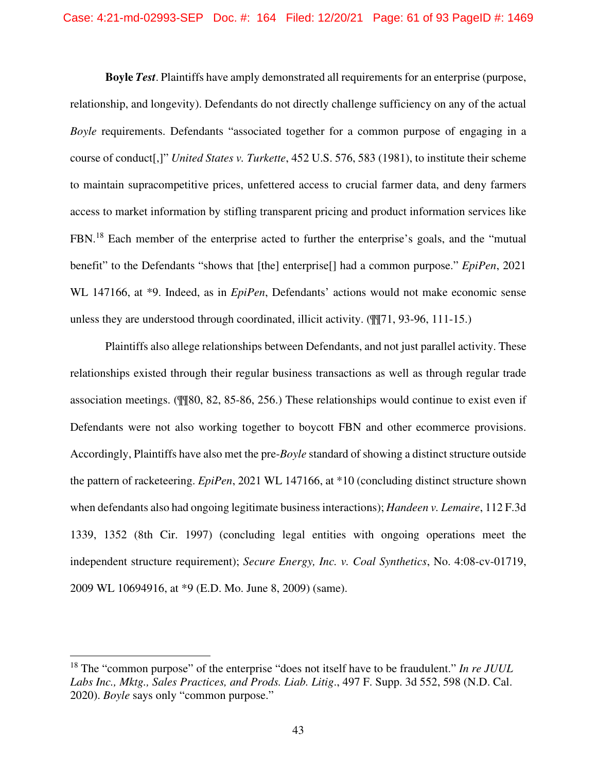**Boyle** *Test*. Plaintiffs have amply demonstrated all requirements for an enterprise (purpose, relationship, and longevity). Defendants do not directly challenge sufficiency on any of the actual *Boyle* requirements. Defendants "associated together for a common purpose of engaging in a course of conduct[,]" *United States v. Turkette*, 452 U.S. 576, 583 (1981), to institute their scheme to maintain supracompetitive prices, unfettered access to crucial farmer data, and deny farmers access to market information by stifling transparent pricing and product information services like FBN.<sup>18</sup> Each member of the enterprise acted to further the enterprise's goals, and the "mutual" benefit" to the Defendants "shows that [the] enterprise[] had a common purpose." *EpiPen*, 2021 WL 147166, at \*9. Indeed, as in *EpiPen*, Defendants' actions would not make economic sense unless they are understood through coordinated, illicit activity. (¶¶71, 93-96, 111-15.)

Plaintiffs also allege relationships between Defendants, and not just parallel activity. These relationships existed through their regular business transactions as well as through regular trade association meetings. (¶¶80, 82, 85-86, 256.) These relationships would continue to exist even if Defendants were not also working together to boycott FBN and other ecommerce provisions. Accordingly, Plaintiffs have also met the pre-*Boyle* standard of showing a distinct structure outside the pattern of racketeering. *EpiPen*, 2021 WL 147166, at \*10 (concluding distinct structure shown when defendants also had ongoing legitimate business interactions); *Handeen v. Lemaire*, 112 F.3d 1339, 1352 (8th Cir. 1997) (concluding legal entities with ongoing operations meet the independent structure requirement); *Secure Energy, Inc. v. Coal Synthetics*, No. 4:08-cv-01719, 2009 WL 10694916, at \*9 (E.D. Mo. June 8, 2009) (same).

<sup>18</sup> The "common purpose" of the enterprise "does not itself have to be fraudulent." *In re JUUL Labs Inc., Mktg., Sales Practices, and Prods. Liab. Litig*., 497 F. Supp. 3d 552, 598 (N.D. Cal. 2020). *Boyle* says only "common purpose."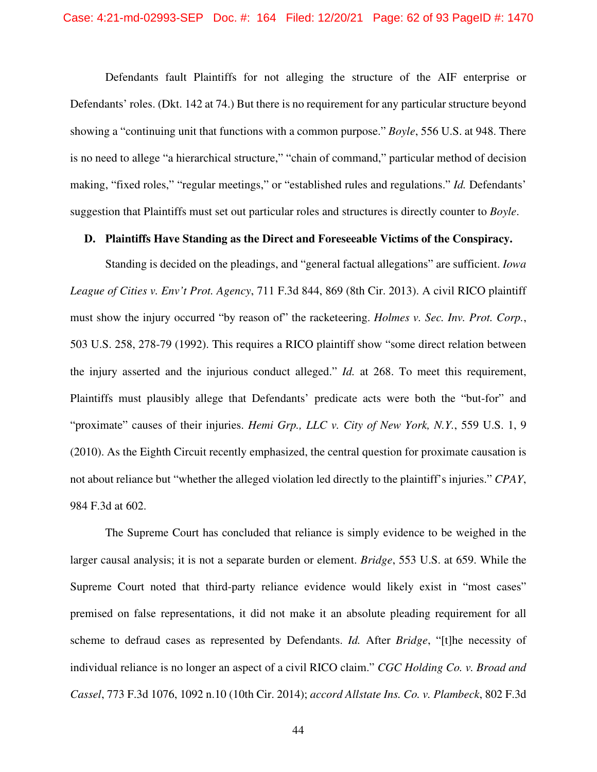Defendants fault Plaintiffs for not alleging the structure of the AIF enterprise or Defendants' roles. (Dkt. 142 at 74.) But there is no requirement for any particular structure beyond showing a "continuing unit that functions with a common purpose." *Boyle*, 556 U.S. at 948. There is no need to allege "a hierarchical structure," "chain of command," particular method of decision making, "fixed roles," "regular meetings," or "established rules and regulations." *Id.* Defendants' suggestion that Plaintiffs must set out particular roles and structures is directly counter to *Boyle*.

## **D. Plaintiffs Have Standing as the Direct and Foreseeable Victims of the Conspiracy.**

Standing is decided on the pleadings, and "general factual allegations" are sufficient. *Iowa League of Cities v. Env't Prot. Agency*, 711 F.3d 844, 869 (8th Cir. 2013). A civil RICO plaintiff must show the injury occurred "by reason of" the racketeering. *Holmes v. Sec. Inv. Prot. Corp.*, 503 U.S. 258, 278-79 (1992). This requires a RICO plaintiff show "some direct relation between the injury asserted and the injurious conduct alleged." *Id.* at 268. To meet this requirement, Plaintiffs must plausibly allege that Defendants' predicate acts were both the "but-for" and "proximate" causes of their injuries. *Hemi Grp., LLC v. City of New York, N.Y.*, 559 U.S. 1, 9 (2010). As the Eighth Circuit recently emphasized, the central question for proximate causation is not about reliance but "whether the alleged violation led directly to the plaintiff's injuries." *CPAY*, 984 F.3d at 602.

The Supreme Court has concluded that reliance is simply evidence to be weighed in the larger causal analysis; it is not a separate burden or element. *Bridge*, 553 U.S. at 659. While the Supreme Court noted that third-party reliance evidence would likely exist in "most cases" premised on false representations, it did not make it an absolute pleading requirement for all scheme to defraud cases as represented by Defendants. *Id.* After *Bridge*, "[t]he necessity of individual reliance is no longer an aspect of a civil RICO claim." *CGC Holding Co. v. Broad and Cassel*, 773 F.3d 1076, 1092 n.10 (10th Cir. 2014); *accord Allstate Ins. Co. v. Plambeck*, 802 F.3d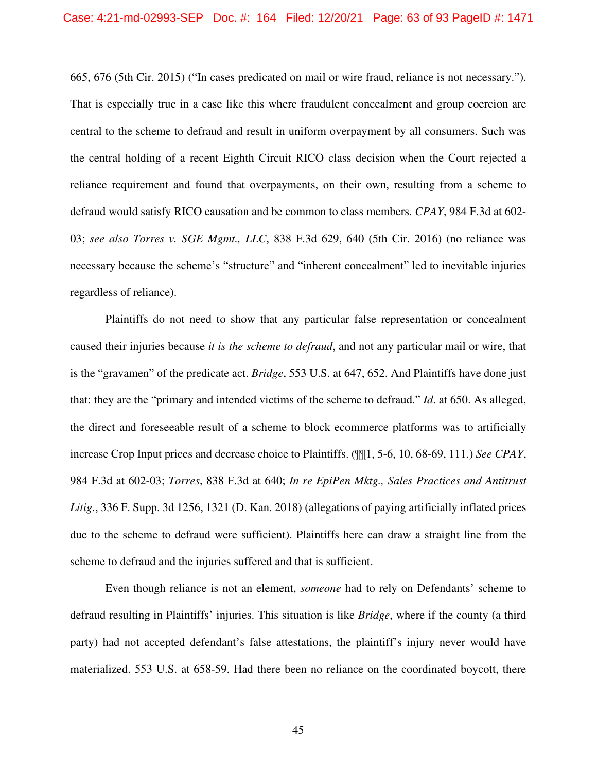665, 676 (5th Cir. 2015) ("In cases predicated on mail or wire fraud, reliance is not necessary."). That is especially true in a case like this where fraudulent concealment and group coercion are central to the scheme to defraud and result in uniform overpayment by all consumers. Such was the central holding of a recent Eighth Circuit RICO class decision when the Court rejected a reliance requirement and found that overpayments, on their own, resulting from a scheme to defraud would satisfy RICO causation and be common to class members. *CPAY*, 984 F.3d at 602- 03; *see also Torres v. SGE Mgmt., LLC*, 838 F.3d 629, 640 (5th Cir. 2016) (no reliance was necessary because the scheme's "structure" and "inherent concealment" led to inevitable injuries regardless of reliance).

Plaintiffs do not need to show that any particular false representation or concealment caused their injuries because *it is the scheme to defraud*, and not any particular mail or wire, that is the "gravamen" of the predicate act. *Bridge*, 553 U.S. at 647, 652. And Plaintiffs have done just that: they are the "primary and intended victims of the scheme to defraud." *Id*. at 650. As alleged, the direct and foreseeable result of a scheme to block ecommerce platforms was to artificially increase Crop Input prices and decrease choice to Plaintiffs. (¶¶1, 5-6, 10, 68-69, 111.) *See CPAY*, 984 F.3d at 602-03; *Torres*, 838 F.3d at 640; *In re EpiPen Mktg., Sales Practices and Antitrust Litig.*, 336 F. Supp. 3d 1256, 1321 (D. Kan. 2018) (allegations of paying artificially inflated prices due to the scheme to defraud were sufficient). Plaintiffs here can draw a straight line from the scheme to defraud and the injuries suffered and that is sufficient.

Even though reliance is not an element, *someone* had to rely on Defendants' scheme to defraud resulting in Plaintiffs' injuries. This situation is like *Bridge*, where if the county (a third party) had not accepted defendant's false attestations, the plaintiff's injury never would have materialized. 553 U.S. at 658-59. Had there been no reliance on the coordinated boycott, there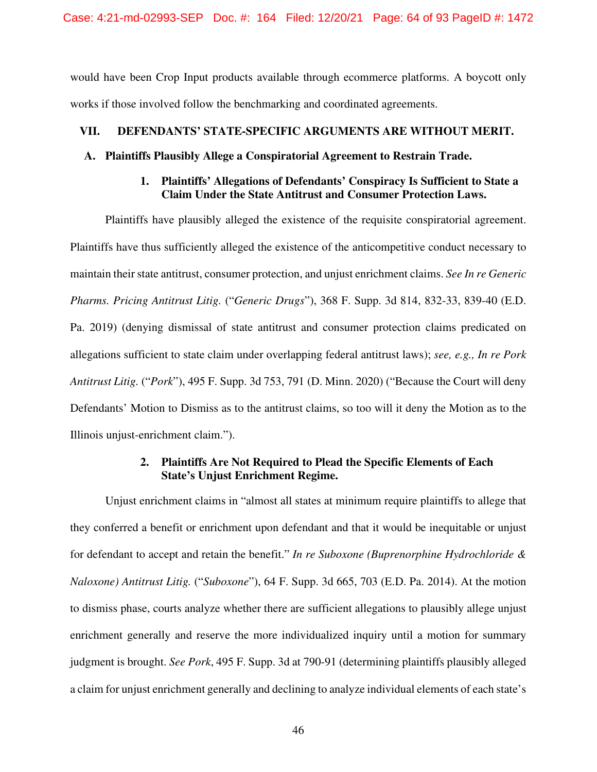Case: 4:21-md-02993-SEP Doc. #: 164 Filed: 12/20/21 Page: 64 of 93 PageID #: 1472

would have been Crop Input products available through ecommerce platforms. A boycott only works if those involved follow the benchmarking and coordinated agreements.

# **VII. DEFENDANTS' STATE-SPECIFIC ARGUMENTS ARE WITHOUT MERIT.**

### **A. Plaintiffs Plausibly Allege a Conspiratorial Agreement to Restrain Trade.**

## **1. Plaintiffs' Allegations of Defendants' Conspiracy Is Sufficient to State a Claim Under the State Antitrust and Consumer Protection Laws.**

Plaintiffs have plausibly alleged the existence of the requisite conspiratorial agreement. Plaintiffs have thus sufficiently alleged the existence of the anticompetitive conduct necessary to maintain their state antitrust, consumer protection, and unjust enrichment claims. *See In re Generic Pharms. Pricing Antitrust Litig.* ("*Generic Drugs*"), 368 F. Supp. 3d 814, 832-33, 839-40 (E.D. Pa. 2019) (denying dismissal of state antitrust and consumer protection claims predicated on allegations sufficient to state claim under overlapping federal antitrust laws); *see, e.g., In re Pork Antitrust Litig.* ("*Pork*"), 495 F. Supp. 3d 753, 791 (D. Minn. 2020) ("Because the Court will deny Defendants' Motion to Dismiss as to the antitrust claims, so too will it deny the Motion as to the Illinois unjust-enrichment claim.").

# **2. Plaintiffs Are Not Required to Plead the Specific Elements of Each State's Unjust Enrichment Regime.**

Unjust enrichment claims in "almost all states at minimum require plaintiffs to allege that they conferred a benefit or enrichment upon defendant and that it would be inequitable or unjust for defendant to accept and retain the benefit." *In re Suboxone (Buprenorphine Hydrochloride & Naloxone) Antitrust Litig.* ("*Suboxone*"), 64 F. Supp. 3d 665, 703 (E.D. Pa. 2014). At the motion to dismiss phase, courts analyze whether there are sufficient allegations to plausibly allege unjust enrichment generally and reserve the more individualized inquiry until a motion for summary judgment is brought. *See Pork*, 495 F. Supp. 3d at 790-91 (determining plaintiffs plausibly alleged a claim for unjust enrichment generally and declining to analyze individual elements of each state's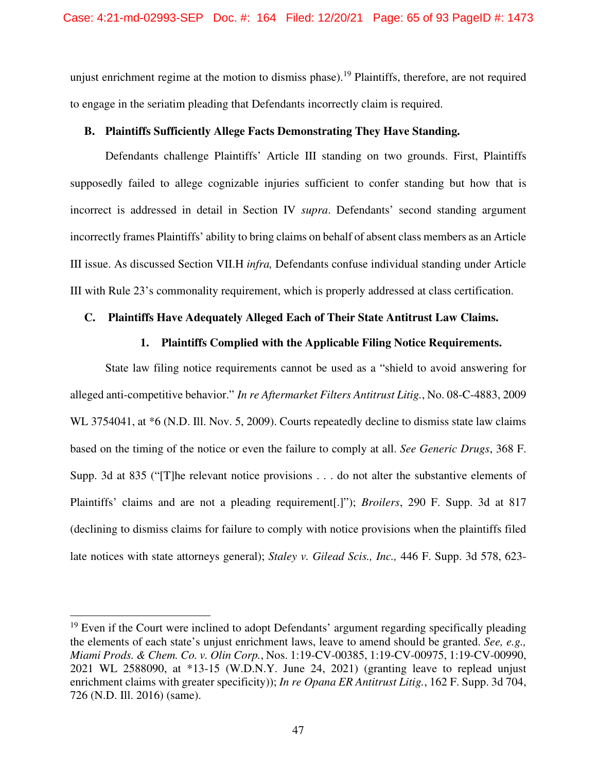unjust enrichment regime at the motion to dismiss phase).<sup>19</sup> Plaintiffs, therefore, are not required to engage in the seriatim pleading that Defendants incorrectly claim is required.

## **B. Plaintiffs Sufficiently Allege Facts Demonstrating They Have Standing.**

Defendants challenge Plaintiffs' Article III standing on two grounds. First, Plaintiffs supposedly failed to allege cognizable injuries sufficient to confer standing but how that is incorrect is addressed in detail in Section IV *supra*. Defendants' second standing argument incorrectly frames Plaintiffs' ability to bring claims on behalf of absent class members as an Article III issue. As discussed Section VII.H *infra,* Defendants confuse individual standing under Article III with Rule 23's commonality requirement, which is properly addressed at class certification.

## **C. Plaintiffs Have Adequately Alleged Each of Their State Antitrust Law Claims.**

## **1. Plaintiffs Complied with the Applicable Filing Notice Requirements.**

State law filing notice requirements cannot be used as a "shield to avoid answering for alleged anti-competitive behavior." *In re Aftermarket Filters Antitrust Litig.*, No. 08-C-4883, 2009 WL 3754041, at  $*6$  (N.D. Ill. Nov. 5, 2009). Courts repeatedly decline to dismiss state law claims based on the timing of the notice or even the failure to comply at all. *See Generic Drugs*, 368 F. Supp. 3d at 835 ("[T]he relevant notice provisions . . . do not alter the substantive elements of Plaintiffs' claims and are not a pleading requirement[.]"); *Broilers*, 290 F. Supp. 3d at 817 (declining to dismiss claims for failure to comply with notice provisions when the plaintiffs filed late notices with state attorneys general); *Staley v. Gilead Scis., Inc.,* 446 F. Supp. 3d 578, 623-

<sup>&</sup>lt;sup>19</sup> Even if the Court were inclined to adopt Defendants' argument regarding specifically pleading the elements of each state's unjust enrichment laws, leave to amend should be granted. *See, e.g., Miami Prods. & Chem. Co. v. Olin Corp.*, Nos. 1:19-CV-00385, 1:19-CV-00975, 1:19-CV-00990, 2021 WL 2588090, at \*13-15 (W.D.N.Y. June 24, 2021) (granting leave to replead unjust enrichment claims with greater specificity)); *In re Opana ER Antitrust Litig.*, 162 F. Supp. 3d 704, 726 (N.D. Ill. 2016) (same).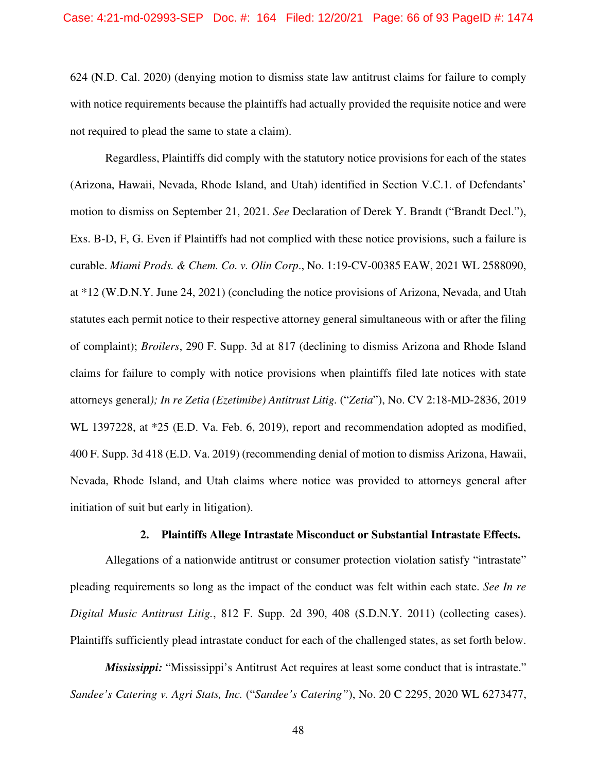624 (N.D. Cal. 2020) (denying motion to dismiss state law antitrust claims for failure to comply with notice requirements because the plaintiffs had actually provided the requisite notice and were not required to plead the same to state a claim).

Regardless, Plaintiffs did comply with the statutory notice provisions for each of the states (Arizona, Hawaii, Nevada, Rhode Island, and Utah) identified in Section V.C.1. of Defendants' motion to dismiss on September 21, 2021. *See* Declaration of Derek Y. Brandt ("Brandt Decl."), Exs. B-D, F, G. Even if Plaintiffs had not complied with these notice provisions, such a failure is curable. *Miami Prods. & Chem. Co. v. Olin Corp*., No. 1:19-CV-00385 EAW, 2021 WL 2588090, at \*12 (W.D.N.Y. June 24, 2021) (concluding the notice provisions of Arizona, Nevada, and Utah statutes each permit notice to their respective attorney general simultaneous with or after the filing of complaint); *Broilers*, 290 F. Supp. 3d at 817 (declining to dismiss Arizona and Rhode Island claims for failure to comply with notice provisions when plaintiffs filed late notices with state attorneys general*); In re Zetia (Ezetimibe) Antitrust Litig.* ("*Zetia*"), No. CV 2:18-MD-2836, 2019 WL 1397228, at \*25 (E.D. Va. Feb. 6, 2019), report and recommendation adopted as modified, 400 F. Supp. 3d 418 (E.D. Va. 2019) (recommending denial of motion to dismiss Arizona, Hawaii, Nevada, Rhode Island, and Utah claims where notice was provided to attorneys general after initiation of suit but early in litigation).

## **2. Plaintiffs Allege Intrastate Misconduct or Substantial Intrastate Effects.**

Allegations of a nationwide antitrust or consumer protection violation satisfy "intrastate" pleading requirements so long as the impact of the conduct was felt within each state. *See In re Digital Music Antitrust Litig.*, 812 F. Supp. 2d 390, 408 (S.D.N.Y. 2011) (collecting cases). Plaintiffs sufficiently plead intrastate conduct for each of the challenged states, as set forth below.

*Mississippi:* "Mississippi's Antitrust Act requires at least some conduct that is intrastate." *Sandee's Catering v. Agri Stats, Inc.* ("*Sandee's Catering"*), No. 20 C 2295, 2020 WL 6273477,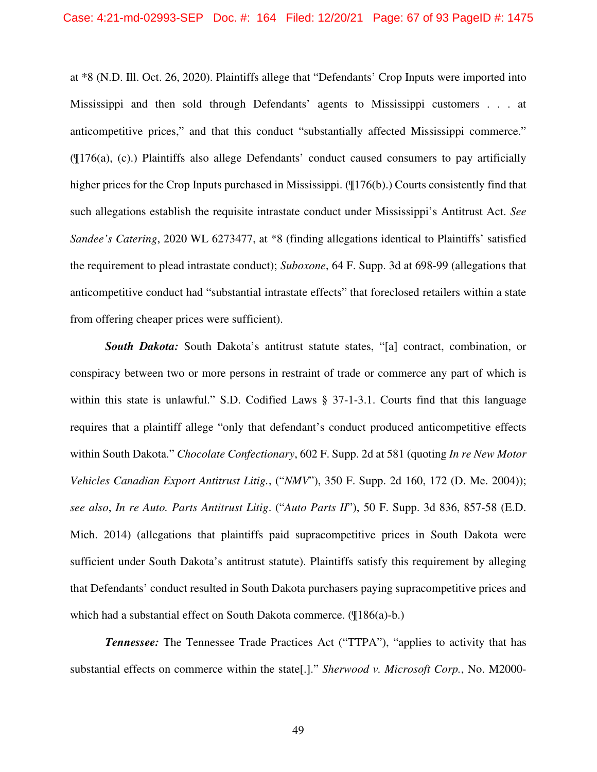at \*8 (N.D. Ill. Oct. 26, 2020). Plaintiffs allege that "Defendants' Crop Inputs were imported into Mississippi and then sold through Defendants' agents to Mississippi customers . . . at anticompetitive prices," and that this conduct "substantially affected Mississippi commerce." (¶176(a), (c).) Plaintiffs also allege Defendants' conduct caused consumers to pay artificially higher prices for the Crop Inputs purchased in Mississippi. ( $\P$ 176(b).) Courts consistently find that such allegations establish the requisite intrastate conduct under Mississippi's Antitrust Act. *See Sandee's Catering*, 2020 WL 6273477, at \*8 (finding allegations identical to Plaintiffs' satisfied the requirement to plead intrastate conduct); *Suboxone*, 64 F. Supp. 3d at 698-99 (allegations that anticompetitive conduct had "substantial intrastate effects" that foreclosed retailers within a state from offering cheaper prices were sufficient).

**South Dakota:** South Dakota's antitrust statute states, "[a] contract, combination, or conspiracy between two or more persons in restraint of trade or commerce any part of which is within this state is unlawful." S.D. Codified Laws § 37-1-3.1. Courts find that this language requires that a plaintiff allege "only that defendant's conduct produced anticompetitive effects within South Dakota." *Chocolate Confectionary*, 602 F. Supp. 2d at 581 (quoting *In re New Motor Vehicles Canadian Export Antitrust Litig.*, ("*NMV*"), 350 F. Supp. 2d 160, 172 (D. Me. 2004)); *see also*, *In re Auto. Parts Antitrust Litig*. ("*Auto Parts II*"), 50 F. Supp. 3d 836, 857-58 (E.D. Mich. 2014) (allegations that plaintiffs paid supracompetitive prices in South Dakota were sufficient under South Dakota's antitrust statute). Plaintiffs satisfy this requirement by alleging that Defendants' conduct resulted in South Dakota purchasers paying supracompetitive prices and which had a substantial effect on South Dakota commerce. (¶186(a)-b.)

*Tennessee:* The Tennessee Trade Practices Act ("TTPA"), "applies to activity that has substantial effects on commerce within the state[.]." *Sherwood v. Microsoft Corp.*, No. M2000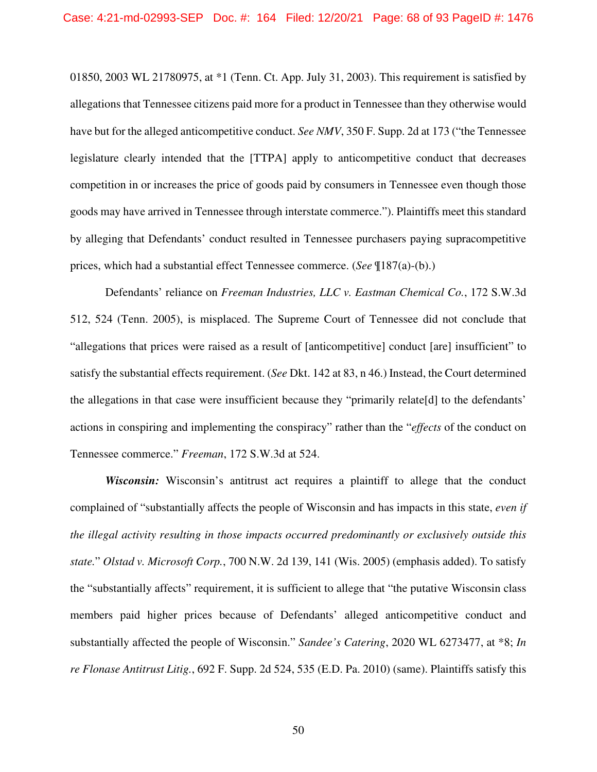01850, 2003 WL 21780975, at \*1 (Tenn. Ct. App. July 31, 2003). This requirement is satisfied by allegations that Tennessee citizens paid more for a product in Tennessee than they otherwise would have but for the alleged anticompetitive conduct. *See NMV*, 350 F. Supp. 2d at 173 ("the Tennessee legislature clearly intended that the [TTPA] apply to anticompetitive conduct that decreases competition in or increases the price of goods paid by consumers in Tennessee even though those goods may have arrived in Tennessee through interstate commerce."). Plaintiffs meet this standard by alleging that Defendants' conduct resulted in Tennessee purchasers paying supracompetitive prices, which had a substantial effect Tennessee commerce. (*See* ¶187(a)-(b).)

Defendants' reliance on *Freeman Industries, LLC v. Eastman Chemical Co.*, 172 S.W.3d 512, 524 (Tenn. 2005), is misplaced. The Supreme Court of Tennessee did not conclude that "allegations that prices were raised as a result of [anticompetitive] conduct [are] insufficient" to satisfy the substantial effects requirement. (*See* Dkt. 142 at 83, n 46.) Instead, the Court determined the allegations in that case were insufficient because they "primarily relate[d] to the defendants' actions in conspiring and implementing the conspiracy" rather than the "*effects* of the conduct on Tennessee commerce." *Freeman*, 172 S.W.3d at 524.

*Wisconsin:* Wisconsin's antitrust act requires a plaintiff to allege that the conduct complained of "substantially affects the people of Wisconsin and has impacts in this state, *even if the illegal activity resulting in those impacts occurred predominantly or exclusively outside this state.*" *Olstad v. Microsoft Corp.*, 700 N.W. 2d 139, 141 (Wis. 2005) (emphasis added). To satisfy the "substantially affects" requirement, it is sufficient to allege that "the putative Wisconsin class members paid higher prices because of Defendants' alleged anticompetitive conduct and substantially affected the people of Wisconsin." *Sandee's Catering*, 2020 WL 6273477, at \*8; *In re Flonase Antitrust Litig.*, 692 F. Supp. 2d 524, 535 (E.D. Pa. 2010) (same). Plaintiffs satisfy this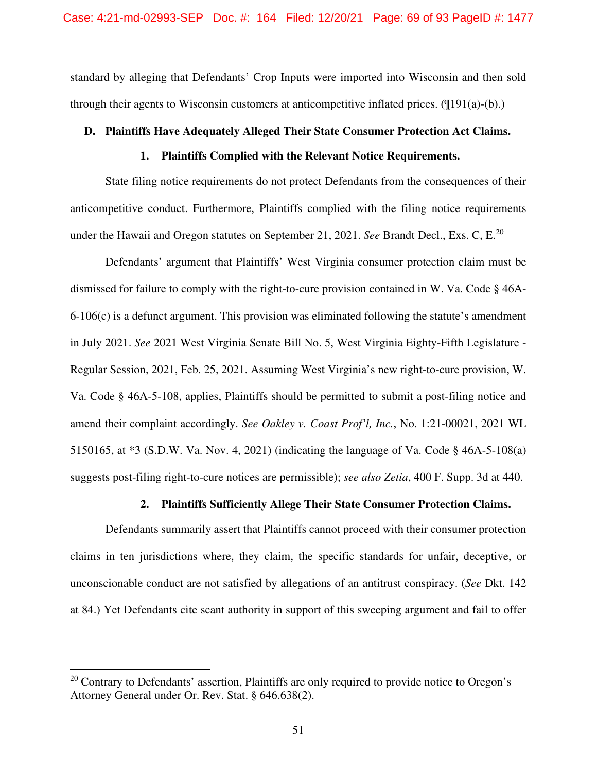standard by alleging that Defendants' Crop Inputs were imported into Wisconsin and then sold through their agents to Wisconsin customers at anticompetitive inflated prices.  $(\mathcal{T}[191(a)-(b))$ .

## **D. Plaintiffs Have Adequately Alleged Their State Consumer Protection Act Claims.**

## **1. Plaintiffs Complied with the Relevant Notice Requirements.**

State filing notice requirements do not protect Defendants from the consequences of their anticompetitive conduct. Furthermore, Plaintiffs complied with the filing notice requirements under the Hawaii and Oregon statutes on September 21, 2021. *See* Brandt Decl., Exs. C, E.<sup>20</sup>

Defendants' argument that Plaintiffs' West Virginia consumer protection claim must be dismissed for failure to comply with the right-to-cure provision contained in W. Va. Code § 46A-6-106(c) is a defunct argument. This provision was eliminated following the statute's amendment in July 2021. *See* 2021 West Virginia Senate Bill No. 5, West Virginia Eighty-Fifth Legislature - Regular Session, 2021, Feb. 25, 2021. Assuming West Virginia's new right-to-cure provision, W. Va. Code § 46A-5-108, applies, Plaintiffs should be permitted to submit a post-filing notice and amend their complaint accordingly. *See Oakley v. Coast Prof'l, Inc.*, No. 1:21-00021, 2021 WL 5150165, at \*3 (S.D.W. Va. Nov. 4, 2021) (indicating the language of Va. Code § 46A-5-108(a) suggests post-filing right-to-cure notices are permissible); *see also Zetia*, 400 F. Supp. 3d at 440.

# **2. Plaintiffs Sufficiently Allege Their State Consumer Protection Claims.**

Defendants summarily assert that Plaintiffs cannot proceed with their consumer protection claims in ten jurisdictions where, they claim, the specific standards for unfair, deceptive, or unconscionable conduct are not satisfied by allegations of an antitrust conspiracy. (*See* Dkt. 142 at 84.) Yet Defendants cite scant authority in support of this sweeping argument and fail to offer

 $20$  Contrary to Defendants' assertion. Plaintiffs are only required to provide notice to Oregon's Attorney General under Or. Rev. Stat. § 646.638(2).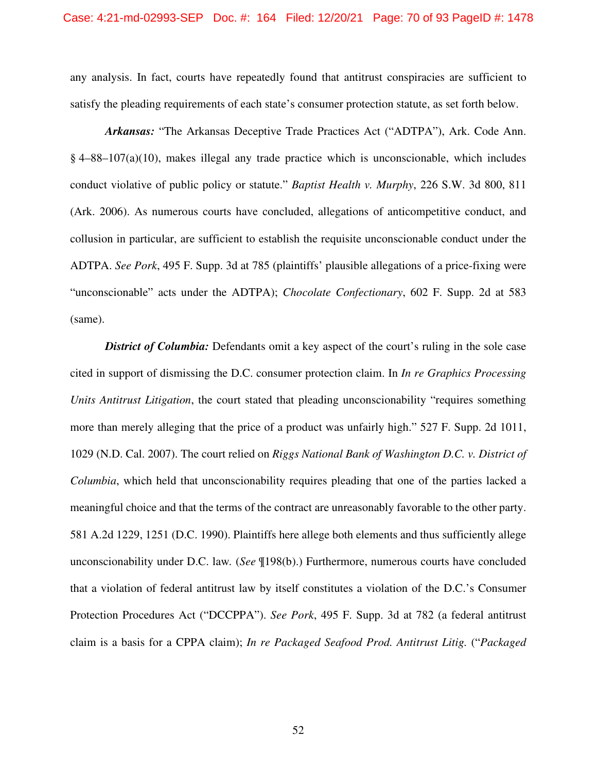#### Case: 4:21-md-02993-SEP Doc. #: 164 Filed: 12/20/21 Page: 70 of 93 PageID #: 1478

any analysis. In fact, courts have repeatedly found that antitrust conspiracies are sufficient to satisfy the pleading requirements of each state's consumer protection statute, as set forth below.

*Arkansas:* "The Arkansas Deceptive Trade Practices Act ("ADTPA"), Ark. Code Ann. § 4–88–107(a)(10), makes illegal any trade practice which is unconscionable, which includes conduct violative of public policy or statute." *Baptist Health v. Murphy*, 226 S.W. 3d 800, 811 (Ark. 2006). As numerous courts have concluded, allegations of anticompetitive conduct, and collusion in particular, are sufficient to establish the requisite unconscionable conduct under the ADTPA. *See Pork*, 495 F. Supp. 3d at 785 (plaintiffs' plausible allegations of a price-fixing were "unconscionable" acts under the ADTPA); *Chocolate Confectionary*, 602 F. Supp. 2d at 583 (same).

*District of Columbia:* Defendants omit a key aspect of the court's ruling in the sole case cited in support of dismissing the D.C. consumer protection claim. In *In re Graphics Processing Units Antitrust Litigation*, the court stated that pleading unconscionability "requires something more than merely alleging that the price of a product was unfairly high." 527 F. Supp. 2d 1011, 1029 (N.D. Cal. 2007). The court relied on *Riggs National Bank of Washington D.C. v. District of Columbia*, which held that unconscionability requires pleading that one of the parties lacked a meaningful choice and that the terms of the contract are unreasonably favorable to the other party. 581 A.2d 1229, 1251 (D.C. 1990). Plaintiffs here allege both elements and thus sufficiently allege unconscionability under D.C. law*.* (*See* ¶198(b).) Furthermore, numerous courts have concluded that a violation of federal antitrust law by itself constitutes a violation of the D.C.'s Consumer Protection Procedures Act ("DCCPPA"). *See Pork*, 495 F. Supp. 3d at 782 (a federal antitrust claim is a basis for a CPPA claim); *In re Packaged Seafood Prod. Antitrust Litig.* ("*Packaged*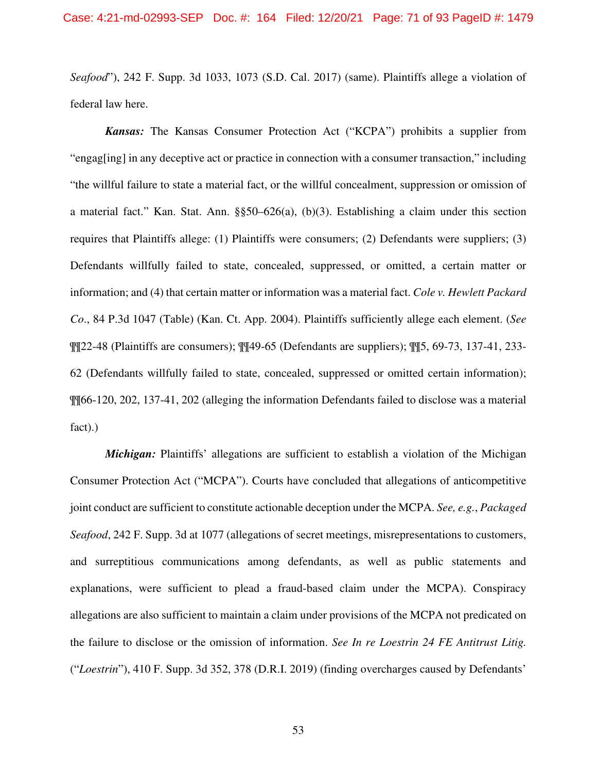*Seafood*"), 242 F. Supp. 3d 1033, 1073 (S.D. Cal. 2017) (same). Plaintiffs allege a violation of federal law here.

*Kansas:* The Kansas Consumer Protection Act ("KCPA") prohibits a supplier from "engag[ing] in any deceptive act or practice in connection with a consumer transaction," including "the willful failure to state a material fact, or the willful concealment, suppression or omission of a material fact." Kan. Stat. Ann. §§50–626(a), (b)(3). Establishing a claim under this section requires that Plaintiffs allege: (1) Plaintiffs were consumers; (2) Defendants were suppliers; (3) Defendants willfully failed to state, concealed, suppressed, or omitted, a certain matter or information; and (4) that certain matter or information was a material fact. *Cole v. Hewlett Packard Co*., 84 P.3d 1047 (Table) (Kan. Ct. App. 2004). Plaintiffs sufficiently allege each element. (*See*  ¶¶22-48 (Plaintiffs are consumers); ¶¶49-65 (Defendants are suppliers); ¶¶5, 69-73, 137-41, 233- 62 (Defendants willfully failed to state, concealed, suppressed or omitted certain information); ¶¶66-120, 202, 137-41, 202 (alleging the information Defendants failed to disclose was a material fact).)

*Michigan:* Plaintiffs' allegations are sufficient to establish a violation of the Michigan Consumer Protection Act ("MCPA"). Courts have concluded that allegations of anticompetitive joint conduct are sufficient to constitute actionable deception under the MCPA. *See, e.g.*, *Packaged Seafood*, 242 F. Supp. 3d at 1077 (allegations of secret meetings, misrepresentations to customers, and surreptitious communications among defendants, as well as public statements and explanations, were sufficient to plead a fraud-based claim under the MCPA). Conspiracy allegations are also sufficient to maintain a claim under provisions of the MCPA not predicated on the failure to disclose or the omission of information. *See In re Loestrin 24 FE Antitrust Litig.*  ("*Loestrin*"), 410 F. Supp. 3d 352, 378 (D.R.I. 2019) (finding overcharges caused by Defendants'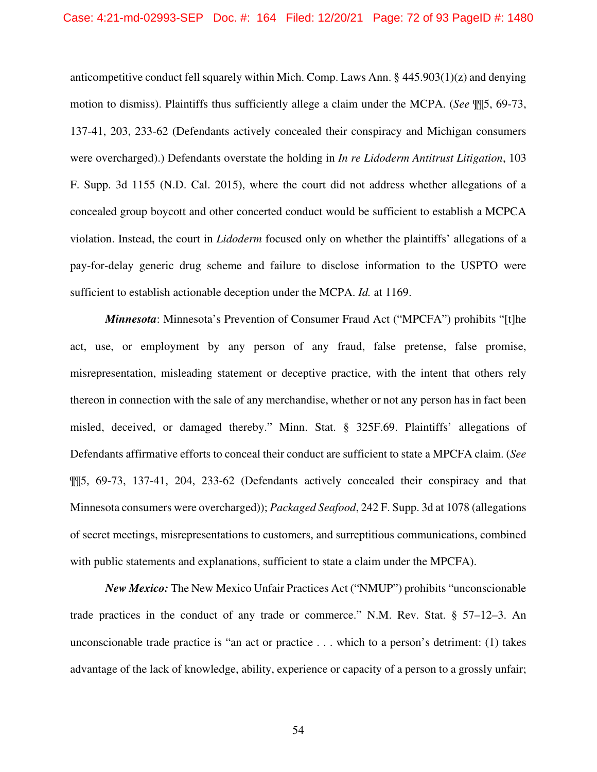#### Case: 4:21-md-02993-SEP Doc. #: 164 Filed: 12/20/21 Page: 72 of 93 PageID #: 1480

anticompetitive conduct fell squarely within Mich. Comp. Laws Ann.  $\S$  445.903(1)(z) and denying motion to dismiss). Plaintiffs thus sufficiently allege a claim under the MCPA. (*See* ¶¶5, 69-73, 137-41, 203, 233-62 (Defendants actively concealed their conspiracy and Michigan consumers were overcharged).) Defendants overstate the holding in *In re Lidoderm Antitrust Litigation*, 103 F. Supp. 3d 1155 (N.D. Cal. 2015), where the court did not address whether allegations of a concealed group boycott and other concerted conduct would be sufficient to establish a MCPCA violation. Instead, the court in *Lidoderm* focused only on whether the plaintiffs' allegations of a pay-for-delay generic drug scheme and failure to disclose information to the USPTO were sufficient to establish actionable deception under the MCPA. *Id.* at 1169.

*Minnesota*: Minnesota's Prevention of Consumer Fraud Act ("MPCFA") prohibits "[t]he act, use, or employment by any person of any fraud, false pretense, false promise, misrepresentation, misleading statement or deceptive practice, with the intent that others rely thereon in connection with the sale of any merchandise, whether or not any person has in fact been misled, deceived, or damaged thereby." Minn. Stat. § 325F.69. Plaintiffs' allegations of Defendants affirmative efforts to conceal their conduct are sufficient to state a MPCFA claim. (*See* ¶¶5, 69-73, 137-41, 204, 233-62 (Defendants actively concealed their conspiracy and that Minnesota consumers were overcharged)); *Packaged Seafood*, 242 F. Supp. 3d at 1078 (allegations of secret meetings, misrepresentations to customers, and surreptitious communications, combined with public statements and explanations, sufficient to state a claim under the MPCFA).

*New Mexico:* The New Mexico Unfair Practices Act ("NMUP") prohibits "unconscionable trade practices in the conduct of any trade or commerce." N.M. Rev. Stat. § 57–12–3. An unconscionable trade practice is "an act or practice . . . which to a person's detriment: (1) takes advantage of the lack of knowledge, ability, experience or capacity of a person to a grossly unfair;

54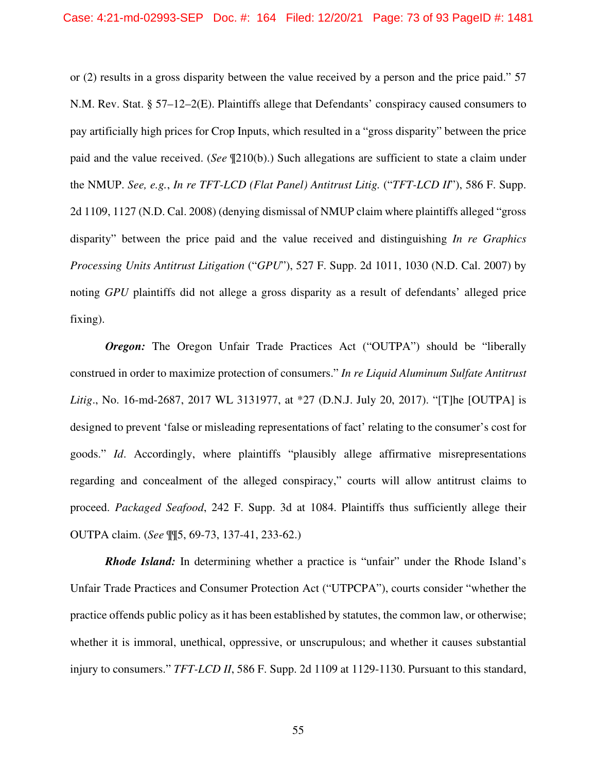or (2) results in a gross disparity between the value received by a person and the price paid." 57 N.M. Rev. Stat. § 57–12–2(E). Plaintiffs allege that Defendants' conspiracy caused consumers to pay artificially high prices for Crop Inputs, which resulted in a "gross disparity" between the price paid and the value received. (*See* ¶210(b).) Such allegations are sufficient to state a claim under the NMUP. *See, e.g.*, *In re TFT-LCD (Flat Panel) Antitrust Litig.* ("*TFT-LCD II*"), 586 F. Supp. 2d 1109, 1127 (N.D. Cal. 2008) (denying dismissal of NMUP claim where plaintiffs alleged "gross disparity" between the price paid and the value received and distinguishing *In re Graphics Processing Units Antitrust Litigation* ("*GPU*"), 527 F. Supp. 2d 1011, 1030 (N.D. Cal. 2007) by noting *GPU* plaintiffs did not allege a gross disparity as a result of defendants' alleged price fixing).

*Oregon:* The Oregon Unfair Trade Practices Act ("OUTPA") should be "liberally construed in order to maximize protection of consumers." *In re Liquid Aluminum Sulfate Antitrust Litig*., No. 16-md-2687, 2017 WL 3131977, at \*27 (D.N.J. July 20, 2017). "[T]he [OUTPA] is designed to prevent 'false or misleading representations of fact' relating to the consumer's cost for goods." *Id*. Accordingly, where plaintiffs "plausibly allege affirmative misrepresentations regarding and concealment of the alleged conspiracy," courts will allow antitrust claims to proceed. *Packaged Seafood*, 242 F. Supp. 3d at 1084. Plaintiffs thus sufficiently allege their OUTPA claim. (*See* ¶¶5, 69-73, 137-41, 233-62.)

*Rhode Island:* In determining whether a practice is "unfair" under the Rhode Island's Unfair Trade Practices and Consumer Protection Act ("UTPCPA"), courts consider "whether the practice offends public policy as it has been established by statutes, the common law, or otherwise; whether it is immoral, unethical, oppressive, or unscrupulous; and whether it causes substantial injury to consumers." *TFT-LCD II*, 586 F. Supp. 2d 1109 at 1129-1130. Pursuant to this standard,

55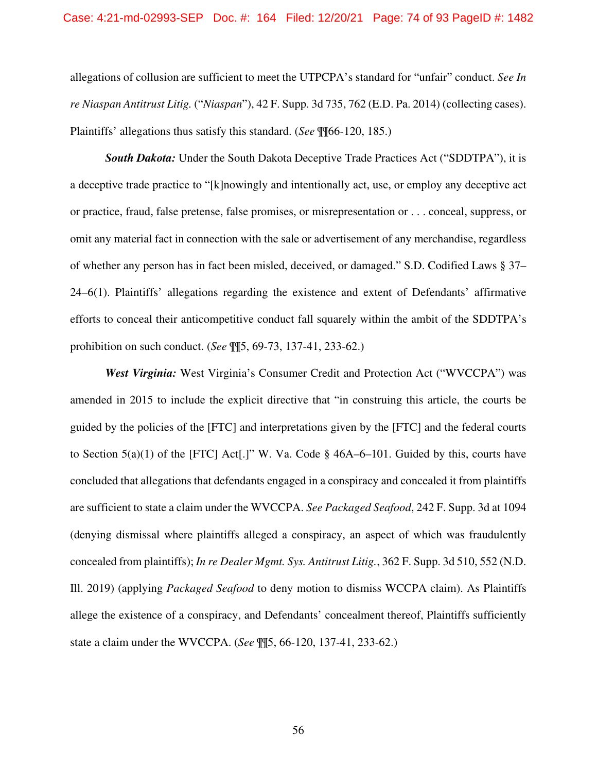allegations of collusion are sufficient to meet the UTPCPA's standard for "unfair" conduct. *See In re Niaspan Antitrust Litig.* ("*Niaspan*"), 42 F. Supp. 3d 735, 762 (E.D. Pa. 2014) (collecting cases). Plaintiffs' allegations thus satisfy this standard. (*See* ¶¶66-120, 185.)

**South Dakota:** Under the South Dakota Deceptive Trade Practices Act ("SDDTPA"), it is a deceptive trade practice to "[k]nowingly and intentionally act, use, or employ any deceptive act or practice, fraud, false pretense, false promises, or misrepresentation or . . . conceal, suppress, or omit any material fact in connection with the sale or advertisement of any merchandise, regardless of whether any person has in fact been misled, deceived, or damaged." S.D. Codified Laws § 37– 24–6(1). Plaintiffs' allegations regarding the existence and extent of Defendants' affirmative efforts to conceal their anticompetitive conduct fall squarely within the ambit of the SDDTPA's prohibition on such conduct. (*See* ¶¶5, 69-73, 137-41, 233-62.)

*West Virginia:* West Virginia's Consumer Credit and Protection Act ("WVCCPA") was amended in 2015 to include the explicit directive that "in construing this article, the courts be guided by the policies of the [FTC] and interpretations given by the [FTC] and the federal courts to Section  $5(a)(1)$  of the [FTC] Act[.]" W. Va. Code § 46A–6–101. Guided by this, courts have concluded that allegations that defendants engaged in a conspiracy and concealed it from plaintiffs are sufficient to state a claim under the WVCCPA. *See Packaged Seafood*, 242 F. Supp. 3d at 1094 (denying dismissal where plaintiffs alleged a conspiracy, an aspect of which was fraudulently concealed from plaintiffs); *In re Dealer Mgmt. Sys. Antitrust Litig.*, 362 F. Supp. 3d 510, 552 (N.D. Ill. 2019) (applying *Packaged Seafood* to deny motion to dismiss WCCPA claim). As Plaintiffs allege the existence of a conspiracy, and Defendants' concealment thereof, Plaintiffs sufficiently state a claim under the WVCCPA. (*See* ¶¶5, 66-120, 137-41, 233-62.)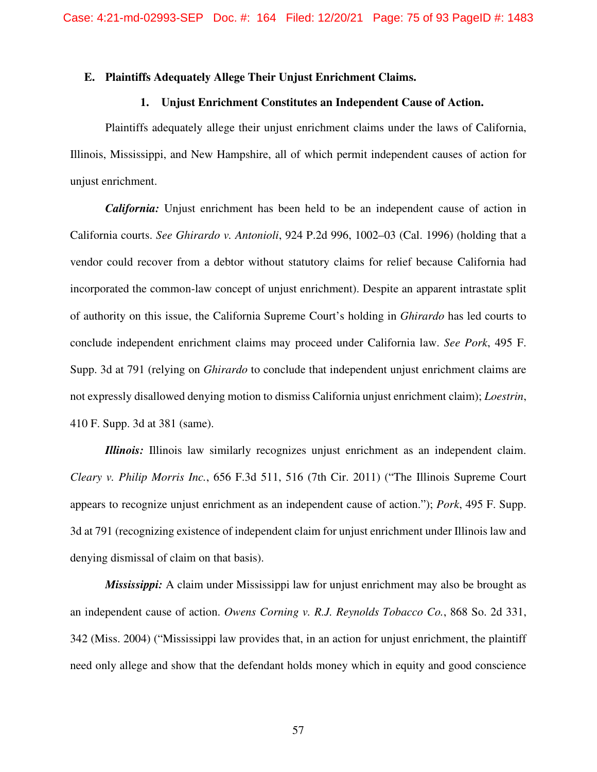#### **E. Plaintiffs Adequately Allege Their Unjust Enrichment Claims.**

#### **1. Unjust Enrichment Constitutes an Independent Cause of Action.**

Plaintiffs adequately allege their unjust enrichment claims under the laws of California, Illinois, Mississippi, and New Hampshire, all of which permit independent causes of action for unjust enrichment.

*California:* Unjust enrichment has been held to be an independent cause of action in California courts. *See Ghirardo v. Antonioli*, 924 P.2d 996, 1002–03 (Cal. 1996) (holding that a vendor could recover from a debtor without statutory claims for relief because California had incorporated the common-law concept of unjust enrichment). Despite an apparent intrastate split of authority on this issue, the California Supreme Court's holding in *Ghirardo* has led courts to conclude independent enrichment claims may proceed under California law. *See Pork*, 495 F. Supp. 3d at 791 (relying on *Ghirardo* to conclude that independent unjust enrichment claims are not expressly disallowed denying motion to dismiss California unjust enrichment claim); *Loestrin*, 410 F. Supp. 3d at 381 (same).

*Illinois:* Illinois law similarly recognizes unjust enrichment as an independent claim. *Cleary v. Philip Morris Inc.*, 656 F.3d 511, 516 (7th Cir. 2011) ("The Illinois Supreme Court appears to recognize unjust enrichment as an independent cause of action."); *Pork*, 495 F. Supp. 3d at 791 (recognizing existence of independent claim for unjust enrichment under Illinois law and denying dismissal of claim on that basis).

*Mississippi:* A claim under Mississippi law for unjust enrichment may also be brought as an independent cause of action. *Owens Corning v. R.J. Reynolds Tobacco Co.*, 868 So. 2d 331, 342 (Miss. 2004) ("Mississippi law provides that, in an action for unjust enrichment, the plaintiff need only allege and show that the defendant holds money which in equity and good conscience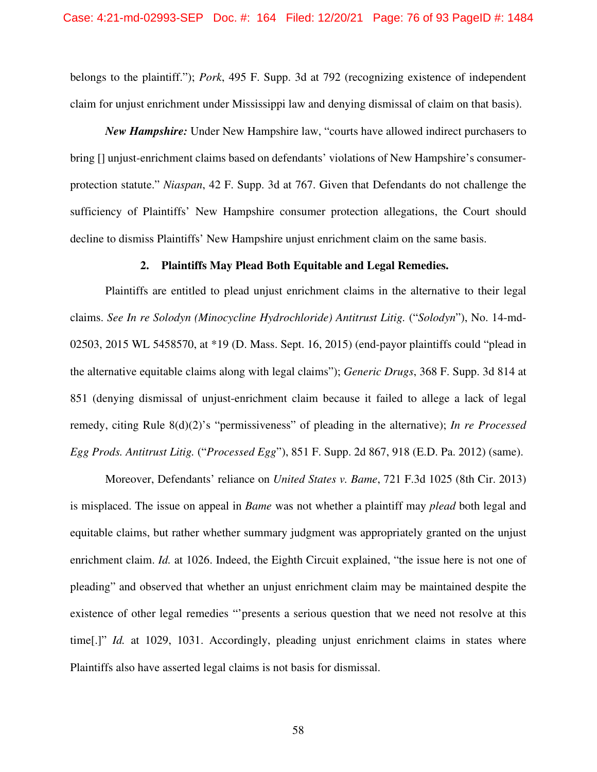belongs to the plaintiff."); *Pork*, 495 F. Supp. 3d at 792 (recognizing existence of independent claim for unjust enrichment under Mississippi law and denying dismissal of claim on that basis).

*New Hampshire:* Under New Hampshire law, "courts have allowed indirect purchasers to bring [] unjust-enrichment claims based on defendants' violations of New Hampshire's consumerprotection statute." *Niaspan*, 42 F. Supp. 3d at 767. Given that Defendants do not challenge the sufficiency of Plaintiffs' New Hampshire consumer protection allegations, the Court should decline to dismiss Plaintiffs' New Hampshire unjust enrichment claim on the same basis.

#### **2. Plaintiffs May Plead Both Equitable and Legal Remedies.**

Plaintiffs are entitled to plead unjust enrichment claims in the alternative to their legal claims. *See In re Solodyn (Minocycline Hydrochloride) Antitrust Litig.* ("*Solodyn*"), No. 14-md-02503, 2015 WL 5458570, at \*19 (D. Mass. Sept. 16, 2015) (end-payor plaintiffs could "plead in the alternative equitable claims along with legal claims"); *Generic Drugs*, 368 F. Supp. 3d 814 at 851 (denying dismissal of unjust-enrichment claim because it failed to allege a lack of legal remedy, citing Rule 8(d)(2)'s "permissiveness" of pleading in the alternative); *In re Processed Egg Prods. Antitrust Litig.* ("*Processed Egg*"), 851 F. Supp. 2d 867, 918 (E.D. Pa. 2012) (same).

Moreover, Defendants' reliance on *United States v. Bame*, 721 F.3d 1025 (8th Cir. 2013) is misplaced. The issue on appeal in *Bame* was not whether a plaintiff may *plead* both legal and equitable claims, but rather whether summary judgment was appropriately granted on the unjust enrichment claim. *Id.* at 1026. Indeed, the Eighth Circuit explained, "the issue here is not one of pleading" and observed that whether an unjust enrichment claim may be maintained despite the existence of other legal remedies "'presents a serious question that we need not resolve at this time<sup>[1]</sup> *Id.* at 1029, 1031. Accordingly, pleading unjust enrichment claims in states where Plaintiffs also have asserted legal claims is not basis for dismissal.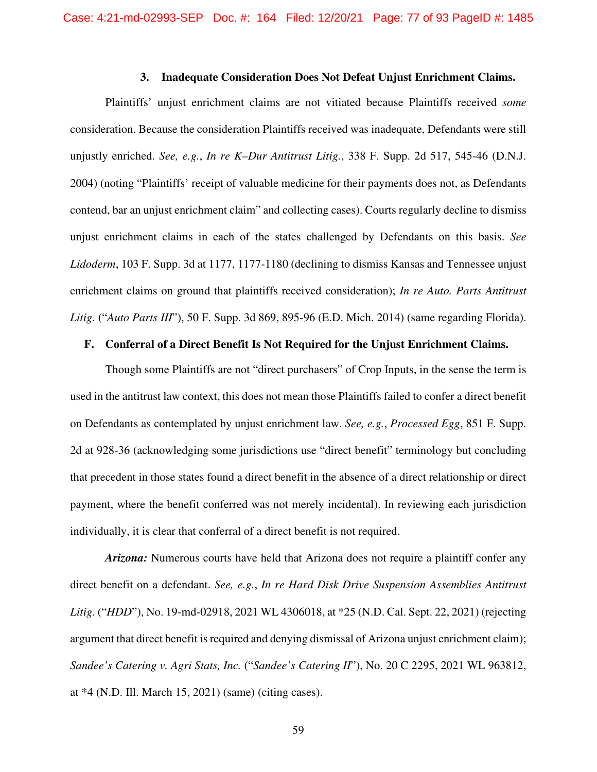#### **3. Inadequate Consideration Does Not Defeat Unjust Enrichment Claims.**

Plaintiffs' unjust enrichment claims are not vitiated because Plaintiffs received *some* consideration. Because the consideration Plaintiffs received was inadequate, Defendants were still unjustly enriched. *See, e.g.*, *In re K–Dur Antitrust Litig.*, 338 F. Supp. 2d 517, 545-46 (D.N.J. 2004) (noting "Plaintiffs' receipt of valuable medicine for their payments does not, as Defendants contend, bar an unjust enrichment claim" and collecting cases). Courts regularly decline to dismiss unjust enrichment claims in each of the states challenged by Defendants on this basis. *See Lidoderm*, 103 F. Supp. 3d at 1177, 1177-1180 (declining to dismiss Kansas and Tennessee unjust enrichment claims on ground that plaintiffs received consideration); *In re Auto. Parts Antitrust Litig.* ("*Auto Parts III*"), 50 F. Supp. 3d 869, 895-96 (E.D. Mich. 2014) (same regarding Florida).

### **F. Conferral of a Direct Benefit Is Not Required for the Unjust Enrichment Claims.**

Though some Plaintiffs are not "direct purchasers" of Crop Inputs, in the sense the term is used in the antitrust law context, this does not mean those Plaintiffs failed to confer a direct benefit on Defendants as contemplated by unjust enrichment law. *See, e.g.*, *Processed Egg*, 851 F. Supp. 2d at 928-36 (acknowledging some jurisdictions use "direct benefit" terminology but concluding that precedent in those states found a direct benefit in the absence of a direct relationship or direct payment, where the benefit conferred was not merely incidental). In reviewing each jurisdiction individually, it is clear that conferral of a direct benefit is not required.

*Arizona:* Numerous courts have held that Arizona does not require a plaintiff confer any direct benefit on a defendant. *See, e.g.*, *In re Hard Disk Drive Suspension Assemblies Antitrust Litig.* ("*HDD*"), No. 19-md-02918, 2021 WL 4306018, at \*25 (N.D. Cal. Sept. 22, 2021) (rejecting argument that direct benefit is required and denying dismissal of Arizona unjust enrichment claim); *Sandee's Catering v. Agri Stats, Inc.* ("*Sandee's Catering II*"), No. 20 C 2295, 2021 WL 963812, at \*4 (N.D. Ill. March 15, 2021) (same) (citing cases).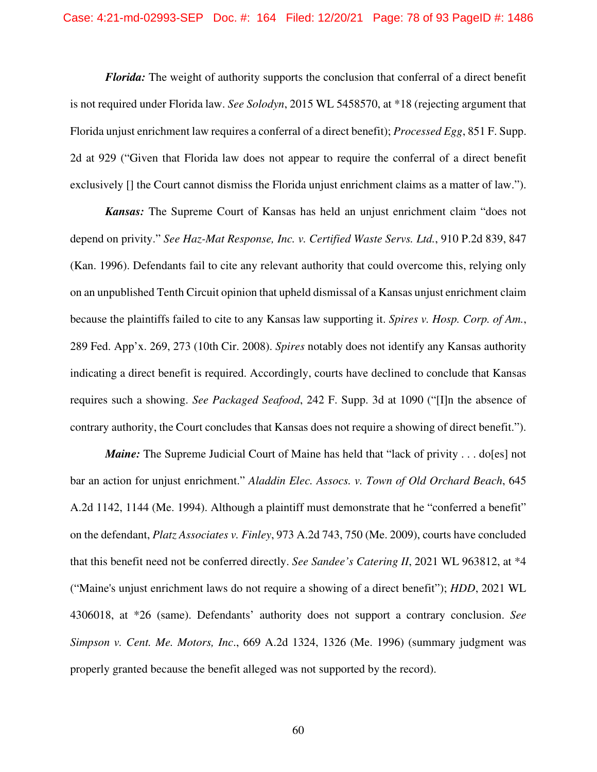*Florida:* The weight of authority supports the conclusion that conferral of a direct benefit is not required under Florida law. *See Solodyn*, 2015 WL 5458570, at \*18 (rejecting argument that Florida unjust enrichment law requires a conferral of a direct benefit); *Processed Egg*, 851 F. Supp. 2d at 929 ("Given that Florida law does not appear to require the conferral of a direct benefit exclusively [] the Court cannot dismiss the Florida unjust enrichment claims as a matter of law.").

*Kansas:* The Supreme Court of Kansas has held an unjust enrichment claim "does not depend on privity." *See Haz-Mat Response, Inc. v. Certified Waste Servs. Ltd.*, 910 P.2d 839, 847 (Kan. 1996). Defendants fail to cite any relevant authority that could overcome this, relying only on an unpublished Tenth Circuit opinion that upheld dismissal of a Kansas unjust enrichment claim because the plaintiffs failed to cite to any Kansas law supporting it. *Spires v. Hosp. Corp. of Am.*, 289 Fed. App'x. 269, 273 (10th Cir. 2008). *Spires* notably does not identify any Kansas authority indicating a direct benefit is required. Accordingly, courts have declined to conclude that Kansas requires such a showing. *See Packaged Seafood*, 242 F. Supp. 3d at 1090 ("[I]n the absence of contrary authority, the Court concludes that Kansas does not require a showing of direct benefit.").

*Maine:* The Supreme Judicial Court of Maine has held that "lack of privity . . . do [es] not bar an action for unjust enrichment." *Aladdin Elec. Assocs. v. Town of Old Orchard Beach*, 645 A.2d 1142, 1144 (Me. 1994). Although a plaintiff must demonstrate that he "conferred a benefit" on the defendant, *Platz Associates v. Finley*, 973 A.2d 743, 750 (Me. 2009), courts have concluded that this benefit need not be conferred directly. *See Sandee's Catering II*, 2021 WL 963812, at \*4 ("Maine's unjust enrichment laws do not require a showing of a direct benefit"); *HDD*, 2021 WL 4306018, at \*26 (same). Defendants' authority does not support a contrary conclusion. *See Simpson v. Cent. Me. Motors, Inc*., 669 A.2d 1324, 1326 (Me. 1996) (summary judgment was properly granted because the benefit alleged was not supported by the record).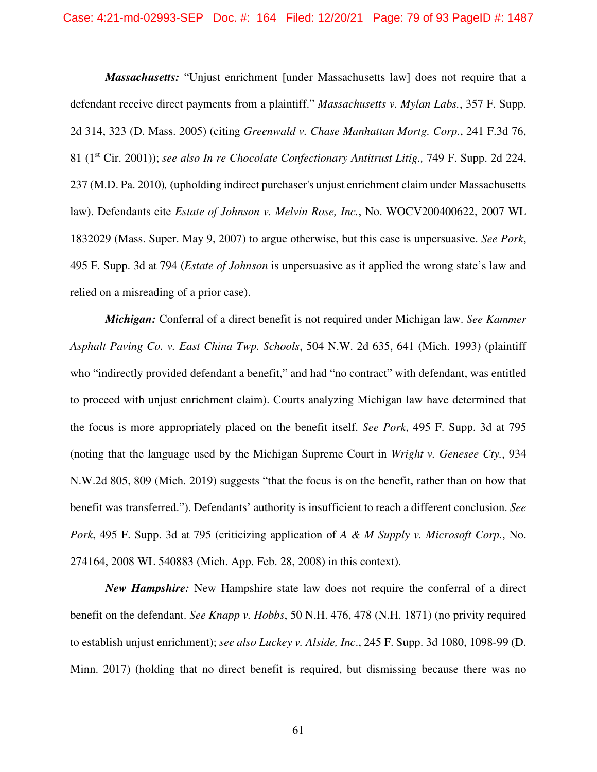*Massachusetts:* "Unjust enrichment [under Massachusetts law] does not require that a defendant receive direct payments from a plaintiff." *Massachusetts v. Mylan Labs.*, 357 F. Supp. 2d 314, 323 (D. Mass. 2005) (citing *Greenwald v. Chase Manhattan Mortg. Corp.*, 241 F.3d 76, 81 (1st Cir. 2001)); *see also In re Chocolate Confectionary Antitrust Litig.,* 749 F. Supp. 2d 224, 237 (M.D. Pa. 2010)*,* (upholding indirect purchaser's unjust enrichment claim under Massachusetts law). Defendants cite *Estate of Johnson v. Melvin Rose, Inc.*, No. WOCV200400622, 2007 WL 1832029 (Mass. Super. May 9, 2007) to argue otherwise, but this case is unpersuasive. *See Pork*, 495 F. Supp. 3d at 794 (*Estate of Johnson* is unpersuasive as it applied the wrong state's law and relied on a misreading of a prior case).

*Michigan:* Conferral of a direct benefit is not required under Michigan law. *See Kammer Asphalt Paving Co. v. East China Twp. Schools*, 504 N.W. 2d 635, 641 (Mich. 1993) (plaintiff who "indirectly provided defendant a benefit," and had "no contract" with defendant, was entitled to proceed with unjust enrichment claim). Courts analyzing Michigan law have determined that the focus is more appropriately placed on the benefit itself. *See Pork*, 495 F. Supp. 3d at 795 (noting that the language used by the Michigan Supreme Court in *Wright v. Genesee Cty.*, 934 N.W.2d 805, 809 (Mich. 2019) suggests "that the focus is on the benefit, rather than on how that benefit was transferred."). Defendants' authority is insufficient to reach a different conclusion. *See Pork*, 495 F. Supp. 3d at 795 (criticizing application of *A & M Supply v. Microsoft Corp.*, No. 274164, 2008 WL 540883 (Mich. App. Feb. 28, 2008) in this context).

*New Hampshire:* New Hampshire state law does not require the conferral of a direct benefit on the defendant. *See Knapp v. Hobbs*, 50 N.H. 476, 478 (N.H. 1871) (no privity required to establish unjust enrichment); *see also Luckey v. Alside, Inc*., 245 F. Supp. 3d 1080, 1098-99 (D. Minn. 2017) (holding that no direct benefit is required, but dismissing because there was no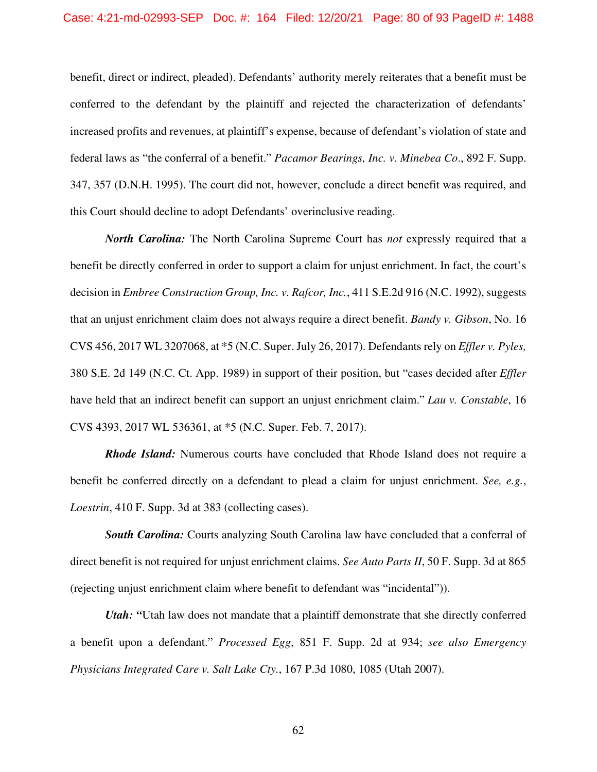benefit, direct or indirect, pleaded). Defendants' authority merely reiterates that a benefit must be conferred to the defendant by the plaintiff and rejected the characterization of defendants' increased profits and revenues, at plaintiff's expense, because of defendant's violation of state and federal laws as "the conferral of a benefit." *Pacamor Bearings, Inc. v. Minebea Co*., 892 F. Supp. 347, 357 (D.N.H. 1995). The court did not, however, conclude a direct benefit was required, and this Court should decline to adopt Defendants' overinclusive reading.

*North Carolina:* The North Carolina Supreme Court has *not* expressly required that a benefit be directly conferred in order to support a claim for unjust enrichment. In fact, the court's decision in *Embree Construction Group, Inc. v. Rafcor, Inc.*, 411 S.E.2d 916 (N.C. 1992), suggests that an unjust enrichment claim does not always require a direct benefit. *Bandy v. Gibson*, No. 16 CVS 456, 2017 WL 3207068, at \*5 (N.C. Super. July 26, 2017). Defendants rely on *Effler v. Pyles,*  380 S.E. 2d 149 (N.C. Ct. App. 1989) in support of their position, but "cases decided after *Effler* have held that an indirect benefit can support an unjust enrichment claim." *Lau v. Constable*, 16 CVS 4393, 2017 WL 536361, at \*5 (N.C. Super. Feb. 7, 2017).

*Rhode Island:* Numerous courts have concluded that Rhode Island does not require a benefit be conferred directly on a defendant to plead a claim for unjust enrichment. *See, e.g.*, *Loestrin*, 410 F. Supp. 3d at 383 (collecting cases).

**South Carolina:** Courts analyzing South Carolina law have concluded that a conferral of direct benefit is not required for unjust enrichment claims. *See Auto Parts II*, 50 F. Supp. 3d at 865 (rejecting unjust enrichment claim where benefit to defendant was "incidental")).

*Utah: "*Utah law does not mandate that a plaintiff demonstrate that she directly conferred a benefit upon a defendant." *Processed Egg*, 851 F. Supp. 2d at 934; *see also Emergency Physicians Integrated Care v. Salt Lake Cty.*, 167 P.3d 1080, 1085 (Utah 2007).

62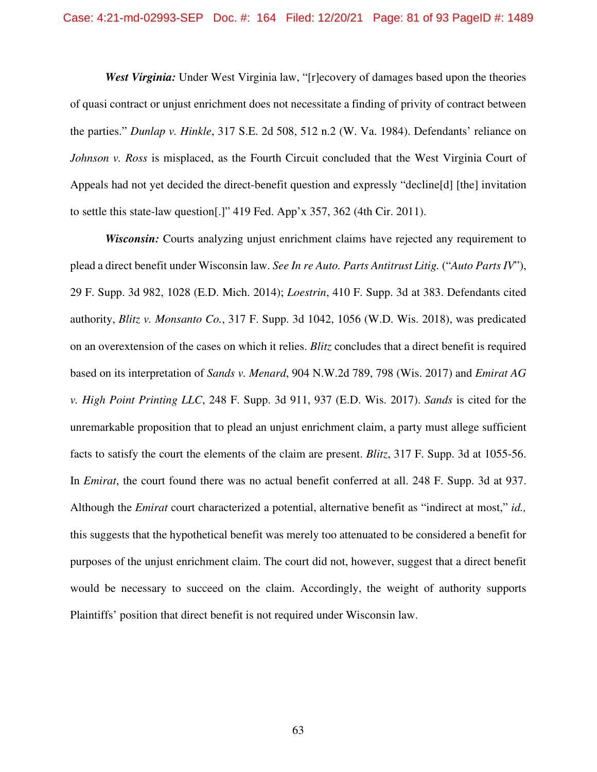*West Virginia:* Under West Virginia law, "[r]ecovery of damages based upon the theories of quasi contract or unjust enrichment does not necessitate a finding of privity of contract between the parties." *Dunlap v. Hinkle*, 317 S.E. 2d 508, 512 n.2 (W. Va. 1984). Defendants' reliance on *Johnson v. Ross* is misplaced, as the Fourth Circuit concluded that the West Virginia Court of Appeals had not yet decided the direct-benefit question and expressly "decline[d] [the] invitation to settle this state-law question[.]" 419 Fed. App'x 357, 362 (4th Cir. 2011).

*Wisconsin:* Courts analyzing unjust enrichment claims have rejected any requirement to plead a direct benefit under Wisconsin law. *See In re Auto. Parts Antitrust Litig.* ("*Auto Parts IV*"), 29 F. Supp. 3d 982, 1028 (E.D. Mich. 2014); *Loestrin*, 410 F. Supp. 3d at 383. Defendants cited authority, *Blitz v. Monsanto Co.*, 317 F. Supp. 3d 1042, 1056 (W.D. Wis. 2018), was predicated on an overextension of the cases on which it relies. *Blitz* concludes that a direct benefit is required based on its interpretation of *Sands v. Menard*, 904 N.W.2d 789, 798 (Wis. 2017) and *Emirat AG v. High Point Printing LLC*, 248 F. Supp. 3d 911, 937 (E.D. Wis. 2017). *Sands* is cited for the unremarkable proposition that to plead an unjust enrichment claim, a party must allege sufficient facts to satisfy the court the elements of the claim are present. *Blitz*, 317 F. Supp. 3d at 1055-56. In *Emirat*, the court found there was no actual benefit conferred at all. 248 F. Supp. 3d at 937. Although the *Emirat* court characterized a potential, alternative benefit as "indirect at most," *id.,* this suggests that the hypothetical benefit was merely too attenuated to be considered a benefit for purposes of the unjust enrichment claim. The court did not, however, suggest that a direct benefit would be necessary to succeed on the claim. Accordingly, the weight of authority supports Plaintiffs' position that direct benefit is not required under Wisconsin law.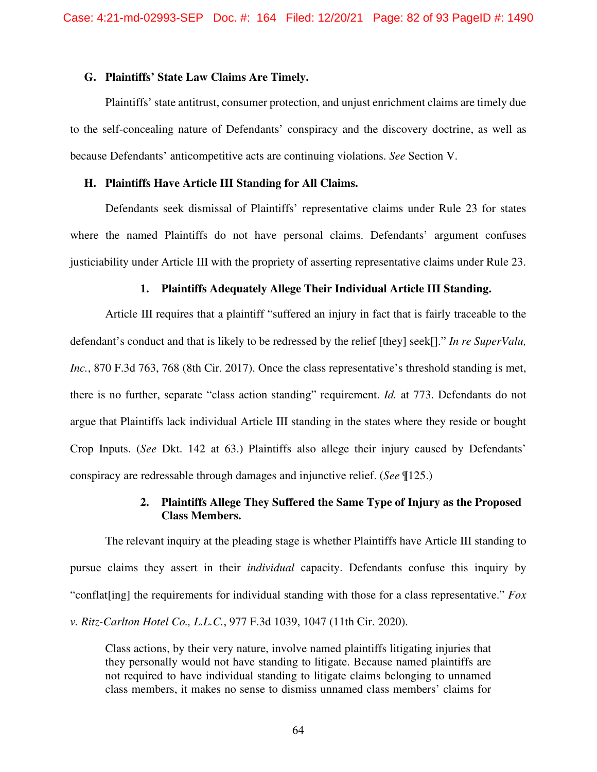#### **G. Plaintiffs' State Law Claims Are Timely.**

Plaintiffs' state antitrust, consumer protection, and unjust enrichment claims are timely due to the self-concealing nature of Defendants' conspiracy and the discovery doctrine, as well as because Defendants' anticompetitive acts are continuing violations. *See* Section V.

## **H. Plaintiffs Have Article III Standing for All Claims.**

Defendants seek dismissal of Plaintiffs' representative claims under Rule 23 for states where the named Plaintiffs do not have personal claims. Defendants' argument confuses justiciability under Article III with the propriety of asserting representative claims under Rule 23.

#### **1. Plaintiffs Adequately Allege Their Individual Article III Standing.**

Article III requires that a plaintiff "suffered an injury in fact that is fairly traceable to the defendant's conduct and that is likely to be redressed by the relief [they] seek[]." *In re SuperValu, Inc.*, 870 F.3d 763, 768 (8th Cir. 2017). Once the class representative's threshold standing is met, there is no further, separate "class action standing" requirement. *Id.* at 773. Defendants do not argue that Plaintiffs lack individual Article III standing in the states where they reside or bought Crop Inputs. (*See* Dkt. 142 at 63.) Plaintiffs also allege their injury caused by Defendants' conspiracy are redressable through damages and injunctive relief. (*See* ¶125.)

# **2. Plaintiffs Allege They Suffered the Same Type of Injury as the Proposed Class Members.**

The relevant inquiry at the pleading stage is whether Plaintiffs have Article III standing to pursue claims they assert in their *individual* capacity. Defendants confuse this inquiry by "conflat[ing] the requirements for individual standing with those for a class representative." *Fox v. Ritz-Carlton Hotel Co., L.L.C.*, 977 F.3d 1039, 1047 (11th Cir. 2020).

Class actions, by their very nature, involve named plaintiffs litigating injuries that they personally would not have standing to litigate. Because named plaintiffs are not required to have individual standing to litigate claims belonging to unnamed class members, it makes no sense to dismiss unnamed class members' claims for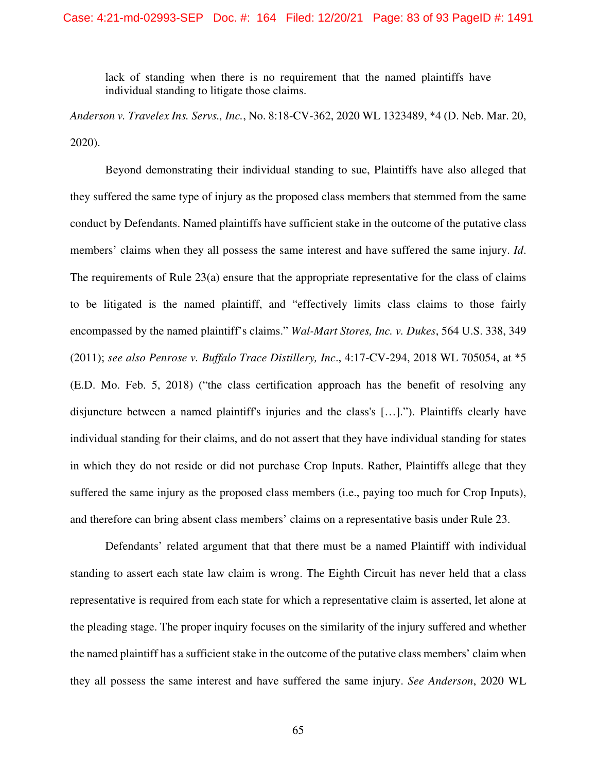lack of standing when there is no requirement that the named plaintiffs have individual standing to litigate those claims.

*Anderson v. Travelex Ins. Servs., Inc.*, No. 8:18-CV-362, 2020 WL 1323489, \*4 (D. Neb. Mar. 20, 2020).

Beyond demonstrating their individual standing to sue, Plaintiffs have also alleged that they suffered the same type of injury as the proposed class members that stemmed from the same conduct by Defendants. Named plaintiffs have sufficient stake in the outcome of the putative class members' claims when they all possess the same interest and have suffered the same injury. *Id*. The requirements of Rule 23(a) ensure that the appropriate representative for the class of claims to be litigated is the named plaintiff, and "effectively limits class claims to those fairly encompassed by the named plaintiff's claims." *Wal-Mart Stores, Inc. v. Dukes*, 564 U.S. 338, 349 (2011); *see also Penrose v. Buffalo Trace Distillery, Inc*., 4:17-CV-294, 2018 WL 705054, at \*5 (E.D. Mo. Feb. 5, 2018) ("the class certification approach has the benefit of resolving any disjuncture between a named plaintiff's injuries and the class's […]."). Plaintiffs clearly have individual standing for their claims, and do not assert that they have individual standing for states in which they do not reside or did not purchase Crop Inputs. Rather, Plaintiffs allege that they suffered the same injury as the proposed class members (i.e., paying too much for Crop Inputs), and therefore can bring absent class members' claims on a representative basis under Rule 23.

Defendants' related argument that that there must be a named Plaintiff with individual standing to assert each state law claim is wrong. The Eighth Circuit has never held that a class representative is required from each state for which a representative claim is asserted, let alone at the pleading stage. The proper inquiry focuses on the similarity of the injury suffered and whether the named plaintiff has a sufficient stake in the outcome of the putative class members' claim when they all possess the same interest and have suffered the same injury. *See Anderson*, 2020 WL

65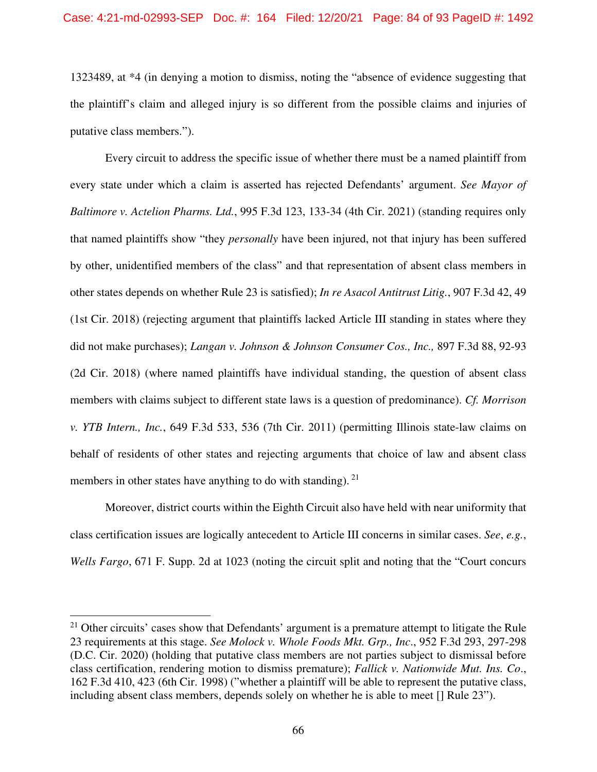1323489, at \*4 (in denying a motion to dismiss, noting the "absence of evidence suggesting that the plaintiff's claim and alleged injury is so different from the possible claims and injuries of putative class members.").

Every circuit to address the specific issue of whether there must be a named plaintiff from every state under which a claim is asserted has rejected Defendants' argument. *See Mayor of Baltimore v. Actelion Pharms. Ltd.*, 995 F.3d 123, 133-34 (4th Cir. 2021) (standing requires only that named plaintiffs show "they *personally* have been injured, not that injury has been suffered by other, unidentified members of the class" and that representation of absent class members in other states depends on whether Rule 23 is satisfied); *In re Asacol Antitrust Litig.*, 907 F.3d 42, 49 (1st Cir. 2018) (rejecting argument that plaintiffs lacked Article III standing in states where they did not make purchases); *Langan v. Johnson & Johnson Consumer Cos., Inc.,* 897 F.3d 88, 92-93 (2d Cir. 2018) (where named plaintiffs have individual standing, the question of absent class members with claims subject to different state laws is a question of predominance). *Cf. Morrison v. YTB Intern., Inc.*, 649 F.3d 533, 536 (7th Cir. 2011) (permitting Illinois state-law claims on behalf of residents of other states and rejecting arguments that choice of law and absent class members in other states have anything to do with standing).  $2<sup>1</sup>$ 

Moreover, district courts within the Eighth Circuit also have held with near uniformity that class certification issues are logically antecedent to Article III concerns in similar cases. *See*, *e.g.*, *Wells Fargo*, 671 F. Supp. 2d at 1023 (noting the circuit split and noting that the "Court concurs

<sup>&</sup>lt;sup>21</sup> Other circuits' cases show that Defendants' argument is a premature attempt to litigate the Rule 23 requirements at this stage. *See Molock v. Whole Foods Mkt. Grp., Inc*., 952 F.3d 293, 297-298 (D.C. Cir. 2020) (holding that putative class members are not parties subject to dismissal before class certification, rendering motion to dismiss premature); *Fallick v. Nationwide Mut. Ins. Co*., 162 F.3d 410, 423 (6th Cir. 1998) ("whether a plaintiff will be able to represent the putative class, including absent class members, depends solely on whether he is able to meet [] Rule 23").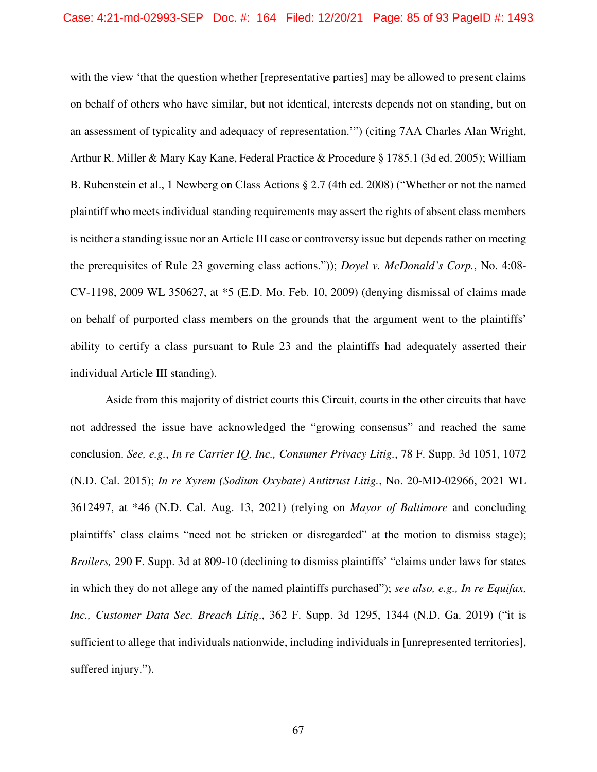with the view 'that the question whether [representative parties] may be allowed to present claims on behalf of others who have similar, but not identical, interests depends not on standing, but on an assessment of typicality and adequacy of representation.'") (citing 7AA Charles Alan Wright, Arthur R. Miller & Mary Kay Kane, Federal Practice & Procedure § 1785.1 (3d ed. 2005); William B. Rubenstein et al., 1 Newberg on Class Actions § 2.7 (4th ed. 2008) ("Whether or not the named plaintiff who meets individual standing requirements may assert the rights of absent class members is neither a standing issue nor an Article III case or controversy issue but depends rather on meeting the prerequisites of Rule 23 governing class actions.")); *Doyel v. McDonald's Corp.*, No. 4:08- CV-1198, 2009 WL 350627, at \*5 (E.D. Mo. Feb. 10, 2009) (denying dismissal of claims made on behalf of purported class members on the grounds that the argument went to the plaintiffs' ability to certify a class pursuant to Rule 23 and the plaintiffs had adequately asserted their individual Article III standing).

Aside from this majority of district courts this Circuit, courts in the other circuits that have not addressed the issue have acknowledged the "growing consensus" and reached the same conclusion. *See, e.g.*, *In re Carrier IQ, Inc., Consumer Privacy Litig.*, 78 F. Supp. 3d 1051, 1072 (N.D. Cal. 2015); *In re Xyrem (Sodium Oxybate) Antitrust Litig.*, No. 20-MD-02966, 2021 WL 3612497, at \*46 (N.D. Cal. Aug. 13, 2021) (relying on *Mayor of Baltimore* and concluding plaintiffs' class claims "need not be stricken or disregarded" at the motion to dismiss stage); *Broilers,* 290 F. Supp. 3d at 809-10 (declining to dismiss plaintiffs' "claims under laws for states in which they do not allege any of the named plaintiffs purchased"); *see also, e.g., In re Equifax, Inc., Customer Data Sec. Breach Litig*., 362 F. Supp. 3d 1295, 1344 (N.D. Ga. 2019) ("it is sufficient to allege that individuals nationwide, including individuals in [unrepresented territories], suffered injury.").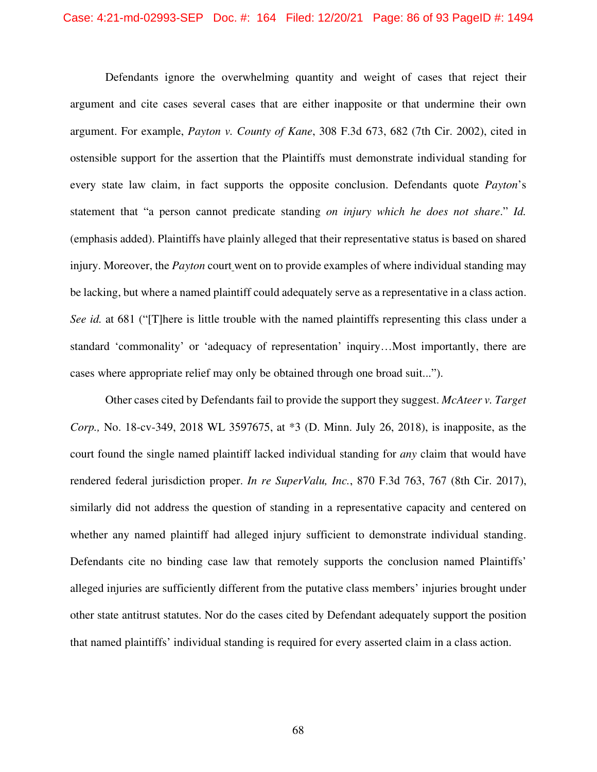Defendants ignore the overwhelming quantity and weight of cases that reject their argument and cite cases several cases that are either inapposite or that undermine their own argument. For example, *Payton v. County of Kane*, 308 F.3d 673, 682 (7th Cir. 2002), cited in ostensible support for the assertion that the Plaintiffs must demonstrate individual standing for every state law claim, in fact supports the opposite conclusion. Defendants quote *Payton*'s statement that "a person cannot predicate standing *on injury which he does not share*." *Id.*  (emphasis added). Plaintiffs have plainly alleged that their representative status is based on shared injury. Moreover, the *Payton* court went on to provide examples of where individual standing may be lacking, but where a named plaintiff could adequately serve as a representative in a class action. *See id.* at 681 ("[T]here is little trouble with the named plaintiffs representing this class under a standard 'commonality' or 'adequacy of representation' inquiry…Most importantly, there are cases where appropriate relief may only be obtained through one broad suit...").

Other cases cited by Defendants fail to provide the support they suggest. *McAteer v. Target Corp.,* No. 18-cv-349, 2018 WL 3597675, at \*3 (D. Minn. July 26, 2018), is inapposite, as the court found the single named plaintiff lacked individual standing for *any* claim that would have rendered federal jurisdiction proper. *In re SuperValu, Inc.*, 870 F.3d 763, 767 (8th Cir. 2017), similarly did not address the question of standing in a representative capacity and centered on whether any named plaintiff had alleged injury sufficient to demonstrate individual standing. Defendants cite no binding case law that remotely supports the conclusion named Plaintiffs' alleged injuries are sufficiently different from the putative class members' injuries brought under other state antitrust statutes. Nor do the cases cited by Defendant adequately support the position that named plaintiffs' individual standing is required for every asserted claim in a class action.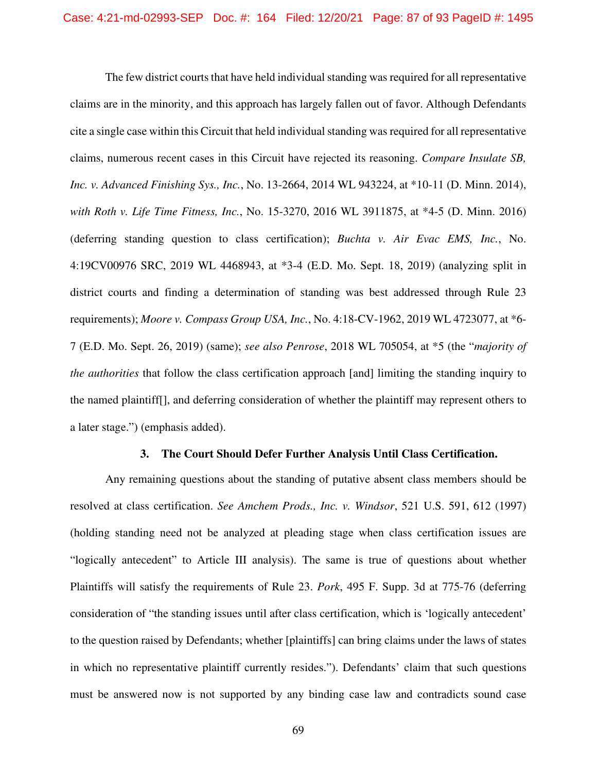The few district courts that have held individual standing was required for all representative claims are in the minority, and this approach has largely fallen out of favor. Although Defendants cite a single case within this Circuit that held individual standing was required for all representative claims, numerous recent cases in this Circuit have rejected its reasoning. *Compare Insulate SB, Inc. v. Advanced Finishing Sys., Inc.*, No. 13-2664, 2014 WL 943224, at \*10-11 (D. Minn. 2014), *with Roth v. Life Time Fitness, Inc.*, No. 15-3270, 2016 WL 3911875, at \*4-5 (D. Minn. 2016) (deferring standing question to class certification); *Buchta v. Air Evac EMS, Inc.*, No. 4:19CV00976 SRC, 2019 WL 4468943, at \*3-4 (E.D. Mo. Sept. 18, 2019) (analyzing split in district courts and finding a determination of standing was best addressed through Rule 23 requirements); *Moore v. Compass Group USA, Inc.*, No. 4:18-CV-1962, 2019 WL 4723077, at \*6- 7 (E.D. Mo. Sept. 26, 2019) (same); *see also Penrose*, 2018 WL 705054, at \*5 (the "*majority of the authorities* that follow the class certification approach [and] limiting the standing inquiry to the named plaintiff[], and deferring consideration of whether the plaintiff may represent others to a later stage.") (emphasis added).

#### **3. The Court Should Defer Further Analysis Until Class Certification.**

Any remaining questions about the standing of putative absent class members should be resolved at class certification. *See Amchem Prods., Inc. v. Windsor*, 521 U.S. 591, 612 (1997) (holding standing need not be analyzed at pleading stage when class certification issues are "logically antecedent" to Article III analysis). The same is true of questions about whether Plaintiffs will satisfy the requirements of Rule 23. *Pork*, 495 F. Supp. 3d at 775-76 (deferring consideration of "the standing issues until after class certification, which is 'logically antecedent' to the question raised by Defendants; whether [plaintiffs] can bring claims under the laws of states in which no representative plaintiff currently resides."). Defendants' claim that such questions must be answered now is not supported by any binding case law and contradicts sound case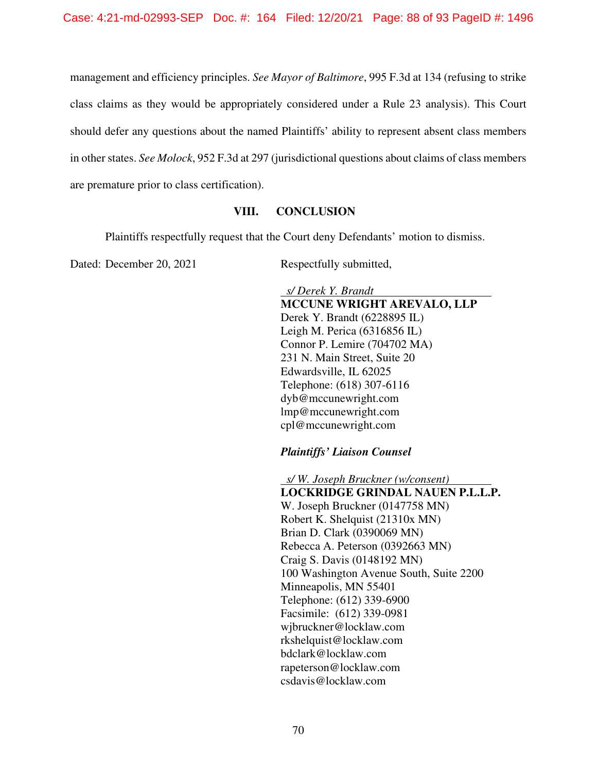management and efficiency principles. *See Mayor of Baltimore*, 995 F.3d at 134 (refusing to strike class claims as they would be appropriately considered under a Rule 23 analysis). This Court should defer any questions about the named Plaintiffs' ability to represent absent class members in other states. *See Molock*, 952 F.3d at 297 (jurisdictional questions about claims of class members are premature prior to class certification).

#### **VIII. CONCLUSION**

Plaintiffs respectfully request that the Court deny Defendants' motion to dismiss.

Dated: December 20, 2021 Respectfully submitted,

 *s/ Derek Y. Brandt*  **MCCUNE WRIGHT AREVALO, LLP**  Derek Y. Brandt (6228895 IL) Leigh M. Perica (6316856 IL) Connor P. Lemire (704702 MA) 231 N. Main Street, Suite 20 Edwardsville, IL 62025 Telephone: (618) 307-6116 dyb@mccunewright.com lmp@mccunewright.com cpl@mccunewright.com

*Plaintiffs' Liaison Counsel* 

 *s/ W. Joseph Bruckner (w/consent)*  **LOCKRIDGE GRINDAL NAUEN P.L.L.P.**  W. Joseph Bruckner (0147758 MN) Robert K. Shelquist (21310x MN) Brian D. Clark (0390069 MN) Rebecca A. Peterson (0392663 MN) Craig S. Davis (0148192 MN) 100 Washington Avenue South, Suite 2200 Minneapolis, MN 55401 Telephone: (612) 339-6900 Facsimile: (612) 339-0981 wjbruckner@locklaw.com rkshelquist@locklaw.com bdclark@locklaw.com rapeterson@locklaw.com csdavis@locklaw.com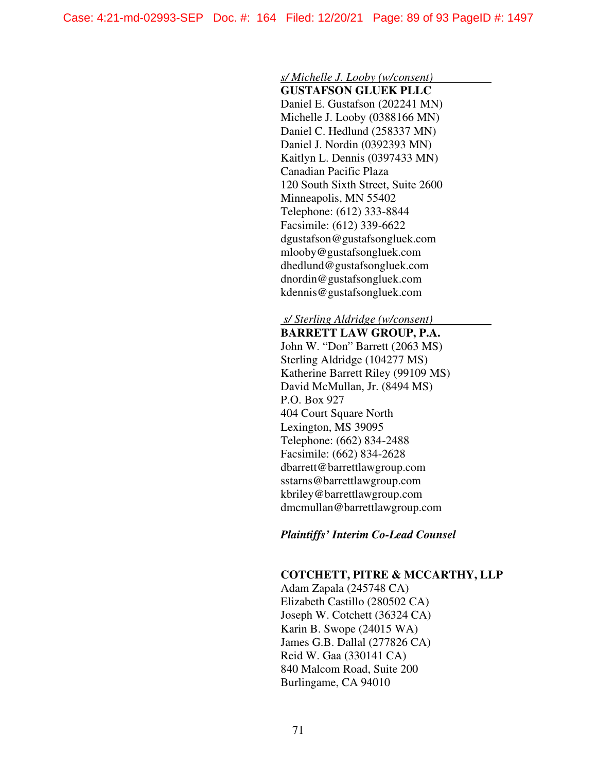#### *s/ Michelle J. Looby (w/consent)*

**GUSTAFSON GLUEK PLLC**  Daniel E. Gustafson (202241 MN) Michelle J. Looby (0388166 MN) Daniel C. Hedlund (258337 MN) Daniel J. Nordin (0392393 MN) Kaitlyn L. Dennis (0397433 MN) Canadian Pacific Plaza 120 South Sixth Street, Suite 2600 Minneapolis, MN 55402 Telephone: (612) 333-8844 Facsimile: (612) 339-6622 dgustafson@gustafsongluek.com mlooby@gustafsongluek.com dhedlund@gustafsongluek.com dnordin@gustafsongluek.com kdennis@gustafsongluek.com

# *s/ Sterling Aldridge (w/consent)*

**BARRETT LAW GROUP, P.A.**  John W. "Don" Barrett (2063 MS) Sterling Aldridge (104277 MS) Katherine Barrett Riley (99109 MS) David McMullan, Jr. (8494 MS) P.O. Box 927 404 Court Square North Lexington, MS 39095 Telephone: (662) 834-2488 Facsimile: (662) 834-2628 dbarrett@barrettlawgroup.com sstarns@barrettlawgroup.com kbriley@barrettlawgroup.com dmcmullan@barrettlawgroup.com

#### *Plaintiffs' Interim Co-Lead Counsel*

#### **COTCHETT, PITRE & MCCARTHY, LLP**

Adam Zapala (245748 CA) Elizabeth Castillo (280502 CA) Joseph W. Cotchett (36324 CA) Karin B. Swope (24015 WA) James G.B. Dallal (277826 CA) Reid W. Gaa (330141 CA) 840 Malcom Road, Suite 200 Burlingame, CA 94010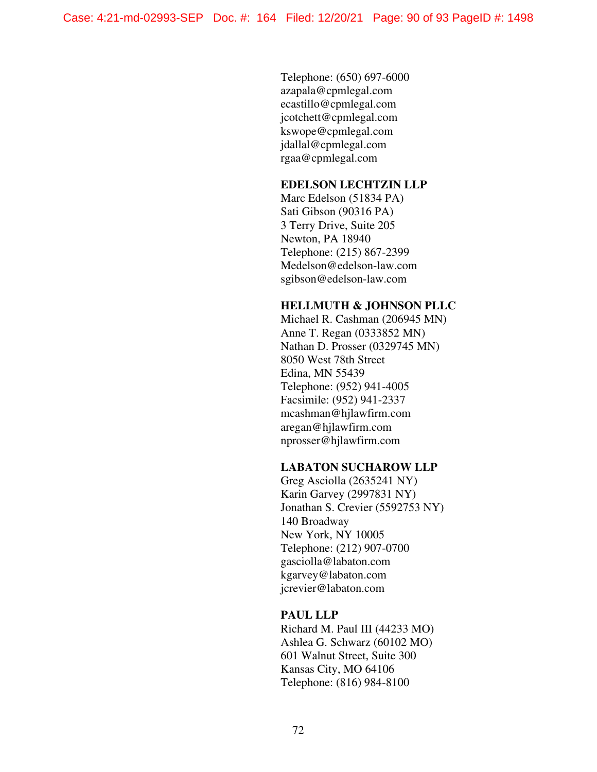Telephone: (650) 697-6000 azapala@cpmlegal.com ecastillo@cpmlegal.com jcotchett@cpmlegal.com kswope@cpmlegal.com jdallal@cpmlegal.com rgaa@cpmlegal.com

# **EDELSON LECHTZIN LLP**

Marc Edelson (51834 PA) Sati Gibson (90316 PA) 3 Terry Drive, Suite 205 Newton, PA 18940 Telephone: (215) 867-2399 Medelson@edelson-law.com sgibson@edelson-law.com

## **HELLMUTH & JOHNSON PLLC**

Michael R. Cashman (206945 MN) Anne T. Regan (0333852 MN) Nathan D. Prosser (0329745 MN) 8050 West 78th Street Edina, MN 55439 Telephone: (952) 941-4005 Facsimile: (952) 941-2337 mcashman@hjlawfirm.com aregan@hjlawfirm.com nprosser@hjlawfirm.com

## **LABATON SUCHAROW LLP**

Greg Asciolla (2635241 NY) Karin Garvey (2997831 NY) Jonathan S. Crevier (5592753 NY) 140 Broadway New York, NY 10005 Telephone: (212) 907-0700 gasciolla@labaton.com kgarvey@labaton.com jcrevier@labaton.com

#### **PAUL LLP**

Richard M. Paul III (44233 MO) Ashlea G. Schwarz (60102 MO) 601 Walnut Street, Suite 300 Kansas City, MO 64106 Telephone: (816) 984-8100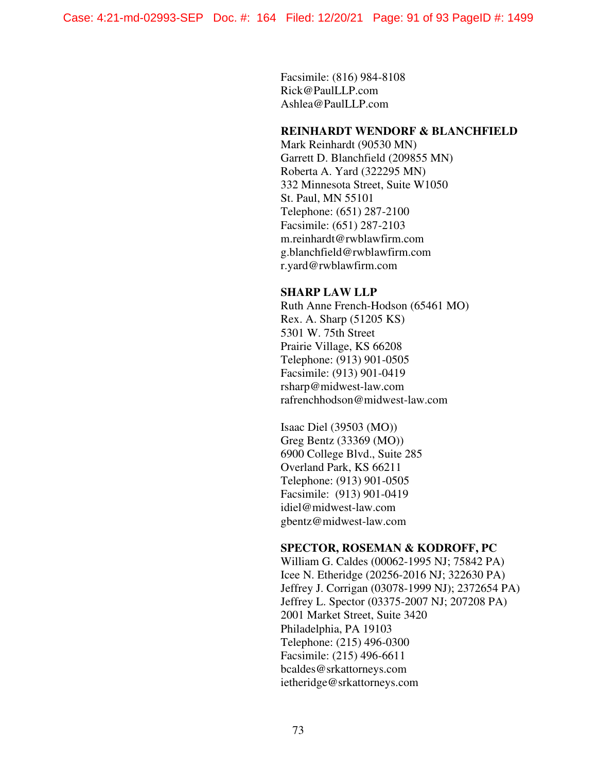Facsimile: (816) 984-8108 Rick@PaulLLP.com Ashlea@PaulLLP.com

## **REINHARDT WENDORF & BLANCHFIELD**

Mark Reinhardt (90530 MN) Garrett D. Blanchfield (209855 MN) Roberta A. Yard (322295 MN) 332 Minnesota Street, Suite W1050 St. Paul, MN 55101 Telephone: (651) 287-2100 Facsimile: (651) 287-2103 m.reinhardt@rwblawfirm.com g.blanchfield@rwblawfirm.com r.yard@rwblawfirm.com

## **SHARP LAW LLP**

Ruth Anne French-Hodson (65461 MO) Rex. A. Sharp (51205 KS) 5301 W. 75th Street Prairie Village, KS 66208 Telephone: (913) 901-0505 Facsimile: (913) 901-0419 rsharp@midwest-law.com rafrenchhodson@midwest-law.com

Isaac Diel (39503 (MO)) Greg Bentz (33369 (MO)) 6900 College Blvd., Suite 285 Overland Park, KS 66211 Telephone: (913) 901-0505 Facsimile: (913) 901-0419 idiel@midwest-law.com gbentz@midwest-law.com

## **SPECTOR, ROSEMAN & KODROFF, PC**

William G. Caldes (00062-1995 NJ; 75842 PA) Icee N. Etheridge (20256-2016 NJ; 322630 PA) Jeffrey J. Corrigan (03078-1999 NJ); 2372654 PA) Jeffrey L. Spector (03375-2007 NJ; 207208 PA) 2001 Market Street, Suite 3420 Philadelphia, PA 19103 Telephone: (215) 496-0300 Facsimile: (215) 496-6611 bcaldes@srkattorneys.com ietheridge@srkattorneys.com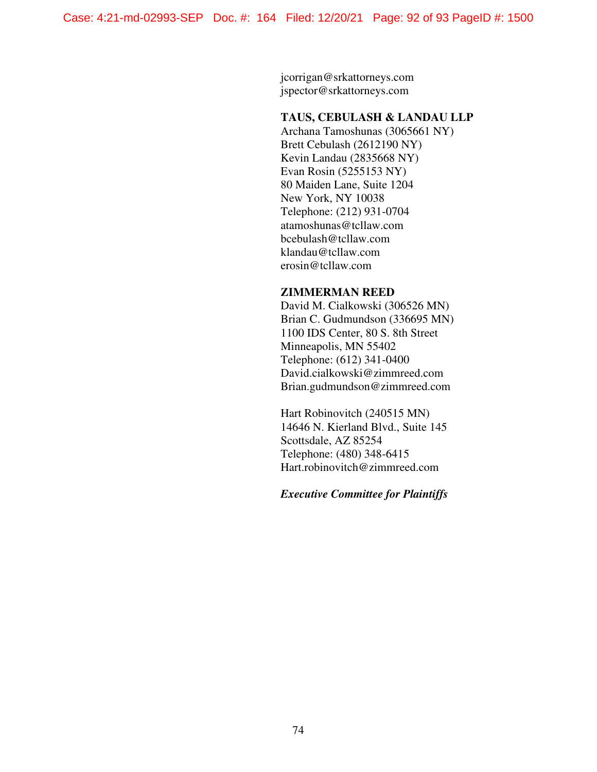jcorrigan@srkattorneys.com jspector@srkattorneys.com

#### **TAUS, CEBULASH & LANDAU LLP**

Archana Tamoshunas (3065661 NY) Brett Cebulash (2612190 NY) Kevin Landau (2835668 NY) Evan Rosin (5255153 NY) 80 Maiden Lane, Suite 1204 New York, NY 10038 Telephone: (212) 931-0704 atamoshunas@tcllaw.com bcebulash@tcllaw.com klandau@tcllaw.com erosin@tcllaw.com

#### **ZIMMERMAN REED**

David M. Cialkowski (306526 MN) Brian C. Gudmundson (336695 MN) 1100 IDS Center, 80 S. 8th Street Minneapolis, MN 55402 Telephone: (612) 341-0400 David.cialkowski@zimmreed.com Brian.gudmundson@zimmreed.com

Hart Robinovitch (240515 MN) 14646 N. Kierland Blvd., Suite 145 Scottsdale, AZ 85254 Telephone: (480) 348-6415 Hart.robinovitch@zimmreed.com

# *Executive Committee for Plaintiffs*